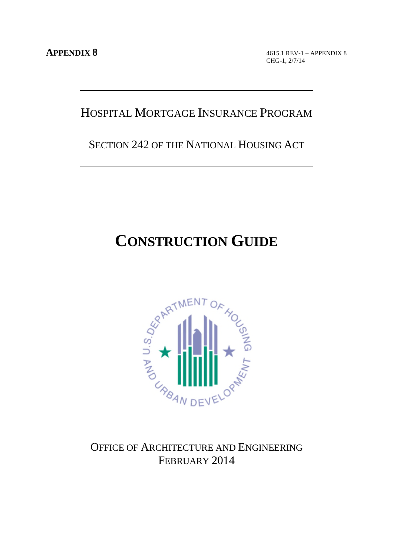4615.1 REV-1 – APPENDIX 8 CHG-1, 2/7/14

# HOSPITAL MORTGAGE INSURANCE PROGRAM

SECTION 242 OF THE NATIONAL HOUSING ACT

# **CONSTRUCTION GUIDE**



FEBRUARY 2014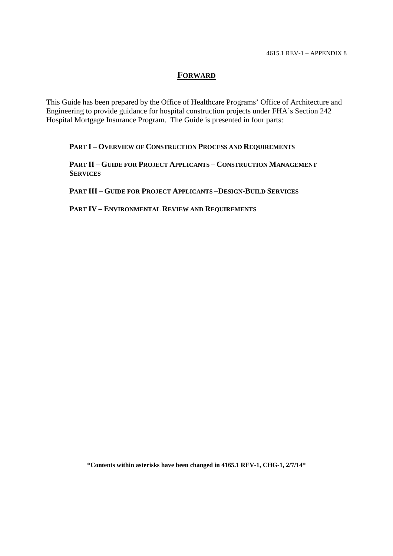# **FORWARD**

This Guide has been prepared by the Office of Healthcare Programs' Office of Architecture and Engineering to provide guidance for hospital construction projects under FHA's Section 242 Hospital Mortgage Insurance Program. The Guide is presented in four parts:

**PART I – OVERVIEW OF CONSTRUCTION PROCESS AND REQUIREMENTS**

**PART II – GUIDE FOR PROJECT APPLICANTS – CONSTRUCTION MANAGEMENT SERVICES**

**PART III – GUIDE FOR PROJECT APPLICANTS –DESIGN-BUILD SERVICES**

**PART IV – ENVIRONMENTAL REVIEW AND REQUIREMENTS**

**\*Contents within asterisks have been changed in 4165.1 REV-1, CHG-1, 2/7/14\***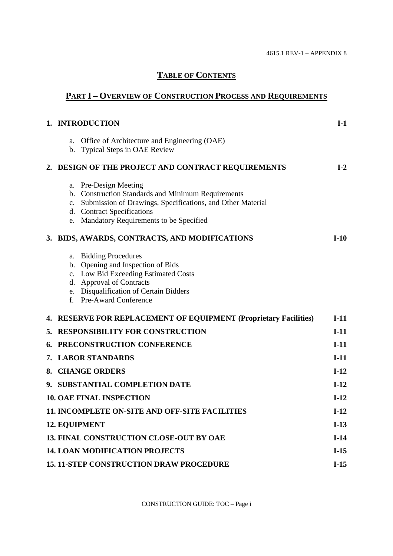# **TABLE OF CONTENTS**

# **PART I – OVERVIEW OF CONSTRUCTION PROCESS AND REQUIREMENTS**

|    | 1. INTRODUCTION                                                                                                                                                                                                            | $I-1$  |
|----|----------------------------------------------------------------------------------------------------------------------------------------------------------------------------------------------------------------------------|--------|
|    | Office of Architecture and Engineering (OAE)<br>a.<br>b. Typical Steps in OAE Review                                                                                                                                       |        |
|    | 2. DESIGN OF THE PROJECT AND CONTRACT REQUIREMENTS                                                                                                                                                                         | $I-2$  |
|    | a. Pre-Design Meeting<br>b. Construction Standards and Minimum Requirements<br>c. Submission of Drawings, Specifications, and Other Material<br>d. Contract Specifications<br>Mandatory Requirements to be Specified<br>e. |        |
|    | 3. BIDS, AWARDS, CONTRACTS, AND MODIFICATIONS                                                                                                                                                                              | $I-10$ |
|    | <b>Bidding Procedures</b><br>a.<br>b. Opening and Inspection of Bids<br>c. Low Bid Exceeding Estimated Costs<br>d. Approval of Contracts<br>e. Disqualification of Certain Bidders<br>f. Pre-Award Conference              |        |
|    | 4. RESERVE FOR REPLACEMENT OF EQUIPMENT (Proprietary Facilities)                                                                                                                                                           | $I-11$ |
|    | 5. RESPONSIBILITY FOR CONSTRUCTION                                                                                                                                                                                         | $I-11$ |
| 6. | PRECONSTRUCTION CONFERENCE                                                                                                                                                                                                 | $I-11$ |
|    | 7. LABOR STANDARDS                                                                                                                                                                                                         | $I-11$ |
|    | 8. CHANGE ORDERS                                                                                                                                                                                                           | $I-12$ |
|    | 9. SUBSTANTIAL COMPLETION DATE                                                                                                                                                                                             | $I-12$ |
|    | <b>10. OAE FINAL INSPECTION</b>                                                                                                                                                                                            | $I-12$ |
|    | 11. INCOMPLETE ON-SITE AND OFF-SITE FACILITIES                                                                                                                                                                             | $I-12$ |
|    | <b>12. EQUIPMENT</b>                                                                                                                                                                                                       | $I-13$ |
|    | <b>13. FINAL CONSTRUCTION CLOSE-OUT BY OAE</b>                                                                                                                                                                             | $I-14$ |
|    | <b>14. LOAN MODIFICATION PROJECTS</b>                                                                                                                                                                                      | $I-15$ |
|    | <b>15. 11-STEP CONSTRUCTION DRAW PROCEDURE</b>                                                                                                                                                                             | $I-15$ |

CONSTRUCTION GUIDE: TOC – Page i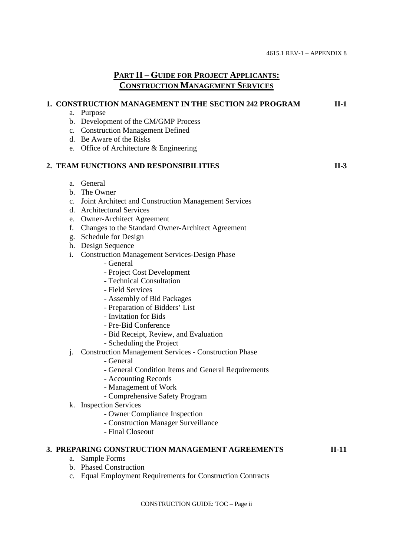# **PART II – GUIDE FOR PROJECT APPLICANTS: CONSTRUCTION MANAGEMENT SERVICES**

|                | 1. CONSTRUCTION MANAGEMENT IN THE SECTION 242 PROGRAM        | $II-1$  |
|----------------|--------------------------------------------------------------|---------|
|                | a. Purpose                                                   |         |
|                | b. Development of the CM/GMP Process                         |         |
|                | c. Construction Management Defined                           |         |
|                | d. Be Aware of the Risks                                     |         |
|                | e. Office of Architecture & Engineering                      |         |
|                | 2. TEAM FUNCTIONS AND RESPONSIBILITIES                       | $II-3$  |
|                | a. General                                                   |         |
|                | b. The Owner                                                 |         |
|                | c. Joint Architect and Construction Management Services      |         |
|                | d. Architectural Services                                    |         |
|                | e. Owner-Architect Agreement                                 |         |
| f.             | Changes to the Standard Owner-Architect Agreement            |         |
|                | g. Schedule for Design                                       |         |
|                | h. Design Sequence                                           |         |
| i.             | <b>Construction Management Services-Design Phase</b>         |         |
|                | - General                                                    |         |
|                | - Project Cost Development                                   |         |
|                | - Technical Consultation                                     |         |
|                | - Field Services                                             |         |
|                | - Assembly of Bid Packages                                   |         |
|                | - Preparation of Bidders' List                               |         |
|                | - Invitation for Bids                                        |         |
|                | - Pre-Bid Conference                                         |         |
|                | - Bid Receipt, Review, and Evaluation                        |         |
|                | - Scheduling the Project                                     |         |
| j.             | <b>Construction Management Services - Construction Phase</b> |         |
|                | - General                                                    |         |
|                | - General Condition Items and General Requirements           |         |
|                | - Accounting Records                                         |         |
|                | - Management of Work                                         |         |
|                | - Comprehensive Safety Program                               |         |
|                | k. Inspection Services                                       |         |
|                | - Owner Compliance Inspection                                |         |
|                | - Construction Manager Surveillance                          |         |
|                | - Final Closeout                                             |         |
|                | 3. PREPARING CONSTRUCTION MANAGEMENT AGREEMENTS              | $II-11$ |
| а.             | Sample Forms                                                 |         |
|                | b. Phased Construction                                       |         |
| $\mathbf{c}$ . | Equal Employment Requirements for Construction Contracts     |         |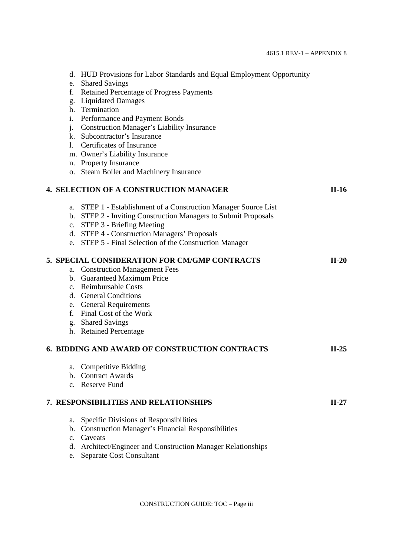|                | d. HUD Provisions for Labor Standards and Equal Employment Opportunity |         |
|----------------|------------------------------------------------------------------------|---------|
| e.             | <b>Shared Savings</b>                                                  |         |
| f.             | <b>Retained Percentage of Progress Payments</b>                        |         |
| g.             | <b>Liquidated Damages</b>                                              |         |
|                | h. Termination                                                         |         |
| i.             | Performance and Payment Bonds                                          |         |
| $j$ .          | <b>Construction Manager's Liability Insurance</b>                      |         |
|                | k. Subcontractor's Insurance                                           |         |
| 1.             | <b>Certificates of Insurance</b>                                       |         |
|                | m. Owner's Liability Insurance                                         |         |
|                | n. Property Insurance                                                  |         |
|                | o. Steam Boiler and Machinery Insurance                                |         |
|                | <b>4. SELECTION OF A CONSTRUCTION MANAGER</b>                          | $II-16$ |
| a.             | STEP 1 - Establishment of a Construction Manager Source List           |         |
|                | b. STEP 2 - Inviting Construction Managers to Submit Proposals         |         |
| $C_{\bullet}$  | STEP 3 - Briefing Meeting                                              |         |
|                | d. STEP 4 - Construction Managers' Proposals                           |         |
|                | e. STEP 5 - Final Selection of the Construction Manager                |         |
|                | 5. SPECIAL CONSIDERATION FOR CM/GMP CONTRACTS                          | $II-20$ |
|                | a. Construction Management Fees                                        |         |
|                | b. Guaranteed Maximum Price                                            |         |
|                | c. Reimbursable Costs                                                  |         |
|                | d. General Conditions                                                  |         |
|                | e. General Requirements                                                |         |
|                | f. Final Cost of the Work                                              |         |
|                | g. Shared Savings                                                      |         |
|                | h. Retained Percentage                                                 |         |
|                | 6. BIDDING AND AWARD OF CONSTRUCTION CONTRACTS                         | $II-25$ |
| a.             | <b>Competitive Bidding</b>                                             |         |
| b.             | <b>Contract Awards</b>                                                 |         |
|                | c. Reserve Fund                                                        |         |
|                | 7. RESPONSIBILITIES AND RELATIONSHIPS                                  | $II-27$ |
| a.             | Specific Divisions of Responsibilities                                 |         |
| b.             | <b>Construction Manager's Financial Responsibilities</b>               |         |
| $\mathbf{c}$ . | Caveats                                                                |         |
| d.             | Architect/Engineer and Construction Manager Relationships              |         |
| e.             | Separate Cost Consultant                                               |         |
|                |                                                                        |         |

CONSTRUCTION GUIDE: TOC – Page iii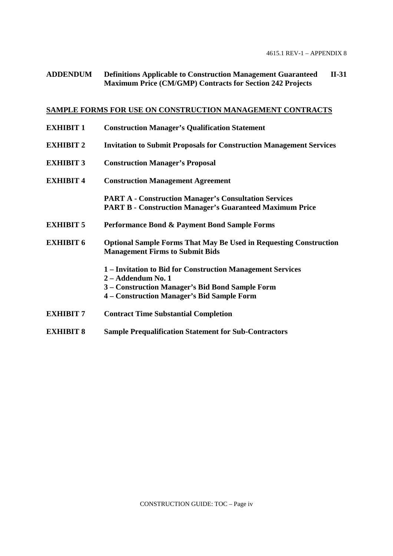# **ADDENDUM Definitions Applicable to Construction Management Guaranteed II-31 Maximum Price (CM/GMP) Contracts for Section 242 Projects**

# **SAMPLE FORMS FOR USE ON CONSTRUCTION MANAGEMENT CONTRACTS**

| <b>EXHIBIT 1</b> | <b>Construction Manager's Qualification Statement</b>                                                                                                                             |
|------------------|-----------------------------------------------------------------------------------------------------------------------------------------------------------------------------------|
| <b>EXHIBIT 2</b> | <b>Invitation to Submit Proposals for Construction Management Services</b>                                                                                                        |
| <b>EXHIBIT 3</b> | <b>Construction Manager's Proposal</b>                                                                                                                                            |
| <b>EXHIBIT 4</b> | <b>Construction Management Agreement</b>                                                                                                                                          |
|                  | <b>PART A - Construction Manager's Consultation Services</b><br><b>PART B - Construction Manager's Guaranteed Maximum Price</b>                                                   |
| <b>EXHIBIT 5</b> | Performance Bond & Payment Bond Sample Forms                                                                                                                                      |
| <b>EXHIBIT 6</b> | <b>Optional Sample Forms That May Be Used in Requesting Construction</b><br><b>Management Firms to Submit Bids</b>                                                                |
|                  | 1 – Invitation to Bid for Construction Management Services<br>2 - Addendum No. 1<br>3 – Construction Manager's Bid Bond Sample Form<br>4 – Construction Manager's Bid Sample Form |
| <b>EXHIBIT 7</b> | <b>Contract Time Substantial Completion</b>                                                                                                                                       |
| <b>EXHIBIT 8</b> | <b>Sample Prequalification Statement for Sub-Contractors</b>                                                                                                                      |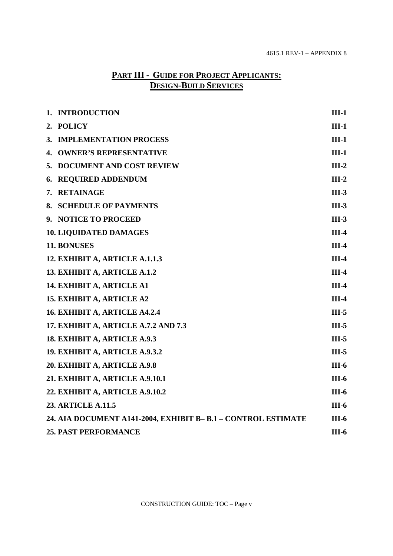# **PART III - GUIDE FOR PROJECT APPLICANTS: DESIGN-BUILD SERVICES**

| 1. INTRODUCTION                                              | $III-1$ |
|--------------------------------------------------------------|---------|
| 2. POLICY                                                    | $III-1$ |
| 3. IMPLEMENTATION PROCESS                                    | $III-1$ |
| <b>4. OWNER'S REPRESENTATIVE</b>                             | $III-1$ |
| 5. DOCUMENT AND COST REVIEW                                  | $III-2$ |
| 6. REQUIRED ADDENDUM                                         | $III-2$ |
| 7. RETAINAGE                                                 | $III-3$ |
| 8. SCHEDULE OF PAYMENTS                                      | $III-3$ |
| 9. NOTICE TO PROCEED                                         | $III-3$ |
| <b>10. LIQUIDATED DAMAGES</b>                                | $III-4$ |
| 11. BONUSES                                                  | $III-4$ |
| 12. EXHIBIT A, ARTICLE A.1.1.3                               | $III-4$ |
| 13. EXHIBIT A, ARTICLE A.1.2                                 | $III-4$ |
| 14. EXHIBIT A, ARTICLE A1                                    | $III-4$ |
| 15. EXHIBIT A, ARTICLE A2                                    | $III-4$ |
| 16. EXHIBIT A, ARTICLE A4.2.4                                | $III-5$ |
| 17. EXHIBIT A, ARTICLE A.7.2 AND 7.3                         | $III-5$ |
| 18. EXHIBIT A, ARTICLE A.9.3                                 | $III-5$ |
| 19. EXHIBIT A, ARTICLE A.9.3.2                               | $III-5$ |
| 20. EXHIBIT A, ARTICLE A.9.8                                 | $III-6$ |
| 21. EXHIBIT A, ARTICLE A.9.10.1                              | $III-6$ |
| 22. EXHIBIT A, ARTICLE A.9.10.2                              | $III-6$ |
| <b>23. ARTICLE A.11.5</b>                                    | $III-6$ |
| 24. AIA DOCUMENT A141-2004, EXHIBIT B-B.1 - CONTROL ESTIMATE | $III-6$ |
| <b>25. PAST PERFORMANCE</b>                                  | $III-6$ |

CONSTRUCTION GUIDE: TOC – Page v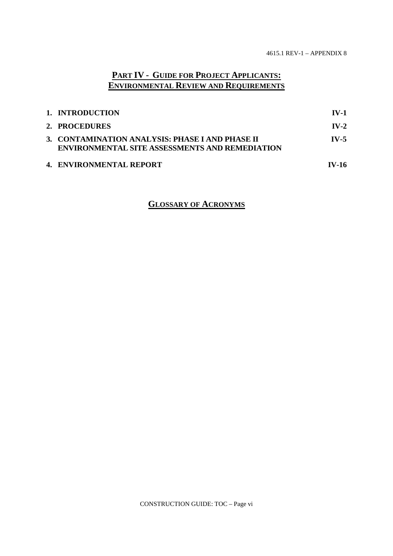# **PART IV - GUIDE FOR PROJECT APPLICANTS: ENVIRONMENTAL REVIEW AND REQUIREMENTS**

| 1. INTRODUCTION                                                                                          | $IV-1$       |
|----------------------------------------------------------------------------------------------------------|--------------|
| 2. PROCEDURES                                                                                            | $IV-2$       |
| 3. CONTAMINATION ANALYSIS: PHASE I AND PHASE II<br><b>ENVIRONMENTAL SITE ASSESSMENTS AND REMEDIATION</b> | $IV-5$       |
| 4. ENVIRONMENTAL REPORT                                                                                  | <b>IV-16</b> |

# **GLOSSARY OF ACRONYMS**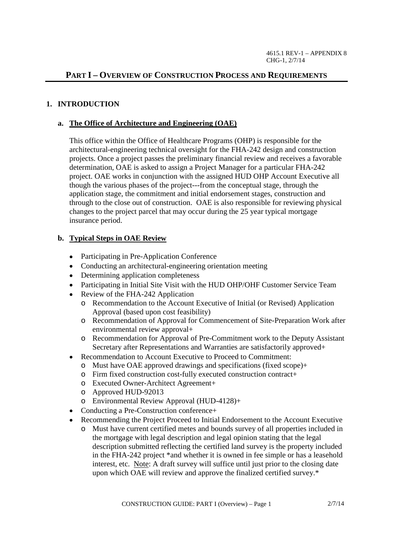# **PART I – OVERVIEW OF CONSTRUCTION PROCESS AND REQUIREMENTS**

#### **1. INTRODUCTION**

#### **a. The Office of Architecture and Engineering (OAE)**

This office within the Office of Healthcare Programs (OHP) is responsible for the architectural-engineering technical oversight for the FHA-242 design and construction projects. Once a project passes the preliminary financial review and receives a favorable determination, OAE is asked to assign a Project Manager for a particular FHA-242 project. OAE works in conjunction with the assigned HUD OHP Account Executive all though the various phases of the project---from the conceptual stage, through the application stage, the commitment and initial endorsement stages, construction and through to the close out of construction. OAE is also responsible for reviewing physical changes to the project parcel that may occur during the 25 year typical mortgage insurance period.

#### **b. Typical Steps in OAE Review**

- Participating in Pre-Application Conference
- Conducting an architectural-engineering orientation meeting
- Determining application completeness
- Participating in Initial Site Visit with the HUD OHP/OHF Customer Service Team
- Review of the FHA-242 Application
	- o Recommendation to the Account Executive of Initial (or Revised) Application Approval (based upon cost feasibility)
	- o Recommendation of Approval for Commencement of Site-Preparation Work after environmental review approval+
	- o Recommendation for Approval of Pre-Commitment work to the Deputy Assistant Secretary after Representations and Warranties are satisfactorily approved+
- $\bullet$ Recommendation to Account Executive to Proceed to Commitment:
	- o Must have OAE approved drawings and specifications (fixed scope)+
	- o Firm fixed construction cost-fully executed construction contract+
	- o Executed Owner-Architect Agreement+
	- o Approved HUD-92013
	- o Environmental Review Approval (HUD-4128)+
- Conducting a Pre-Construction conference+
- Recommending the Project Proceed to Initial Endorsement to the Account Executive
	- o Must have current certified metes and bounds survey of all properties included in the mortgage with legal description and legal opinion stating that the legal description submitted reflecting the certified land survey is the property included in the FHA-242 project \*and whether it is owned in fee simple or has a leasehold interest, etc. Note: A draft survey will suffice until just prior to the closing date upon which OAE will review and approve the finalized certified survey.\*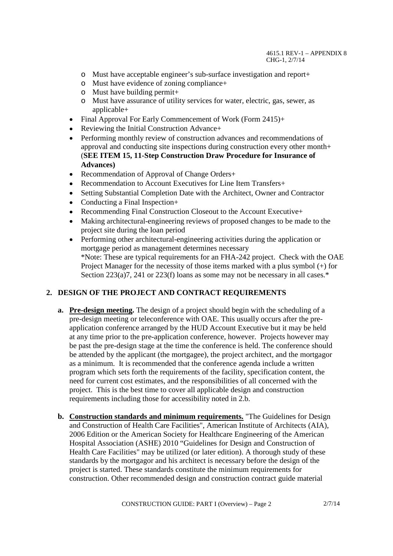- o Must have acceptable engineer's sub-surface investigation and report+
- o Must have evidence of zoning compliance+
- $\circ$  Must have building permit+
- o Must have assurance of utility services for water, electric, gas, sewer, as applicable+
- Final Approval For Early Commencement of Work (Form 2415)+
- Reviewing the Initial Construction Advance+
- Performing monthly review of construction advances and recommendations of approval and conducting site inspections during construction every other month+ (**SEE ITEM 15, 11-Step Construction Draw Procedure for Insurance of Advances)**
- Recommendation of Approval of Change Orders+
- Recommendation to Account Executives for Line Item Transfers+
- Setting Substantial Completion Date with the Architect, Owner and Contractor
- Conducting a Final Inspection+
- Recommending Final Construction Closeout to the Account Executive+
- Making architectural-engineering reviews of proposed changes to be made to the project site during the loan period
- Performing other architectural-engineering activities during the application or mortgage period as management determines necessary \*Note: These are typical requirements for an FHA-242 project. Check with the OAE Project Manager for the necessity of those items marked with a plus symbol (+) for Section 223(a)7, 241 or 223(f) loans as some may not be necessary in all cases.\*

#### **2. DESIGN OF THE PROJECT AND CONTRACT REQUIREMENTS**

- **a. Pre-design meeting.** The design of a project should begin with the scheduling of a pre-design meeting or teleconference with OAE. This usually occurs after the preapplication conference arranged by the HUD Account Executive but it may be held at any time prior to the pre-application conference, however. Projects however may be past the pre-design stage at the time the conference is held. The conference should be attended by the applicant (the mortgagee), the project architect, and the mortgagor as a minimum. It is recommended that the conference agenda include a written program which sets forth the requirements of the facility, specification content, the need for current cost estimates, and the responsibilities of all concerned with the project. This is the best time to cover all applicable design and construction requirements including those for accessibility noted in 2.b.
- **b. Construction standards and minimum requirements.** "The Guidelines for Design and Construction of Health Care Facilities", American Institute of Architects (AIA), 2006 Edition or the American Society for Healthcare Engineering of the American Hospital Association (ASHE) 2010 "Guidelines for Design and Construction of Health Care Facilities" may be utilized (or later edition). A thorough study of these standards by the mortgagor and his architect is necessary before the design of the project is started. These standards constitute the minimum requirements for construction. Other recommended design and construction contract guide material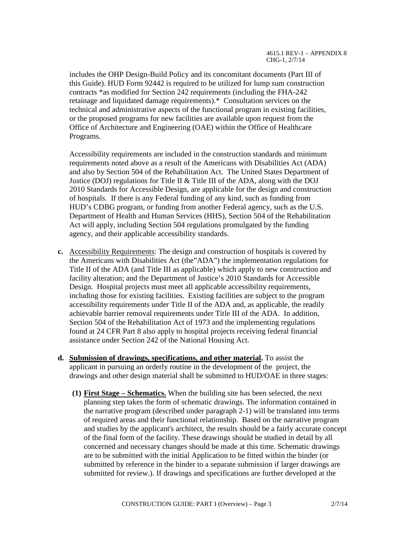includes the OHP Design-Build Policy and its concomitant documents (Part III of this Guide). HUD Form 92442 is required to be utilized for lump sum construction contracts \*as modified for Section 242 requirements (including the FHA-242 retainage and liquidated damage requirements).\* Consultation services on the technical and administrative aspects of the functional program in existing facilities, or the proposed programs for new facilities are available upon request from the Office of Architecture and Engineering (OAE) within the Office of Healthcare Programs.

Accessibility requirements are included in the construction standards and minimum requirements noted above as a result of the Americans with Disabilities Act (ADA) and also by Section 504 of the Rehabilitation Act. The United States Department of Justice (DOJ) regulations for Title II & Title III of the ADA, along with the DOJ 2010 Standards for Accessible Design, are applicable for the design and construction of hospitals. If there is any Federal funding of any kind, such as funding from HUD's CDBG program, or funding from another Federal agency, such as the U.S. Department of Health and Human Services (HHS), Section 504 of the Rehabilitation Act will apply, including Section 504 regulations promulgated by the funding agency, and their applicable accessibility standards.

- **c.** Accessibility Requirements: The design and construction of hospitals is covered by the Americans with Disabilities Act (the"ADA") the implementation regulations for Title II of the ADA (and Title III as applicable) which apply to new construction and facility alteration; and the Department of Justice's 2010 Standards for Accessible Design. Hospital projects must meet all applicable accessibility requirements, including those for existing facilities. Existing facilities are subject to the program accessibility requirements under Title II of the ADA and, as applicable, the readily achievable barrier removal requirements under Title III of the ADA. In addition, Section 504 of the Rehabilitation Act of 1973 and the implementing regulations found at 24 CFR Part 8 also apply to hospital projects receiving federal financial assistance under Section 242 of the National Housing Act.
- **d. Submission of drawings, specifications, and other material.** To assist the applicant in pursuing an orderly routine in the development of the project, the drawings and other design material shall be submitted to HUD/OAE in three stages:
	- **(1) First Stage Schematics.** When the building site has been selected, the next planning step takes the form of schematic drawings. The information contained in the narrative program (described under paragraph 2-1) will be translated into terms of required areas and their functional relationship. Based on the narrative program and studies by the applicant's architect, the results should be a fairly accurate concept of the final form of the facility. These drawings should be studied in detail by all concerned and necessary changes should be made at this time. Schematic drawings are to be submitted with the initial Application to be fitted within the binder (or submitted by reference in the binder to a separate submission if larger drawings are submitted for review.). If drawings and specifications are further developed at the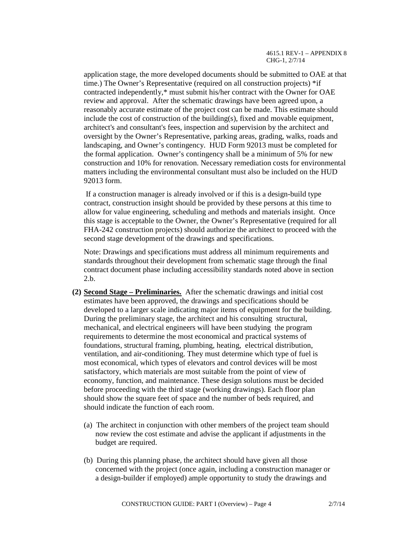application stage, the more developed documents should be submitted to OAE at that time.) The Owner's Representative (required on all construction projects) \*if contracted independently,\* must submit his/her contract with the Owner for OAE review and approval. After the schematic drawings have been agreed upon, a reasonably accurate estimate of the project cost can be made. This estimate should include the cost of construction of the building $(s)$ , fixed and movable equipment, architect's and consultant's fees, inspection and supervision by the architect and oversight by the Owner's Representative, parking areas, grading, walks, roads and landscaping, and Owner's contingency. HUD Form 92013 must be completed for the formal application. Owner's contingency shall be a minimum of 5% for new construction and 10% for renovation. Necessary remediation costs for environmental matters including the environmental consultant must also be included on the HUD 92013 form.

If a construction manager is already involved or if this is a design-build type contract, construction insight should be provided by these persons at this time to allow for value engineering, scheduling and methods and materials insight. Once this stage is acceptable to the Owner, the Owner's Representative (required for all FHA-242 construction projects) should authorize the architect to proceed with the second stage development of the drawings and specifications.

Note: Drawings and specifications must address all minimum requirements and standards throughout their development from schematic stage through the final contract document phase including accessibility standards noted above in section 2.b.

- **(2) Second Stage Preliminaries.** After the schematic drawings and initial cost estimates have been approved, the drawings and specifications should be developed to a larger scale indicating major items of equipment for the building. During the preliminary stage, the architect and his consulting structural, mechanical, and electrical engineers will have been studying the program requirements to determine the most economical and practical systems of foundations, structural framing, plumbing, heating, electrical distribution, ventilation, and air-conditioning. They must determine which type of fuel is most economical, which types of elevators and control devices will be most satisfactory, which materials are most suitable from the point of view of economy, function, and maintenance. These design solutions must be decided before proceeding with the third stage (working drawings). Each floor plan should show the square feet of space and the number of beds required, and should indicate the function of each room.
	- (a) The architect in conjunction with other members of the project team should now review the cost estimate and advise the applicant if adjustments in the budget are required.
	- (b) During this planning phase, the architect should have given all those concerned with the project (once again, including a construction manager or a design-builder if employed) ample opportunity to study the drawings and

CONSTRUCTION GUIDE: PART I (Overview) – Page 4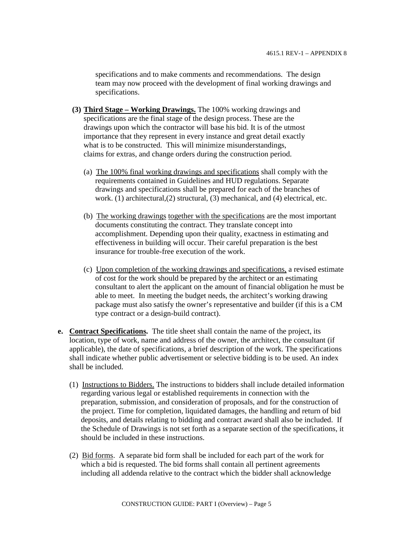specifications and to make comments and recommendations. The design team may now proceed with the development of final working drawings and specifications.

- **(3) Third Stage Working Drawings.** The 100% working drawings and specifications are the final stage of the design process. These are the drawings upon which the contractor will base his bid. It is of the utmost importance that they represent in every instance and great detail exactly what is to be constructed. This will minimize misunderstandings, claims for extras, and change orders during the construction period.
	- (a) The 100% final working drawings and specifications shall comply with the requirements contained in Guidelines and HUD regulations. Separate drawings and specifications shall be prepared for each of the branches of work. (1) architectural,(2) structural, (3) mechanical, and (4) electrical, etc.
	- (b) The working drawings together with the specifications are the most important documents constituting the contract. They translate concept into accomplishment. Depending upon their quality, exactness in estimating and effectiveness in building will occur. Their careful preparation is the best insurance for trouble-free execution of the work.
	- (c) Upon completion of the working drawings and specifications, a revised estimate of cost for the work should be prepared by the architect or an estimating consultant to alert the applicant on the amount of financial obligation he must be able to meet. In meeting the budget needs, the architect's working drawing package must also satisfy the owner's representative and builder (if this is a CM type contract or a design-build contract).
- **e. Contract Specifications.** The title sheet shall contain the name of the project, its location, type of work, name and address of the owner, the architect, the consultant (if applicable), the date of specifications, a brief description of the work. The specifications shall indicate whether public advertisement or selective bidding is to be used. An index shall be included.
	- (1) Instructions to Bidders. The instructions to bidders shall include detailed information regarding various legal or established requirements in connection with the preparation, submission, and consideration of proposals, and for the construction of the project. Time for completion, liquidated damages, the handling and return of bid deposits, and details relating to bidding and contract award shall also be included. If the Schedule of Drawings is not set forth as a separate section of the specifications, it should be included in these instructions.
	- (2) Bid forms. A separate bid form shall be included for each part of the work for which a bid is requested. The bid forms shall contain all pertinent agreements including all addenda relative to the contract which the bidder shall acknowledge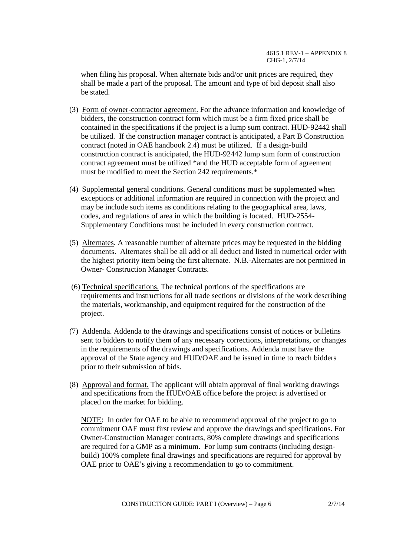when filing his proposal. When alternate bids and/or unit prices are required, they shall be made a part of the proposal. The amount and type of bid deposit shall also be stated.

- (3) Form of owner-contractor agreement. For the advance information and knowledge of bidders, the construction contract form which must be a firm fixed price shall be contained in the specifications if the project is a lump sum contract. HUD-92442 shall be utilized. If the construction manager contract is anticipated, a Part B Construction contract (noted in OAE handbook 2.4) must be utilized. If a design-build construction contract is anticipated, the HUD-92442 lump sum form of construction contract agreement must be utilized \*and the HUD acceptable form of agreement must be modified to meet the Section 242 requirements.\*
- (4) Supplemental general conditions. General conditions must be supplemented when exceptions or additional information are required in connection with the project and may be include such items as conditions relating to the geographical area, laws, codes, and regulations of area in which the building is located. HUD-2554- Supplementary Conditions must be included in every construction contract.
- (5) Alternates. A reasonable number of alternate prices may be requested in the bidding documents. Alternates shall be all add or all deduct and listed in numerical order with the highest priority item being the first alternate. N.B.-Alternates are not permitted in Owner- Construction Manager Contracts.
- (6) Technical specifications. The technical portions of the specifications are requirements and instructions for all trade sections or divisions of the work describing the materials, workmanship, and equipment required for the construction of the project.
- (7) Addenda. Addenda to the drawings and specifications consist of notices or bulletins sent to bidders to notify them of any necessary corrections, interpretations, or changes in the requirements of the drawings and specifications. Addenda must have the approval of the State agency and HUD/OAE and be issued in time to reach bidders prior to their submission of bids.
- (8) Approval and format. The applicant will obtain approval of final working drawings and specifications from the HUD/OAE office before the project is advertised or placed on the market for bidding.

NOTE: In order for OAE to be able to recommend approval of the project to go to commitment OAE must first review and approve the drawings and specifications. For Owner-Construction Manager contracts, 80% complete drawings and specifications are required for a GMP as a minimum. For lump sum contracts (including designbuild) 100% complete final drawings and specifications are required for approval by OAE prior to OAE's giving a recommendation to go to commitment.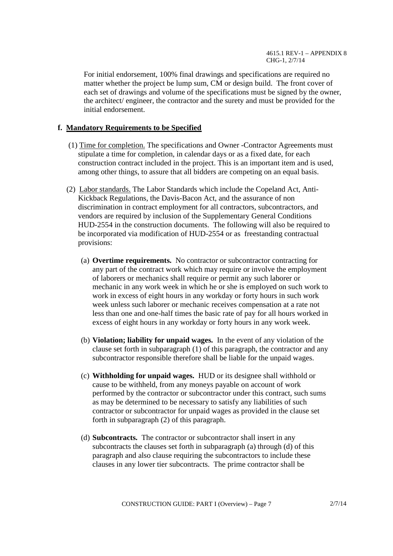For initial endorsement, 100% final drawings and specifications are required no matter whether the project be lump sum, CM or design build. The front cover of each set of drawings and volume of the specifications must be signed by the owner, the architect/ engineer, the contractor and the surety and must be provided for the initial endorsement.

#### **f. Mandatory Requirements to be Specified**

- (1) Time for completion. The specifications and Owner -Contractor Agreements must stipulate a time for completion, in calendar days or as a fixed date, for each construction contract included in the project. This is an important item and is used, among other things, to assure that all bidders are competing on an equal basis.
- (2) Labor standards. The Labor Standards which include the Copeland Act, Anti-Kickback Regulations, the Davis-Bacon Act, and the assurance of non discrimination in contract employment for all contractors, subcontractors, and vendors are required by inclusion of the Supplementary General Conditions HUD-2554 in the construction documents. The following will also be required to be incorporated via modification of HUD-2554 or as freestanding contractual provisions:
	- (a) **Overtime requirements.** No contractor or subcontractor contracting for any part of the contract work which may require or involve the employment of laborers or mechanics shall require or permit any such laborer or mechanic in any work week in which he or she is employed on such work to work in excess of eight hours in any workday or forty hours in such work week unless such laborer or mechanic receives compensation at a rate not less than one and one-half times the basic rate of pay for all hours worked in excess of eight hours in any workday or forty hours in any work week.
	- (b) **Violation; liability for unpaid wages.** In the event of any violation of the clause set forth in subparagraph (1) of this paragraph, the contractor and any subcontractor responsible therefore shall be liable for the unpaid wages.
	- (c) **Withholding for unpaid wages.** HUD or its designee shall withhold or cause to be withheld, from any moneys payable on account of work performed by the contractor or subcontractor under this contract, such sums as may be determined to be necessary to satisfy any liabilities of such contractor or subcontractor for unpaid wages as provided in the clause set forth in subparagraph (2) of this paragraph.
	- (d) **Subcontracts.** The contractor or subcontractor shall insert in any subcontracts the clauses set forth in subparagraph (a) through (d) of this paragraph and also clause requiring the subcontractors to include these clauses in any lower tier subcontracts. The prime contractor shall be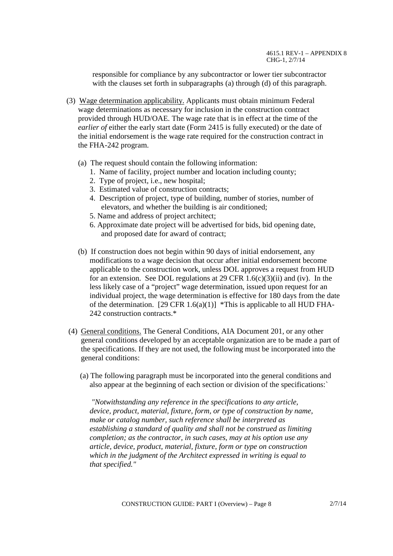responsible for compliance by any subcontractor or lower tier subcontractor with the clauses set forth in subparagraphs (a) through (d) of this paragraph.

- (3) Wage determination applicability. Applicants must obtain minimum Federal wage determinations as necessary for inclusion in the construction contract provided through HUD/OAE. The wage rate that is in effect at the time of the *earlier of* either the early start date (Form 2415 is fully executed) or the date of the initial endorsement is the wage rate required for the construction contract in the FHA-242 program.
	- (a) The request should contain the following information:
		- 1. Name of facility, project number and location including county;
		- 2. Type of project, i.e., new hospital;
		- 3. Estimated value of construction contracts;
		- 4. Description of project, type of building, number of stories, number of elevators, and whether the building is air conditioned;
		- 5. Name and address of project architect;
		- 6. Approximate date project will be advertised for bids, bid opening date, and proposed date for award of contract;
	- (b) If construction does not begin within 90 days of initial endorsement, any modifications to a wage decision that occur after initial endorsement become applicable to the construction work, unless DOL approves a request from HUD for an extension. See DOL regulations at 29 CFR  $1.6(c)(3)(ii)$  and (iv). In the less likely case of a "project" wage determination, issued upon request for an individual project, the wage determination is effective for 180 days from the date of the determination. [29 CFR  $1.6(a)(1)$ ] \*This is applicable to all HUD FHA-242 construction contracts.\*
- (4) General conditions. The General Conditions, AIA Document 201, or any other general conditions developed by an acceptable organization are to be made a part of the specifications. If they are not used, the following must be incorporated into the general conditions:
	- (a) The following paragraph must be incorporated into the general conditions and also appear at the beginning of each section or division of the specifications:`

*"Notwithstanding any reference in the specifications to any article, device, product, material, fixture, form, or type of construction by name, make or catalog number, such reference shall be interpreted as establishing a standard of quality and shall not be construed as limiting completion; as the contractor, in such cases, may at his option use any article, device, product, material, fixture, form or type on construction which in the judgment of the Architect expressed in writing is equal to that specified."*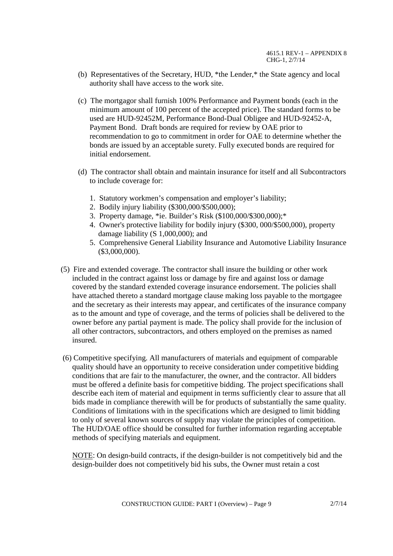- (b) Representatives of the Secretary, HUD, \*the Lender,\* the State agency and local authority shall have access to the work site.
- (c) The mortgagor shall furnish 100% Performance and Payment bonds (each in the minimum amount of 100 percent of the accepted price). The standard forms to be used are HUD-92452M, Performance Bond-Dual Obligee and HUD-92452-A, Payment Bond. Draft bonds are required for review by OAE prior to recommendation to go to commitment in order for OAE to determine whether the bonds are issued by an acceptable surety. Fully executed bonds are required for initial endorsement.
- (d) The contractor shall obtain and maintain insurance for itself and all Subcontractors to include coverage for:
	- 1. Statutory workmen's compensation and employer's liability;
	- 2. Bodily injury liability (\$300,000/\$500,000);
	- 3. Property damage, \*ie. Builder's Risk (\$100,000/\$300,000);\*
	- 4. Owner's protective liability for bodily injury (\$300, 000/\$500,000), property damage liability (S 1,000,000); and
	- 5. Comprehensive General Liability Insurance and Automotive Liability Insurance (\$3,000,000).
- (5) Fire and extended coverage. The contractor shall insure the building or other work included in the contract against loss or damage by fire and against loss or damage covered by the standard extended coverage insurance endorsement. The policies shall have attached thereto a standard mortgage clause making loss payable to the mortgagee and the secretary as their interests may appear, and certificates of the insurance company as to the amount and type of coverage, and the terms of policies shall be delivered to the owner before any partial payment is made. The policy shall provide for the inclusion of all other contractors, subcontractors, and others employed on the premises as named insured.
- (6) Competitive specifying. All manufacturers of materials and equipment of comparable quality should have an opportunity to receive consideration under competitive bidding conditions that are fair to the manufacturer, the owner, and the contractor. All bidders must be offered a definite basis for competitive bidding. The project specifications shall describe each item of material and equipment in terms sufficiently clear to assure that all bids made in compliance therewith will be for products of substantially the same quality. Conditions of limitations with in the specifications which are designed to limit bidding to only of several known sources of supply may violate the principles of competition. The HUD/OAE office should be consulted for further information regarding acceptable methods of specifying materials and equipment.

NOTE: On design-build contracts, if the design-builder is not competitively bid and the design-builder does not competitively bid his subs, the Owner must retain a cost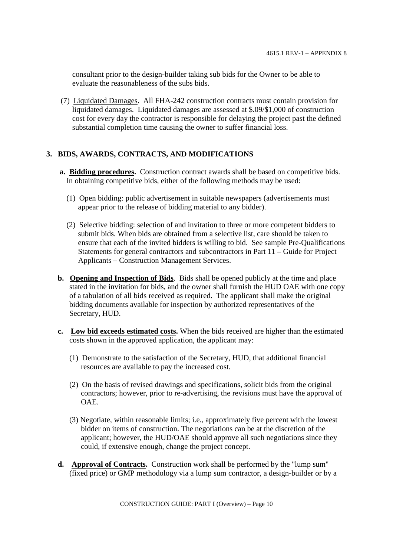consultant prior to the design-builder taking sub bids for the Owner to be able to evaluate the reasonableness of the subs bids.

(7) Liquidated Damages. All FHA-242 construction contracts must contain provision for liquidated damages. Liquidated damages are assessed at \$.09/\$1,000 of construction cost for every day the contractor is responsible for delaying the project past the defined substantial completion time causing the owner to suffer financial loss.

# **3. BIDS, AWARDS, CONTRACTS, AND MODIFICATIONS**

- **a. Bidding procedures.** Construction contract awards shall be based on competitive bids. In obtaining competitive bids, either of the following methods may be used:
	- (1) Open bidding: public advertisement in suitable newspapers (advertisements must appear prior to the release of bidding material to any bidder).
	- (2) Selective bidding: selection of and invitation to three or more competent bidders to submit bids. When bids are obtained from a selective list, care should be taken to ensure that each of the invited bidders is willing to bid. See sample Pre-Qualifications Statements for general contractors and subcontractors in Part 11 – Guide for Project Applicants – Construction Management Services.
- **b. Opening and Inspection of Bids**. Bids shall be opened publicly at the time and place stated in the invitation for bids, and the owner shall furnish the HUD OAE with one copy of a tabulation of all bids received as required. The applicant shall make the original bidding documents available for inspection by authorized representatives of the Secretary, HUD.
- **c. Low bid exceeds estimated costs.** When the bids received are higher than the estimated costs shown in the approved application, the applicant may:
	- (1) Demonstrate to the satisfaction of the Secretary, HUD, that additional financial resources are available to pay the increased cost.
	- (2) On the basis of revised drawings and specifications, solicit bids from the original contractors; however, prior to re-advertising, the revisions must have the approval of OAE.
	- (3) Negotiate, within reasonable limits; i.e., approximately five percent with the lowest bidder on items of construction. The negotiations can be at the discretion of the applicant; however, the HUD/OAE should approve all such negotiations since they could, if extensive enough, change the project concept.
- **d. Approval of Contracts.** Construction work shall be performed by the "lump sum" (fixed price) or GMP methodology via a lump sum contractor, a design-builder or by a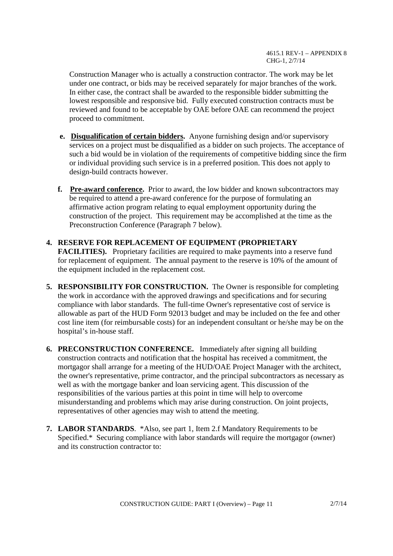Construction Manager who is actually a construction contractor. The work may be let under one contract, or bids may be received separately for major branches of the work. In either case, the contract shall be awarded to the responsible bidder submitting the lowest responsible and responsive bid. Fully executed construction contracts must be reviewed and found to be acceptable by OAE before OAE can recommend the project proceed to commitment.

- **e. Disqualification of certain bidders.** Anyone furnishing design and/or supervisory services on a project must be disqualified as a bidder on such projects. The acceptance of such a bid would be in violation of the requirements of competitive bidding since the firm or individual providing such service is in a preferred position. This does not apply to design-build contracts however.
- **f. Pre-award conference.** Prior to award, the low bidder and known subcontractors may be required to attend a pre-award conference for the purpose of formulating an affirmative action program relating to equal employment opportunity during the construction of the project. This requirement may be accomplished at the time as the Preconstruction Conference (Paragraph 7 below).
- **4. RESERVE FOR REPLACEMENT OF EQUIPMENT (PROPRIETARY FACILITIES).** Proprietary facilities are required to make payments into a reserve fund for replacement of equipment. The annual payment to the reserve is 10% of the amount of the equipment included in the replacement cost.
- **5. RESPONSIBILITY FOR CONSTRUCTION.** The Owner is responsible for completing the work in accordance with the approved drawings and specifications and for securing compliance with labor standards. The full-time Owner's representative cost of service is allowable as part of the HUD Form 92013 budget and may be included on the fee and other cost line item (for reimbursable costs) for an independent consultant or he/she may be on the hospital's in-house staff.
- **6. PRECONSTRUCTION CONFERENCE.** Immediately after signing all building construction contracts and notification that the hospital has received a commitment, the mortgagor shall arrange for a meeting of the HUD/OAE Project Manager with the architect, the owner's representative, prime contractor, and the principal subcontractors as necessary as well as with the mortgage banker and loan servicing agent. This discussion of the responsibilities of the various parties at this point in time will help to overcome misunderstanding and problems which may arise during construction. On joint projects, representatives of other agencies may wish to attend the meeting.
- **7. LABOR STANDARDS**. \*Also, see part 1, Item 2.f Mandatory Requirements to be Specified.\* Securing compliance with labor standards will require the mortgagor (owner) and its construction contractor to: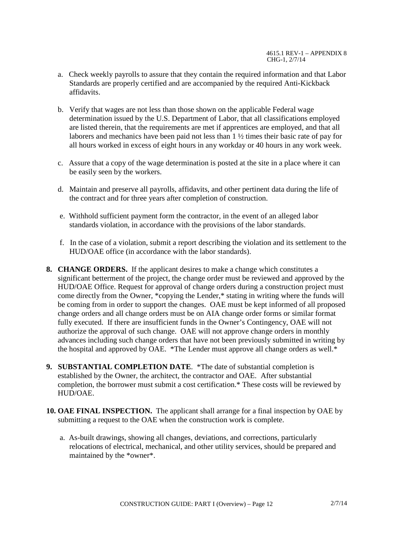- a. Check weekly payrolls to assure that they contain the required information and that Labor Standards are properly certified and are accompanied by the required Anti-Kickback affidavits.
- b. Verify that wages are not less than those shown on the applicable Federal wage determination issued by the U.S. Department of Labor, that all classifications employed are listed therein, that the requirements are met if apprentices are employed, and that all laborers and mechanics have been paid not less than 1 ½ times their basic rate of pay for all hours worked in excess of eight hours in any workday or 40 hours in any work week.
- c. Assure that a copy of the wage determination is posted at the site in a place where it can be easily seen by the workers.
- d. Maintain and preserve all payrolls, affidavits, and other pertinent data during the life of the contract and for three years after completion of construction.
- e. Withhold sufficient payment form the contractor, in the event of an alleged labor standards violation, in accordance with the provisions of the labor standards.
- f. In the case of a violation, submit a report describing the violation and its settlement to the HUD/OAE office (in accordance with the labor standards).
- **8. CHANGE ORDERS.** If the applicant desires to make a change which constitutes a significant betterment of the project, the change order must be reviewed and approved by the HUD/OAE Office. Request for approval of change orders during a construction project must come directly from the Owner, \*copying the Lender,\* stating in writing where the funds will be coming from in order to support the changes. OAE must be kept informed of all proposed change orders and all change orders must be on AIA change order forms or similar format fully executed. If there are insufficient funds in the Owner's Contingency, OAE will not authorize the approval of such change. OAE will not approve change orders in monthly advances including such change orders that have not been previously submitted in writing by the hospital and approved by OAE. \*The Lender must approve all change orders as well.\*
- **9. SUBSTANTIAL COMPLETION DATE**. \*The date of substantial completion is established by the Owner, the architect, the contractor and OAE. After substantial completion, the borrower must submit a cost certification.\* These costs will be reviewed by HUD/OAE.
- **10. OAE FINAL INSPECTION.** The applicant shall arrange for a final inspection by OAE by submitting a request to the OAE when the construction work is complete.
	- a. As-built drawings, showing all changes, deviations, and corrections, particularly relocations of electrical, mechanical, and other utility services, should be prepared and maintained by the \*owner\*.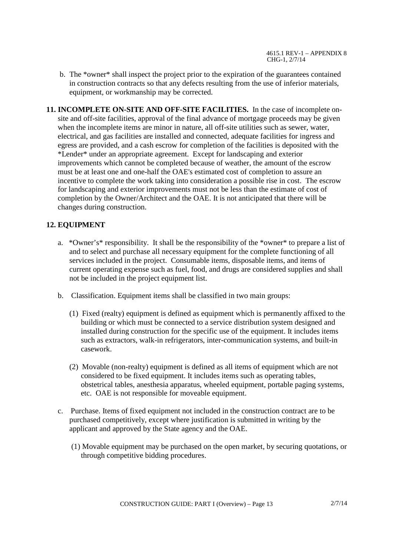- b. The \*owner\* shall inspect the project prior to the expiration of the guarantees contained in construction contracts so that any defects resulting from the use of inferior materials, equipment, or workmanship may be corrected.
- **11. INCOMPLETE ON-SITE AND OFF-SITE FACILITIES.** In the case of incomplete onsite and off-site facilities, approval of the final advance of mortgage proceeds may be given when the incomplete items are minor in nature, all off-site utilities such as sewer, water, electrical, and gas facilities are installed and connected, adequate facilities for ingress and egress are provided, and a cash escrow for completion of the facilities is deposited with the \*Lender\* under an appropriate agreement. Except for landscaping and exterior improvements which cannot be completed because of weather, the amount of the escrow must be at least one and one-half the OAE's estimated cost of completion to assure an incentive to complete the work taking into consideration a possible rise in cost. The escrow for landscaping and exterior improvements must not be less than the estimate of cost of completion by the Owner/Architect and the OAE. It is not anticipated that there will be changes during construction.

# **12. EQUIPMENT**

- a. \*Owner's\* responsibility. It shall be the responsibility of the \*owner\* to prepare a list of and to select and purchase all necessary equipment for the complete functioning of all services included in the project. Consumable items, disposable items, and items of current operating expense such as fuel, food, and drugs are considered supplies and shall not be included in the project equipment list.
- b. Classification. Equipment items shall be classified in two main groups:
	- (1) Fixed (realty) equipment is defined as equipment which is permanently affixed to the building or which must be connected to a service distribution system designed and installed during construction for the specific use of the equipment. It includes items such as extractors, walk-in refrigerators, inter-communication systems, and built-in casework.
	- (2) Movable (non-realty) equipment is defined as all items of equipment which are not considered to be fixed equipment. It includes items such as operating tables, obstetrical tables, anesthesia apparatus, wheeled equipment, portable paging systems, etc. OAE is not responsible for moveable equipment.
- c. Purchase. Items of fixed equipment not included in the construction contract are to be purchased competitively, except where justification is submitted in writing by the applicant and approved by the State agency and the OAE.
	- (1) Movable equipment may be purchased on the open market, by securing quotations, or through competitive bidding procedures.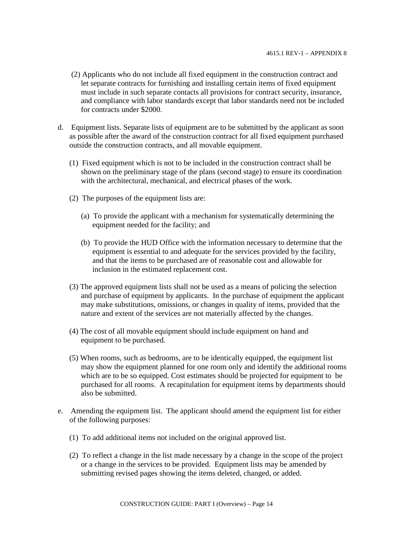- (2) Applicants who do not include all fixed equipment in the construction contract and let separate contracts for furnishing and installing certain items of fixed equipment must include in such separate contacts all provisions for contract security, insurance, and compliance with labor standards except that labor standards need not be included for contracts under \$2000.
- d. Equipment lists. Separate lists of equipment are to be submitted by the applicant as soon as possible after the award of the construction contract for all fixed equipment purchased outside the construction contracts, and all movable equipment.
	- (1) Fixed equipment which is not to be included in the construction contract shall be shown on the preliminary stage of the plans (second stage) to ensure its coordination with the architectural, mechanical, and electrical phases of the work.
	- (2) The purposes of the equipment lists are:
		- (a) To provide the applicant with a mechanism for systematically determining the equipment needed for the facility; and
		- (b) To provide the HUD Office with the information necessary to determine that the equipment is essential to and adequate for the services provided by the facility, and that the items to be purchased are of reasonable cost and allowable for inclusion in the estimated replacement cost.
	- (3) The approved equipment lists shall not be used as a means of policing the selection and purchase of equipment by applicants. In the purchase of equipment the applicant may make substitutions, omissions, or changes in quality of items, provided that the nature and extent of the services are not materially affected by the changes.
	- (4) The cost of all movable equipment should include equipment on hand and equipment to be purchased.
	- (5) When rooms, such as bedrooms, are to be identically equipped, the equipment list may show the equipment planned for one room only and identify the additional rooms which are to be so equipped. Cost estimates should be projected for equipment to be purchased for all rooms. A recapitulation for equipment items by departments should also be submitted.
- e. Amending the equipment list. The applicant should amend the equipment list for either of the following purposes:
	- (1) To add additional items not included on the original approved list.
	- (2) To reflect a change in the list made necessary by a change in the scope of the project or a change in the services to be provided. Equipment lists may be amended by submitting revised pages showing the items deleted, changed, or added.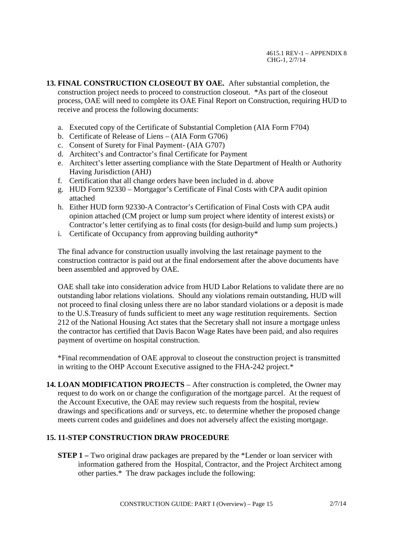**13. FINAL CONSTRUCTION CLOSEOUT BY OAE.** After substantial completion, the construction project needs to proceed to construction closeout. \*As part of the closeout process, OAE will need to complete its OAE Final Report on Construction, requiring HUD to receive and process the following documents:

- a. Executed copy of the Certificate of Substantial Completion (AIA Form F704)
- b. Certificate of Release of Liens (AIA Form G706)
- c. Consent of Surety for Final Payment- (AIA G707)
- d. Architect's and Contractor's final Certificate for Payment
- e. Architect's letter asserting compliance with the State Department of Health or Authority Having Jurisdiction (AHJ)
- f. Certification that all change orders have been included in d. above
- g. HUD Form 92330 Mortgagor's Certificate of Final Costs with CPA audit opinion attached
- h. Either HUD form 92330-A Contractor's Certification of Final Costs with CPA audit opinion attached (CM project or lump sum project where identity of interest exists) or Contractor's letter certifying as to final costs (for design-build and lump sum projects.)
- i. Certificate of Occupancy from approving building authority\*

The final advance for construction usually involving the last retainage payment to the construction contractor is paid out at the final endorsement after the above documents have been assembled and approved by OAE.

OAE shall take into consideration advice from HUD Labor Relations to validate there are no outstanding labor relations violations. Should any violations remain outstanding, HUD will not proceed to final closing unless there are no labor standard violations or a deposit is made to the U.S.Treasury of funds sufficient to meet any wage restitution requirements. Section 212 of the National Housing Act states that the Secretary shall not insure a mortgage unless the contractor has certified that Davis Bacon Wage Rates have been paid, and also requires payment of overtime on hospital construction.

\*Final recommendation of OAE approval to closeout the construction project is transmitted in writing to the OHP Account Executive assigned to the FHA-242 project.\*

**14. LOAN MODIFICATION PROJECTS** – After construction is completed, the Owner may request to do work on or change the configuration of the mortgage parcel. At the request of the Account Executive, the OAE may review such requests from the hospital, review drawings and specifications and/ or surveys, etc. to determine whether the proposed change meets current codes and guidelines and does not adversely affect the existing mortgage.

# **15. 11-STEP CONSTRUCTION DRAW PROCEDURE**

**STEP 1** – Two original draw packages are prepared by the \*Lender or loan servicer with information gathered from the Hospital, Contractor, and the Project Architect among other parties.\* The draw packages include the following: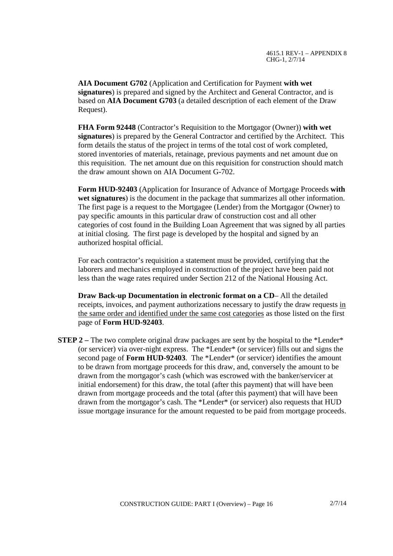**AIA Document G702** (Application and Certification for Payment **with wet signatures**) is prepared and signed by the Architect and General Contractor, and is based on **AIA Document G703** (a detailed description of each element of the Draw Request).

**FHA Form 92448** (Contractor's Requisition to the Mortgagor (Owner)) **with wet signatures**) is prepared by the General Contractor and certified by the Architect. This form details the status of the project in terms of the total cost of work completed, stored inventories of materials, retainage, previous payments and net amount due on this requisition. The net amount due on this requisition for construction should match the draw amount shown on AIA Document G-702.

**Form HUD-92403** (Application for Insurance of Advance of Mortgage Proceeds **with wet signatures**) is the document in the package that summarizes all other information. The first page is a request to the Mortgagee (Lender) from the Mortgagor (Owner) to pay specific amounts in this particular draw of construction cost and all other categories of cost found in the Building Loan Agreement that was signed by all parties at initial closing. The first page is developed by the hospital and signed by an authorized hospital official.

For each contractor's requisition a statement must be provided, certifying that the laborers and mechanics employed in construction of the project have been paid not less than the wage rates required under Section 212 of the National Housing Act.

**Draw Back-up Documentation in electronic format on a CD**– All the detailed receipts, invoices, and payment authorizations necessary to justify the draw requests in the same order and identified under the same cost categories as those listed on the first page of **Form HUD-92403**.

**STEP 2** – The two complete original draw packages are sent by the hospital to the \*Lender\* (or servicer) via over-night express. The \*Lender\* (or servicer) fills out and signs the second page of **Form HUD-92403**. The \*Lender\* (or servicer) identifies the amount to be drawn from mortgage proceeds for this draw, and, conversely the amount to be drawn from the mortgagor's cash (which was escrowed with the banker/servicer at initial endorsement) for this draw, the total (after this payment) that will have been drawn from mortgage proceeds and the total (after this payment) that will have been drawn from the mortgagor's cash. The \*Lender\* (or servicer) also requests that HUD issue mortgage insurance for the amount requested to be paid from mortgage proceeds.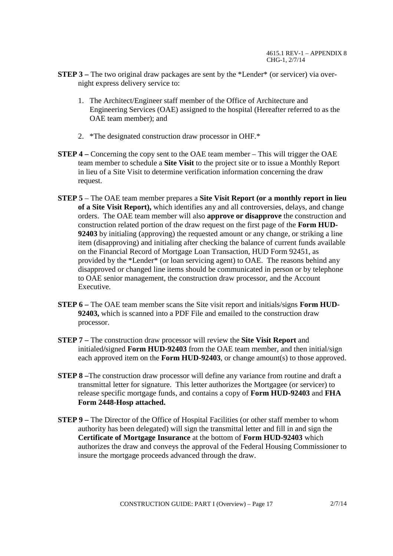- **STEP 3** The two original draw packages are sent by the \*Lender\* (or servicer) via overnight express delivery service to:
	- 1. The Architect/Engineer staff member of the Office of Architecture and Engineering Services (OAE) assigned to the hospital (Hereafter referred to as the OAE team member); and
	- 2. \*The designated construction draw processor in OHF.\*
- **STEP 4 –** Concerning the copy sent to the OAE team member This will trigger the OAE team member to schedule a **Site Visit** to the project site or to issue a Monthly Report in lieu of a Site Visit to determine verification information concerning the draw request.
- **STEP 5** The OAE team member prepares a **Site Visit Report (or a monthly report in lieu of a Site Visit Report),** which identifies any and all controversies, delays, and change orders. The OAE team member will also **approve or disapprove** the construction and construction related portion of the draw request on the first page of the **Form HUD-92403** by initialing (approving) the requested amount or any change, or striking a line item (disapproving) and initialing after checking the balance of current funds available on the Financial Record of Mortgage Loan Transaction, HUD Form 92451, as provided by the \*Lender\* (or loan servicing agent) to OAE. The reasons behind any disapproved or changed line items should be communicated in person or by telephone to OAE senior management, the construction draw processor, and the Account Executive.
- **STEP 6 –** The OAE team member scans the Site visit report and initials/signs **Form HUD-92403,** which is scanned into a PDF File and emailed to the construction draw processor.
- **STEP 7 –** The construction draw processor will review the **Site Visit Report** and initialed**/**signed **Form HUD-92403** from the OAE team member, and then initial/sign each approved item on the **Form HUD-92403**, or change amount(s) to those approved.
- **STEP 8 –**The construction draw processor will define any variance from routine and draft a transmittal letter for signature. This letter authorizes the Mortgagee (or servicer) to release specific mortgage funds, and contains a copy of **Form HUD-92403** and **FHA Form 2448-Hosp attached.**
- **STEP 9 –** The Director of the Office of Hospital Facilities (or other staff member to whom authority has been delegated) will sign the transmittal letter and fill in and sign the **Certificate of Mortgage Insurance** at the bottom of **Form HUD-92403** which authorizes the draw and conveys the approval of the Federal Housing Commissioner to insure the mortgage proceeds advanced through the draw.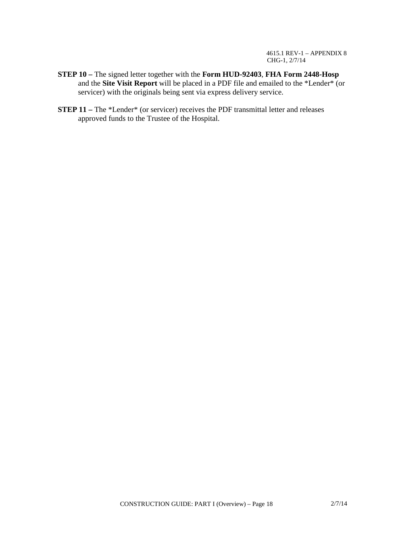4615.1 REV-1 – APPENDIX 8 CHG-1, 2/7/14

- **STEP 10 –** The signed letter together with the **Form HUD-92403**, **FHA Form 2448-Hosp** and the **Site Visit Report** will be placed in a PDF file and emailed to the \*Lender\* (or servicer) with the originals being sent via express delivery service.
- **STEP 11** The \*Lender\* (or servicer) receives the PDF transmittal letter and releases approved funds to the Trustee of the Hospital.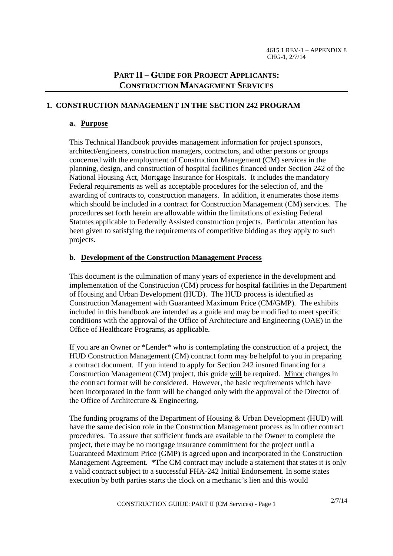# **PART II – GUIDE FOR PROJECT APPLICANTS: CONSTRUCTION MANAGEMENT SERVICES**

# **1. CONSTRUCTION MANAGEMENT IN THE SECTION 242 PROGRAM**

# **a. Purpose**

This Technical Handbook provides management information for project sponsors, architect/engineers, construction managers, contractors, and other persons or groups concerned with the employment of Construction Management (CM) services in the planning, design, and construction of hospital facilities financed under Section 242 of the National Housing Act, Mortgage Insurance for Hospitals. It includes the mandatory Federal requirements as well as acceptable procedures for the selection of, and the awarding of contracts to, construction managers. In addition, it enumerates those items which should be included in a contract for Construction Management (CM) services. The procedures set forth herein are allowable within the limitations of existing Federal Statutes applicable to Federally Assisted construction projects. Particular attention has been given to satisfying the requirements of competitive bidding as they apply to such projects.

# **b. Development of the Construction Management Process**

This document is the culmination of many years of experience in the development and implementation of the Construction (CM) process for hospital facilities in the Department of Housing and Urban Development (HUD). The HUD process is identified as Construction Management with Guaranteed Maximum Price (CM/GMP). The exhibits included in this handbook are intended as a guide and may be modified to meet specific conditions with the approval of the Office of Architecture and Engineering (OAE) in the Office of Healthcare Programs, as applicable.

If you are an Owner or \*Lender\* who is contemplating the construction of a project, the HUD Construction Management (CM) contract form may be helpful to you in preparing a contract document. If you intend to apply for Section 242 insured financing for a Construction Management (CM) project, this guide will be required. Minor changes in the contract format will be considered. However, the basic requirements which have been incorporated in the form will be changed only with the approval of the Director of the Office of Architecture & Engineering.

The funding programs of the Department of Housing & Urban Development (HUD) will have the same decision role in the Construction Management process as in other contract procedures. To assure that sufficient funds are available to the Owner to complete the project, there may be no mortgage insurance commitment for the project until a Guaranteed Maximum Price (GMP) is agreed upon and incorporated in the Construction Management Agreement. \*The CM contract may include a statement that states it is only a valid contract subject to a successful FHA-242 Initial Endorsement. In some states execution by both parties starts the clock on a mechanic's lien and this would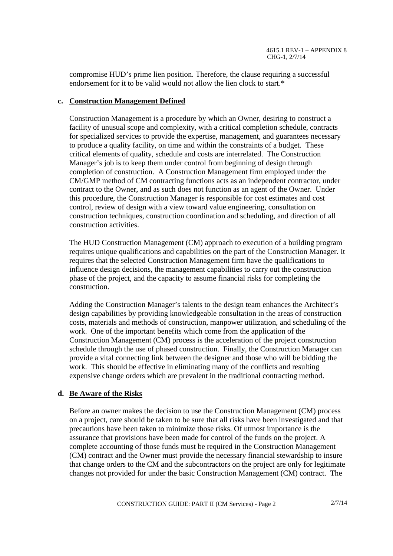compromise HUD's prime lien position. Therefore, the clause requiring a successful endorsement for it to be valid would not allow the lien clock to start.\*

#### **c. Construction Management Defined**

Construction Management is a procedure by which an Owner, desiring to construct a facility of unusual scope and complexity, with a critical completion schedule, contracts for specialized services to provide the expertise, management, and guarantees necessary to produce a quality facility, on time and within the constraints of a budget. These critical elements of quality, schedule and costs are interrelated. The Construction Manager's job is to keep them under control from beginning of design through completion of construction. A Construction Management firm employed under the CM/GMP method of CM contracting functions acts as an independent contractor, under contract to the Owner, and as such does not function as an agent of the Owner. Under this procedure, the Construction Manager is responsible for cost estimates and cost control, review of design with a view toward value engineering, consultation on construction techniques, construction coordination and scheduling, and direction of all construction activities.

The HUD Construction Management (CM) approach to execution of a building program requires unique qualifications and capabilities on the part of the Construction Manager. It requires that the selected Construction Management firm have the qualifications to influence design decisions, the management capabilities to carry out the construction phase of the project, and the capacity to assume financial risks for completing the construction.

Adding the Construction Manager's talents to the design team enhances the Architect's design capabilities by providing knowledgeable consultation in the areas of construction costs, materials and methods of construction, manpower utilization, and scheduling of the work. One of the important benefits which come from the application of the Construction Management (CM) process is the acceleration of the project construction schedule through the use of phased construction. Finally, the Construction Manager can provide a vital connecting link between the designer and those who will be bidding the work. This should be effective in eliminating many of the conflicts and resulting expensive change orders which are prevalent in the traditional contracting method.

# **d. Be Aware of the Risks**

Before an owner makes the decision to use the Construction Management (CM) process on a project, care should be taken to be sure that all risks have been investigated and that precautions have been taken to minimize those risks. Of utmost importance is the assurance that provisions have been made for control of the funds on the project. A complete accounting of those funds must be required in the Construction Management (CM) contract and the Owner must provide the necessary financial stewardship to insure that change orders to the CM and the subcontractors on the project are only for legitimate changes not provided for under the basic Construction Management (CM) contract. The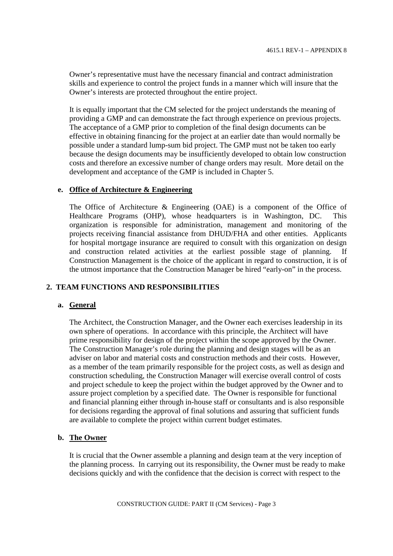Owner's representative must have the necessary financial and contract administration skills and experience to control the project funds in a manner which will insure that the Owner's interests are protected throughout the entire project.

It is equally important that the CM selected for the project understands the meaning of providing a GMP and can demonstrate the fact through experience on previous projects. The acceptance of a GMP prior to completion of the final design documents can be effective in obtaining financing for the project at an earlier date than would normally be possible under a standard lump-sum bid project. The GMP must not be taken too early because the design documents may be insufficiently developed to obtain low construction costs and therefore an excessive number of change orders may result. More detail on the development and acceptance of the GMP is included in Chapter 5.

#### **e. Office of Architecture & Engineering**

The Office of Architecture & Engineering (OAE) is a component of the Office of Healthcare Programs (OHP), whose headquarters is in Washington, DC. This organization is responsible for administration, management and monitoring of the projects receiving financial assistance from DHUD/FHA and other entities. Applicants for hospital mortgage insurance are required to consult with this organization on design and construction related activities at the earliest possible stage of planning. If Construction Management is the choice of the applicant in regard to construction, it is of the utmost importance that the Construction Manager be hired "early-on" in the process.

#### **2. TEAM FUNCTIONS AND RESPONSIBILITIES**

#### **a. General**

The Architect, the Construction Manager, and the Owner each exercises leadership in its own sphere of operations. In accordance with this principle, the Architect will have prime responsibility for design of the project within the scope approved by the Owner. The Construction Manager's role during the planning and design stages will be as an adviser on labor and material costs and construction methods and their costs. However, as a member of the team primarily responsible for the project costs, as well as design and construction scheduling, the Construction Manager will exercise overall control of costs and project schedule to keep the project within the budget approved by the Owner and to assure project completion by a specified date. The Owner is responsible for functional and financial planning either through in-house staff or consultants and is also responsible for decisions regarding the approval of final solutions and assuring that sufficient funds are available to complete the project within current budget estimates.

#### **b. The Owner**

It is crucial that the Owner assemble a planning and design team at the very inception of the planning process. In carrying out its responsibility, the Owner must be ready to make decisions quickly and with the confidence that the decision is correct with respect to the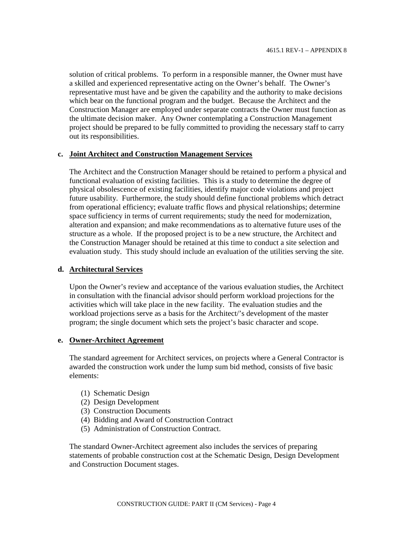solution of critical problems. To perform in a responsible manner, the Owner must have a skilled and experienced representative acting on the Owner's behalf. The Owner's representative must have and be given the capability and the authority to make decisions which bear on the functional program and the budget. Because the Architect and the Construction Manager are employed under separate contracts the Owner must function as the ultimate decision maker. Any Owner contemplating a Construction Management project should be prepared to be fully committed to providing the necessary staff to carry out its responsibilities.

#### **c. Joint Architect and Construction Management Services**

The Architect and the Construction Manager should be retained to perform a physical and functional evaluation of existing facilities. This is a study to determine the degree of physical obsolescence of existing facilities, identify major code violations and project future usability. Furthermore, the study should define functional problems which detract from operational efficiency; evaluate traffic flows and physical relationships; determine space sufficiency in terms of current requirements; study the need for modernization, alteration and expansion; and make recommendations as to alternative future uses of the structure as a whole. If the proposed project is to be a new structure, the Architect and the Construction Manager should be retained at this time to conduct a site selection and evaluation study. This study should include an evaluation of the utilities serving the site.

#### **d. Architectural Services**

Upon the Owner's review and acceptance of the various evaluation studies, the Architect in consultation with the financial advisor should perform workload projections for the activities which will take place in the new facility. The evaluation studies and the workload projections serve as a basis for the Architect/'s development of the master program; the single document which sets the project's basic character and scope.

#### **e. Owner-Architect Agreement**

The standard agreement for Architect services, on projects where a General Contractor is awarded the construction work under the lump sum bid method, consists of five basic elements:

- (1) Schematic Design
- (2) Design Development
- (3) Construction Documents
- (4) Bidding and Award of Construction Contract
- (5) Administration of Construction Contract.

The standard Owner-Architect agreement also includes the services of preparing statements of probable construction cost at the Schematic Design, Design Development and Construction Document stages.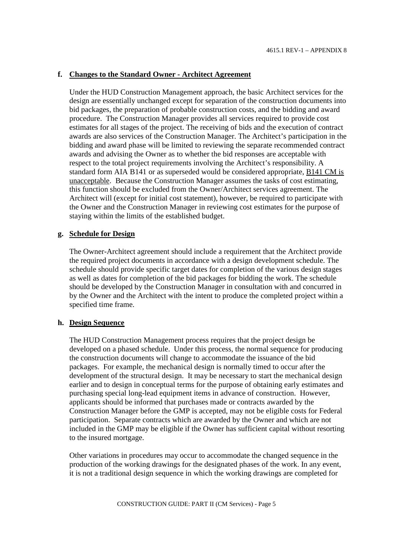#### **f. Changes to the Standard Owner - Architect Agreement**

Under the HUD Construction Management approach, the basic Architect services for the design are essentially unchanged except for separation of the construction documents into bid packages, the preparation of probable construction costs, and the bidding and award procedure. The Construction Manager provides all services required to provide cost estimates for all stages of the project. The receiving of bids and the execution of contract awards are also services of the Construction Manager. The Architect's participation in the bidding and award phase will be limited to reviewing the separate recommended contract awards and advising the Owner as to whether the bid responses are acceptable with respect to the total project requirements involving the Architect's responsibility. A standard form AIA B141 or as superseded would be considered appropriate, B141 CM is unacceptable. Because the Construction Manager assumes the tasks of cost estimating, this function should be excluded from the Owner/Architect services agreement. The Architect will (except for initial cost statement), however, be required to participate with the Owner and the Construction Manager in reviewing cost estimates for the purpose of staying within the limits of the established budget.

#### **g. Schedule for Design**

The Owner-Architect agreement should include a requirement that the Architect provide the required project documents in accordance with a design development schedule. The schedule should provide specific target dates for completion of the various design stages as well as dates for completion of the bid packages for bidding the work. The schedule should be developed by the Construction Manager in consultation with and concurred in by the Owner and the Architect with the intent to produce the completed project within a specified time frame.

#### **h. Design Sequence**

The HUD Construction Management process requires that the project design be developed on a phased schedule. Under this process, the normal sequence for producing the construction documents will change to accommodate the issuance of the bid packages. For example, the mechanical design is normally timed to occur after the development of the structural design. It may be necessary to start the mechanical design earlier and to design in conceptual terms for the purpose of obtaining early estimates and purchasing special long-lead equipment items in advance of construction. However, applicants should be informed that purchases made or contracts awarded by the Construction Manager before the GMP is accepted, may not be eligible costs for Federal participation. Separate contracts which are awarded by the Owner and which are not included in the GMP may be eligible if the Owner has sufficient capital without resorting to the insured mortgage.

Other variations in procedures may occur to accommodate the changed sequence in the production of the working drawings for the designated phases of the work. In any event, it is not a traditional design sequence in which the working drawings are completed for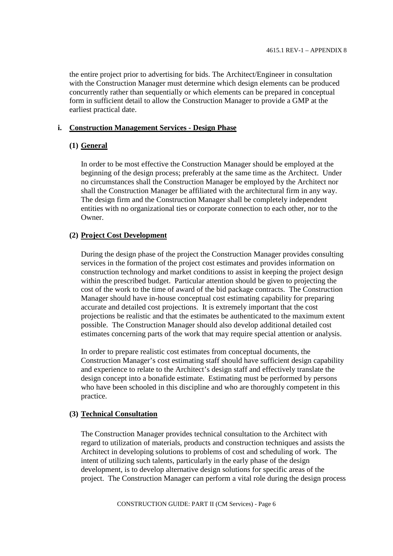the entire project prior to advertising for bids. The Architect/Engineer in consultation with the Construction Manager must determine which design elements can be produced concurrently rather than sequentially or which elements can be prepared in conceptual form in sufficient detail to allow the Construction Manager to provide a GMP at the earliest practical date.

#### **i. Construction Management Services - Design Phase**

#### **(1) General**

In order to be most effective the Construction Manager should be employed at the beginning of the design process; preferably at the same time as the Architect. Under no circumstances shall the Construction Manager be employed by the Architect nor shall the Construction Manager be affiliated with the architectural firm in any way. The design firm and the Construction Manager shall be completely independent entities with no organizational ties or corporate connection to each other, nor to the Owner.

#### **(2) Project Cost Development**

During the design phase of the project the Construction Manager provides consulting services in the formation of the project cost estimates and provides information on construction technology and market conditions to assist in keeping the project design within the prescribed budget. Particular attention should be given to projecting the cost of the work to the time of award of the bid package contracts. The Construction Manager should have in-house conceptual cost estimating capability for preparing accurate and detailed cost projections. It is extremely important that the cost projections be realistic and that the estimates be authenticated to the maximum extent possible. The Construction Manager should also develop additional detailed cost estimates concerning parts of the work that may require special attention or analysis.

In order to prepare realistic cost estimates from conceptual documents, the Construction Manager's cost estimating staff should have sufficient design capability and experience to relate to the Architect's design staff and effectively translate the design concept into a bonafide estimate. Estimating must be performed by persons who have been schooled in this discipline and who are thoroughly competent in this practice.

#### **(3) Technical Consultation**

The Construction Manager provides technical consultation to the Architect with regard to utilization of materials, products and construction techniques and assists the Architect in developing solutions to problems of cost and scheduling of work. The intent of utilizing such talents, particularly in the early phase of the design development, is to develop alternative design solutions for specific areas of the project. The Construction Manager can perform a vital role during the design process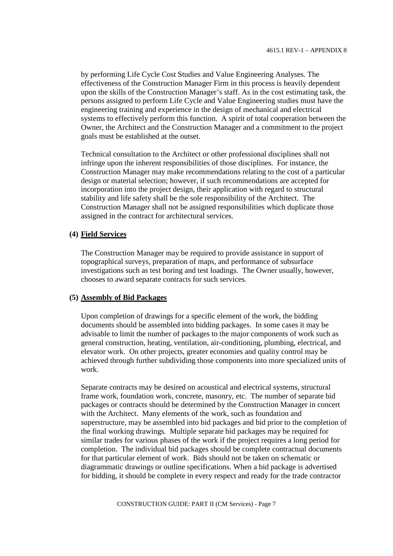by performing Life Cycle Cost Studies and Value Engineering Analyses. The effectiveness of the Construction Manager Firm in this process is heavily dependent upon the skills of the Construction Manager's staff. As in the cost estimating task, the persons assigned to perform Life Cycle and Value Engineering studies must have the engineering training and experience in the design of mechanical and electrical systems to effectively perform this function. A spirit of total cooperation between the Owner, the Architect and the Construction Manager and a commitment to the project goals must be established at the outset.

Technical consultation to the Architect or other professional disciplines shall not infringe upon the inherent responsibilities of those disciplines. For instance, the Construction Manager may make recommendations relating to the cost of a particular design or material selection; however, if such recommendations are accepted for incorporation into the project design, their application with regard to structural stability and life safety shall be the sole responsibility of the Architect. The Construction Manager shall not be assigned responsibilities which duplicate those assigned in the contract for architectural services.

#### **(4) Field Services**

The Construction Manager may be required to provide assistance in support of topographical surveys, preparation of maps, and performance of subsurface investigations such as test boring and test loadings. The Owner usually, however, chooses to award separate contracts for such services.

#### **(5) Assembly of Bid Packages**

Upon completion of drawings for a specific element of the work, the bidding documents should be assembled into bidding packages. In some cases it may be advisable to limit the number of packages to the major components of work such as general construction, heating, ventilation, air-conditioning, plumbing, electrical, and elevator work. On other projects, greater economies and quality control may be achieved through further subdividing those components into more specialized units of work.

Separate contracts may be desired on acoustical and electrical systems, structural frame work, foundation work, concrete, masonry, etc. The number of separate bid packages or contracts should be determined by the Construction Manager in concert with the Architect. Many elements of the work, such as foundation and superstructure, may be assembled into bid packages and bid prior to the completion of the final working drawings. Multiple separate bid packages may be required for similar trades for various phases of the work if the project requires a long period for completion. The individual bid packages should be complete contractual documents for that particular element of work. Bids should not be taken on schematic or diagrammatic drawings or outline specifications. When a bid package is advertised for bidding, it should be complete in every respect and ready for the trade contractor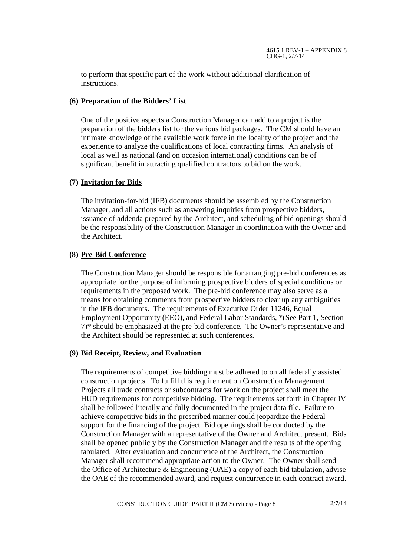to perform that specific part of the work without additional clarification of instructions.

# **(6) Preparation of the Bidders' List**

One of the positive aspects a Construction Manager can add to a project is the preparation of the bidders list for the various bid packages. The CM should have an intimate knowledge of the available work force in the locality of the project and the experience to analyze the qualifications of local contracting firms. An analysis of local as well as national (and on occasion international) conditions can be of significant benefit in attracting qualified contractors to bid on the work.

# **(7) Invitation for Bids**

The invitation-for-bid (IFB) documents should be assembled by the Construction Manager, and all actions such as answering inquiries from prospective bidders, issuance of addenda prepared by the Architect, and scheduling of bid openings should be the responsibility of the Construction Manager in coordination with the Owner and the Architect.

# **(8) Pre-Bid Conference**

The Construction Manager should be responsible for arranging pre-bid conferences as appropriate for the purpose of informing prospective bidders of special conditions or requirements in the proposed work. The pre-bid conference may also serve as a means for obtaining comments from prospective bidders to clear up any ambiguities in the IFB documents. The requirements of Executive Order 11246, Equal Employment Opportunity (EEO), and Federal Labor Standards, \*(See Part 1, Section 7)\* should be emphasized at the pre-bid conference. The Owner's representative and the Architect should be represented at such conferences.

# **(9) Bid Receipt, Review, and Evaluation**

The requirements of competitive bidding must be adhered to on all federally assisted construction projects. To fulfill this requirement on Construction Management Projects all trade contracts or subcontracts for work on the project shall meet the HUD requirements for competitive bidding. The requirements set forth in Chapter IV shall be followed literally and fully documented in the project data file. Failure to achieve competitive bids in the prescribed manner could jeopardize the Federal support for the financing of the project. Bid openings shall be conducted by the Construction Manager with a representative of the Owner and Architect present. Bids shall be opened publicly by the Construction Manager and the results of the opening tabulated. After evaluation and concurrence of the Architect, the Construction Manager shall recommend appropriate action to the Owner. The Owner shall send the Office of Architecture & Engineering (OAE) a copy of each bid tabulation, advise the OAE of the recommended award, and request concurrence in each contract award.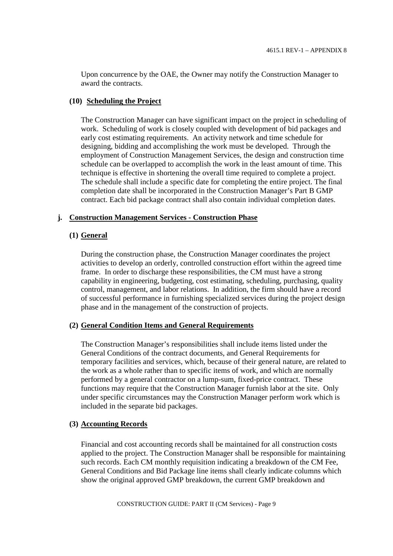Upon concurrence by the OAE, the Owner may notify the Construction Manager to award the contracts.

#### **(10) Scheduling the Project**

The Construction Manager can have significant impact on the project in scheduling of work. Scheduling of work is closely coupled with development of bid packages and early cost estimating requirements. An activity network and time schedule for designing, bidding and accomplishing the work must be developed. Through the employment of Construction Management Services, the design and construction time schedule can be overlapped to accomplish the work in the least amount of time. This technique is effective in shortening the overall time required to complete a project. The schedule shall include a specific date for completing the entire project. The final completion date shall be incorporated in the Construction Manager's Part B GMP contract. Each bid package contract shall also contain individual completion dates.

#### **j. Construction Management Services - Construction Phase**

#### **(1) General**

During the construction phase, the Construction Manager coordinates the project activities to develop an orderly, controlled construction effort within the agreed time frame. In order to discharge these responsibilities, the CM must have a strong capability in engineering, budgeting, cost estimating, scheduling, purchasing, quality control, management, and labor relations. In addition, the firm should have a record of successful performance in furnishing specialized services during the project design phase and in the management of the construction of projects.

#### **(2) General Condition Items and General Requirements**

The Construction Manager's responsibilities shall include items listed under the General Conditions of the contract documents, and General Requirements for temporary facilities and services, which, because of their general nature, are related to the work as a whole rather than to specific items of work, and which are normally performed by a general contractor on a lump-sum, fixed-price contract. These functions may require that the Construction Manager furnish labor at the site. Only under specific circumstances may the Construction Manager perform work which is included in the separate bid packages.

#### **(3) Accounting Records**

Financial and cost accounting records shall be maintained for all construction costs applied to the project. The Construction Manager shall be responsible for maintaining such records. Each CM monthly requisition indicating a breakdown of the CM Fee, General Conditions and Bid Package line items shall clearly indicate columns which show the original approved GMP breakdown, the current GMP breakdown and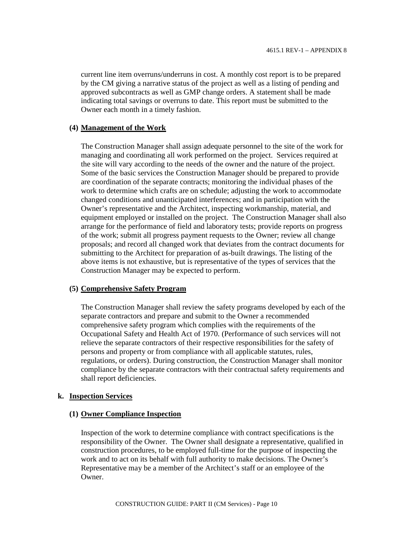current line item overruns/underruns in cost. A monthly cost report is to be prepared by the CM giving a narrative status of the project as well as a listing of pending and approved subcontracts as well as GMP change orders. A statement shall be made indicating total savings or overruns to date. This report must be submitted to the Owner each month in a timely fashion.

#### **(4) Management of the Work**

The Construction Manager shall assign adequate personnel to the site of the work for managing and coordinating all work performed on the project. Services required at the site will vary according to the needs of the owner and the nature of the project. Some of the basic services the Construction Manager should be prepared to provide are coordination of the separate contracts; monitoring the individual phases of the work to determine which crafts are on schedule; adjusting the work to accommodate changed conditions and unanticipated interferences; and in participation with the Owner's representative and the Architect, inspecting workmanship, material, and equipment employed or installed on the project. The Construction Manager shall also arrange for the performance of field and laboratory tests; provide reports on progress of the work; submit all progress payment requests to the Owner; review all change proposals; and record all changed work that deviates from the contract documents for submitting to the Architect for preparation of as-built drawings. The listing of the above items is not exhaustive, but is representative of the types of services that the Construction Manager may be expected to perform.

#### **(5) Comprehensive Safety Program**

The Construction Manager shall review the safety programs developed by each of the separate contractors and prepare and submit to the Owner a recommended comprehensive safety program which complies with the requirements of the Occupational Safety and Health Act of 1970. (Performance of such services will not relieve the separate contractors of their respective responsibilities for the safety of persons and property or from compliance with all applicable statutes, rules, regulations, or orders). During construction, the Construction Manager shall monitor compliance by the separate contractors with their contractual safety requirements and shall report deficiencies.

#### **k. Inspection Services**

#### **(1) Owner Compliance Inspection**

Inspection of the work to determine compliance with contract specifications is the responsibility of the Owner. The Owner shall designate a representative, qualified in construction procedures, to be employed full-time for the purpose of inspecting the work and to act on its behalf with full authority to make decisions. The Owner's Representative may be a member of the Architect's staff or an employee of the Owner.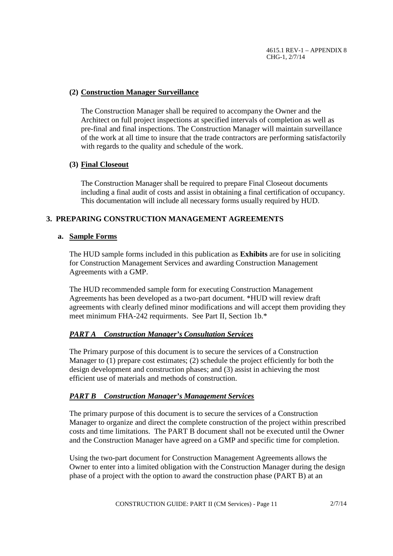# **(2) Construction Manager Surveillance**

The Construction Manager shall be required to accompany the Owner and the Architect on full project inspections at specified intervals of completion as well as pre-final and final inspections. The Construction Manager will maintain surveillance of the work at all time to insure that the trade contractors are performing satisfactorily with regards to the quality and schedule of the work.

# **(3) Final Closeout**

The Construction Manager shall be required to prepare Final Closeout documents including a final audit of costs and assist in obtaining a final certification of occupancy. This documentation will include all necessary forms usually required by HUD.

# **3. PREPARING CONSTRUCTION MANAGEMENT AGREEMENTS**

# **a. Sample Forms**

The HUD sample forms included in this publication as **Exhibits** are for use in soliciting for Construction Management Services and awarding Construction Management Agreements with a GMP.

The HUD recommended sample form for executing Construction Management Agreements has been developed as a two-part document. \*HUD will review draft agreements with clearly defined minor modifications and will accept them providing they meet minimum FHA-242 requirments. See Part II, Section 1b.\*

# *PART A Construction Manager's Consultation Services*

The Primary purpose of this document is to secure the services of a Construction Manager to (1) prepare cost estimates; (2) schedule the project efficiently for both the design development and construction phases; and (3) assist in achieving the most efficient use of materials and methods of construction.

# *PART B Construction Manager's Management Services*

The primary purpose of this document is to secure the services of a Construction Manager to organize and direct the complete construction of the project within prescribed costs and time limitations. The PART B document shall not be executed until the Owner and the Construction Manager have agreed on a GMP and specific time for completion.

Using the two-part document for Construction Management Agreements allows the Owner to enter into a limited obligation with the Construction Manager during the design phase of a project with the option to award the construction phase (PART B) at an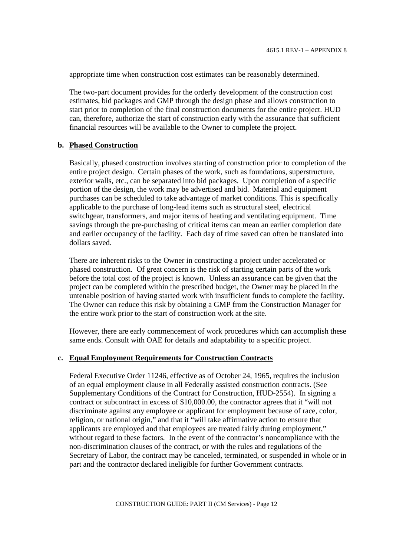appropriate time when construction cost estimates can be reasonably determined.

The two-part document provides for the orderly development of the construction cost estimates, bid packages and GMP through the design phase and allows construction to start prior to completion of the final construction documents for the entire project. HUD can, therefore, authorize the start of construction early with the assurance that sufficient financial resources will be available to the Owner to complete the project.

#### **b. Phased Construction**

Basically, phased construction involves starting of construction prior to completion of the entire project design. Certain phases of the work, such as foundations, superstructure, exterior walls, etc., can be separated into bid packages. Upon completion of a specific portion of the design, the work may be advertised and bid. Material and equipment purchases can be scheduled to take advantage of market conditions. This is specifically applicable to the purchase of long-lead items such as structural steel, electrical switchgear, transformers, and major items of heating and ventilating equipment. Time savings through the pre-purchasing of critical items can mean an earlier completion date and earlier occupancy of the facility. Each day of time saved can often be translated into dollars saved.

There are inherent risks to the Owner in constructing a project under accelerated or phased construction. Of great concern is the risk of starting certain parts of the work before the total cost of the project is known. Unless an assurance can be given that the project can be completed within the prescribed budget, the Owner may be placed in the untenable position of having started work with insufficient funds to complete the facility. The Owner can reduce this risk by obtaining a GMP from the Construction Manager for the entire work prior to the start of construction work at the site.

However, there are early commencement of work procedures which can accomplish these same ends. Consult with OAE for details and adaptability to a specific project.

#### **c. Equal Employment Requirements for Construction Contracts**

Federal Executive Order 11246, effective as of October 24, 1965, requires the inclusion of an equal employment clause in all Federally assisted construction contracts. (See Supplementary Conditions of the Contract for Construction, HUD-2554). In signing a contract or subcontract in excess of \$10,000.00, the contractor agrees that it "will not discriminate against any employee or applicant for employment because of race, color, religion, or national origin," and that it "will take affirmative action to ensure that applicants are employed and that employees are treated fairly during employment," without regard to these factors. In the event of the contractor's noncompliance with the non-discrimination clauses of the contract, or with the rules and regulations of the Secretary of Labor, the contract may be canceled, terminated, or suspended in whole or in part and the contractor declared ineligible for further Government contracts.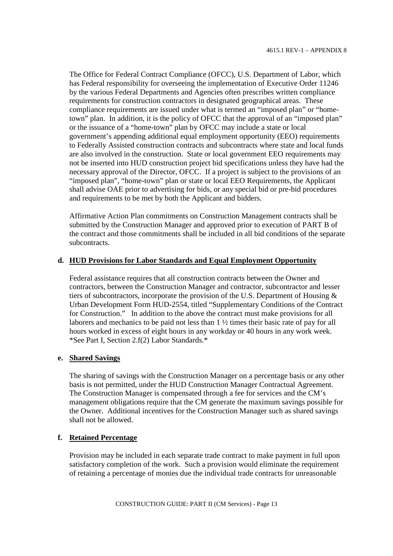The Office for Federal Contract Compliance (OFCC), U.S. Department of Labor, which has Federal responsibility for overseeing the implementation of Executive Order 11246 by the various Federal Departments and Agencies often prescribes written compliance requirements for construction contractors in designated geographical areas. These compliance requirements are issued under what is termed an "imposed plan" or "hometown" plan. In addition, it is the policy of OFCC that the approval of an "imposed plan" or the issuance of a "home-town" plan by OFCC may include a state or local government's appending additional equal employment opportunity (EEO) requirements to Federally Assisted construction contracts and subcontracts where state and local funds are also involved in the construction. State or local government EEO requirements may not be inserted into HUD construction project bid specifications unless they have had the necessary approval of the Director, OFCC. If a project is subject to the provisions of an "imposed plan", "home-town" plan or state or local EEO Requirements, the Applicant shall advise OAE prior to advertising for bids, or any special bid or pre-bid procedures and requirements to be met by both the Applicant and bidders.

Affirmative Action Plan commitments on Construction Management contracts shall be submitted by the Construction Manager and approved prior to execution of PART B of the contract and those commitments shall be included in all bid conditions of the separate subcontracts.

# **d. HUD Provisions for Labor Standards and Equal Employment Opportunity**

Federal assistance requires that all construction contracts between the Owner and contractors, between the Construction Manager and contractor, subcontractor and lesser tiers of subcontractors, incorporate the provision of the U.S. Department of Housing & Urban Development Form HUD-2554, titled "Supplementary Conditions of the Contract for Construction." In addition to the above the contract must make provisions for all laborers and mechanics to be paid not less than 1 <sup>1</sup>/<sub>2</sub> times their basic rate of pay for all hours worked in excess of eight hours in any workday or 40 hours in any work week. \*See Part I, Section 2.f(2) Labor Standards.\*

### **e. Shared Savings**

The sharing of savings with the Construction Manager on a percentage basis or any other basis is not permitted, under the HUD Construction Manager Contractual Agreement. The Construction Manager is compensated through a fee for services and the CM's management obligations require that the CM generate the maximum savings possible for the Owner. Additional incentives for the Construction Manager such as shared savings shall not be allowed.

# **f. Retained Percentage**

Provision may be included in each separate trade contract to make payment in full upon satisfactory completion of the work. Such a provision would eliminate the requirement of retaining a percentage of monies due the individual trade contracts for unreasonable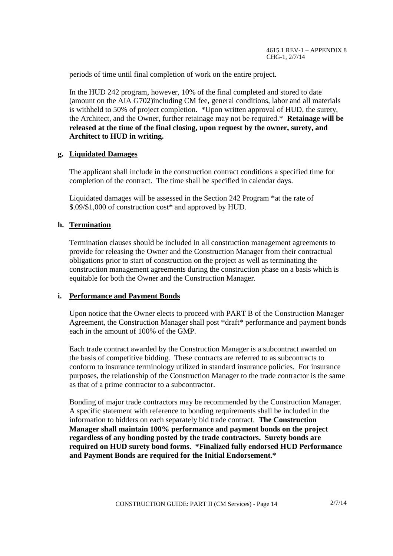periods of time until final completion of work on the entire project.

In the HUD 242 program, however, 10% of the final completed and stored to date (amount on the AIA G702)including CM fee, general conditions, labor and all materials is withheld to 50% of project completion. \*Upon written approval of HUD, the surety, the Architect, and the Owner, further retainage may not be required.\* **Retainage will be released at the time of the final closing, upon request by the owner, surety, and Architect to HUD in writing.**

### **g. Liquidated Damages**

The applicant shall include in the construction contract conditions a specified time for completion of the contract. The time shall be specified in calendar days.

Liquidated damages will be assessed in the Section 242 Program \*at the rate of \$.09/\$1,000 of construction cost\* and approved by HUD.

# **h. Termination**

Termination clauses should be included in all construction management agreements to provide for releasing the Owner and the Construction Manager from their contractual obligations prior to start of construction on the project as well as terminating the construction management agreements during the construction phase on a basis which is equitable for both the Owner and the Construction Manager.

#### **i. Performance and Payment Bonds**

Upon notice that the Owner elects to proceed with PART B of the Construction Manager Agreement, the Construction Manager shall post \*draft\* performance and payment bonds each in the amount of 100% of the GMP.

Each trade contract awarded by the Construction Manager is a subcontract awarded on the basis of competitive bidding. These contracts are referred to as subcontracts to conform to insurance terminology utilized in standard insurance policies. For insurance purposes, the relationship of the Construction Manager to the trade contractor is the same as that of a prime contractor to a subcontractor.

Bonding of major trade contractors may be recommended by the Construction Manager. A specific statement with reference to bonding requirements shall be included in the information to bidders on each separately bid trade contract. **The Construction Manager shall maintain 100% performance and payment bonds on the project regardless of any bonding posted by the trade contractors. Surety bonds are required on HUD surety bond forms. \*Finalized fully endorsed HUD Performance and Payment Bonds are required for the Initial Endorsement.\***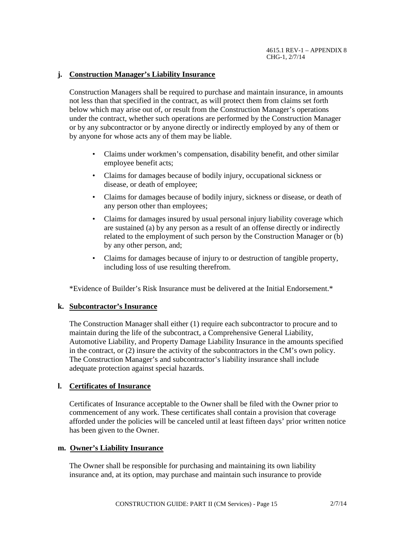# **j. Construction Manager's Liability Insurance**

Construction Managers shall be required to purchase and maintain insurance, in amounts not less than that specified in the contract, as will protect them from claims set forth below which may arise out of, or result from the Construction Manager's operations under the contract, whether such operations are performed by the Construction Manager or by any subcontractor or by anyone directly or indirectly employed by any of them or by anyone for whose acts any of them may be liable.

- Claims under workmen's compensation, disability benefit, and other similar employee benefit acts;
- Claims for damages because of bodily injury, occupational sickness or disease, or death of employee;
- Claims for damages because of bodily injury, sickness or disease, or death of any person other than employees;
- Claims for damages insured by usual personal injury liability coverage which are sustained (a) by any person as a result of an offense directly or indirectly related to the employment of such person by the Construction Manager or (b) by any other person, and;
- Claims for damages because of injury to or destruction of tangible property, including loss of use resulting therefrom.

\*Evidence of Builder's Risk Insurance must be delivered at the Initial Endorsement.\*

# **k. Subcontractor's Insurance**

The Construction Manager shall either (1) require each subcontractor to procure and to maintain during the life of the subcontract, a Comprehensive General Liability, Automotive Liability, and Property Damage Liability Insurance in the amounts specified in the contract, or (2) insure the activity of the subcontractors in the CM's own policy. The Construction Manager's and subcontractor's liability insurance shall include adequate protection against special hazards.

# **l. Certificates of Insurance**

Certificates of Insurance acceptable to the Owner shall be filed with the Owner prior to commencement of any work. These certificates shall contain a provision that coverage afforded under the policies will be canceled until at least fifteen days' prior written notice has been given to the Owner.

#### **m. Owner's Liability Insurance**

The Owner shall be responsible for purchasing and maintaining its own liability insurance and, at its option, may purchase and maintain such insurance to provide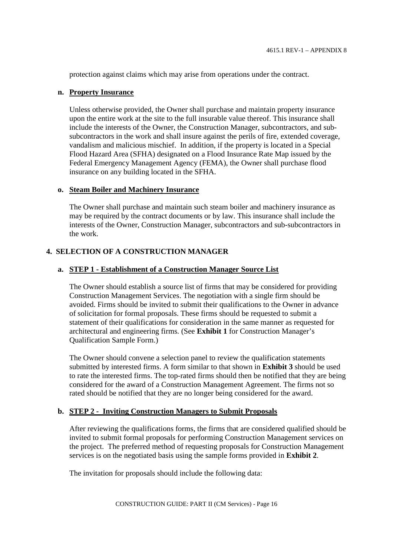protection against claims which may arise from operations under the contract.

### **n. Property Insurance**

Unless otherwise provided, the Owner shall purchase and maintain property insurance upon the entire work at the site to the full insurable value thereof. This insurance shall include the interests of the Owner, the Construction Manager, subcontractors, and subsubcontractors in the work and shall insure against the perils of fire, extended coverage, vandalism and malicious mischief. In addition, if the property is located in a Special Flood Hazard Area (SFHA) designated on a Flood Insurance Rate Map issued by the Federal Emergency Management Agency (FEMA), the Owner shall purchase flood insurance on any building located in the SFHA.

### **o. Steam Boiler and Machinery Insurance**

The Owner shall purchase and maintain such steam boiler and machinery insurance as may be required by the contract documents or by law. This insurance shall include the interests of the Owner, Construction Manager, subcontractors and sub-subcontractors in the work.

# **4. SELECTION OF A CONSTRUCTION MANAGER**

# **a. STEP 1 - Establishment of a Construction Manager Source List**

The Owner should establish a source list of firms that may be considered for providing Construction Management Services. The negotiation with a single firm should be avoided. Firms should be invited to submit their qualifications to the Owner in advance of solicitation for formal proposals. These firms should be requested to submit a statement of their qualifications for consideration in the same manner as requested for architectural and engineering firms. (See **Exhibit 1** for Construction Manager's Qualification Sample Form.)

The Owner should convene a selection panel to review the qualification statements submitted by interested firms. A form similar to that shown in **Exhibit 3** should be used to rate the interested firms. The top-rated firms should then be notified that they are being considered for the award of a Construction Management Agreement. The firms not so rated should be notified that they are no longer being considered for the award.

# **b. STEP 2 - Inviting Construction Managers to Submit Proposals**

After reviewing the qualifications forms, the firms that are considered qualified should be invited to submit formal proposals for performing Construction Management services on the project. The preferred method of requesting proposals for Construction Management services is on the negotiated basis using the sample forms provided in **Exhibit 2**.

The invitation for proposals should include the following data: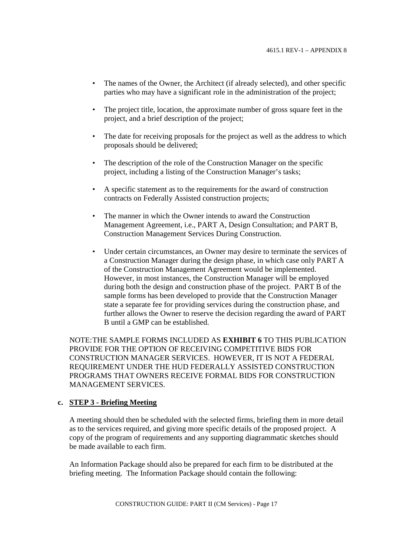- The names of the Owner, the Architect (if already selected), and other specific parties who may have a significant role in the administration of the project;
- The project title, location, the approximate number of gross square feet in the project, and a brief description of the project;
- The date for receiving proposals for the project as well as the address to which proposals should be delivered;
- The description of the role of the Construction Manager on the specific project, including a listing of the Construction Manager's tasks;
- A specific statement as to the requirements for the award of construction contracts on Federally Assisted construction projects;
- The manner in which the Owner intends to award the Construction Management Agreement, i.e., PART A, Design Consultation; and PART B, Construction Management Services During Construction.
- Under certain circumstances, an Owner may desire to terminate the services of a Construction Manager during the design phase, in which case only PART A of the Construction Management Agreement would be implemented. However, in most instances, the Construction Manager will be employed during both the design and construction phase of the project. PART B of the sample forms has been developed to provide that the Construction Manager state a separate fee for providing services during the construction phase, and further allows the Owner to reserve the decision regarding the award of PART B until a GMP can be established.

NOTE:THE SAMPLE FORMS INCLUDED AS **EXHIBIT 6** TO THIS PUBLICATION PROVIDE FOR THE OPTION OF RECEIVING COMPETITIVE BIDS FOR CONSTRUCTION MANAGER SERVICES. HOWEVER, IT IS NOT A FEDERAL REQUIREMENT UNDER THE HUD FEDERALLY ASSISTED CONSTRUCTION PROGRAMS THAT OWNERS RECEIVE FORMAL BIDS FOR CONSTRUCTION MANAGEMENT SERVICES.

### **c. STEP 3 - Briefing Meeting**

A meeting should then be scheduled with the selected firms, briefing them in more detail as to the services required, and giving more specific details of the proposed project. A copy of the program of requirements and any supporting diagrammatic sketches should be made available to each firm.

An Information Package should also be prepared for each firm to be distributed at the briefing meeting. The Information Package should contain the following: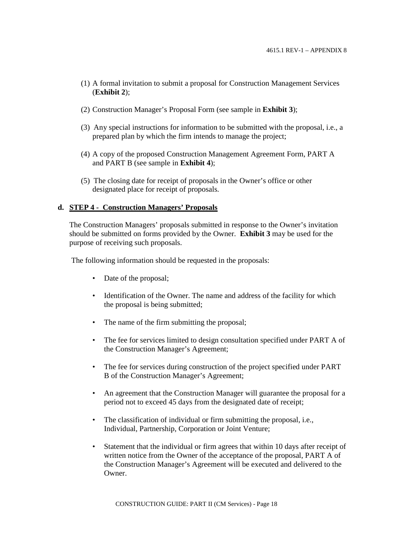- (1) A formal invitation to submit a proposal for Construction Management Services (**Exhibit 2**);
- (2) Construction Manager's Proposal Form (see sample in **Exhibit 3**);
- (3) Any special instructions for information to be submitted with the proposal, i.e., a prepared plan by which the firm intends to manage the project;
- (4) A copy of the proposed Construction Management Agreement Form, PART A and PART B (see sample in **Exhibit 4**);
- (5) The closing date for receipt of proposals in the Owner's office or other designated place for receipt of proposals.

### **d. STEP 4 - Construction Managers' Proposals**

The Construction Managers' proposals submitted in response to the Owner's invitation should be submitted on forms provided by the Owner. **Exhibit 3** may be used for the purpose of receiving such proposals.

The following information should be requested in the proposals:

- Date of the proposal;
- Identification of the Owner. The name and address of the facility for which the proposal is being submitted;
- The name of the firm submitting the proposal:
- The fee for services limited to design consultation specified under PART A of the Construction Manager's Agreement;
- The fee for services during construction of the project specified under PART B of the Construction Manager's Agreement;
- An agreement that the Construction Manager will guarantee the proposal for a period not to exceed 45 days from the designated date of receipt;
- The classification of individual or firm submitting the proposal, i.e., Individual, Partnership, Corporation or Joint Venture;
- Statement that the individual or firm agrees that within 10 days after receipt of written notice from the Owner of the acceptance of the proposal, PART A of the Construction Manager's Agreement will be executed and delivered to the Owner.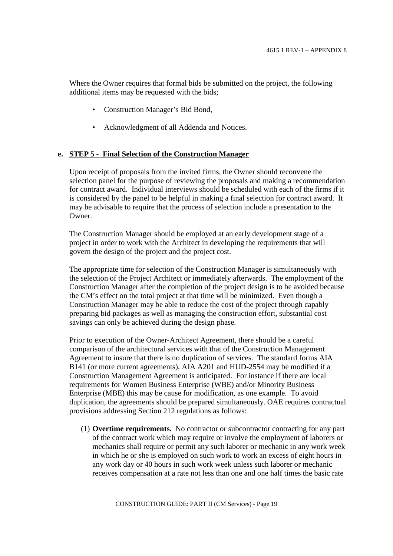Where the Owner requires that formal bids be submitted on the project, the following additional items may be requested with the bids;

- Construction Manager's Bid Bond,
- Acknowledgment of all Addenda and Notices.

### **e. STEP 5 - Final Selection of the Construction Manager**

Upon receipt of proposals from the invited firms, the Owner should reconvene the selection panel for the purpose of reviewing the proposals and making a recommendation for contract award. Individual interviews should be scheduled with each of the firms if it is considered by the panel to be helpful in making a final selection for contract award. It may be advisable to require that the process of selection include a presentation to the Owner.

The Construction Manager should be employed at an early development stage of a project in order to work with the Architect in developing the requirements that will govern the design of the project and the project cost.

The appropriate time for selection of the Construction Manager is simultaneously with the selection of the Project Architect or immediately afterwards. The employment of the Construction Manager after the completion of the project design is to be avoided because the CM's effect on the total project at that time will be minimized. Even though a Construction Manager may be able to reduce the cost of the project through capably preparing bid packages as well as managing the construction effort, substantial cost savings can only be achieved during the design phase.

Prior to execution of the Owner-Architect Agreement, there should be a careful comparison of the architectural services with that of the Construction Management Agreement to insure that there is no duplication of services. The standard forms AIA B141 (or more current agreements), AIA A201 and HUD-2554 may be modified if a Construction Management Agreement is anticipated. For instance if there are local requirements for Women Business Enterprise (WBE) and/or Minority Business Enterprise (MBE) this may be cause for modification, as one example. To avoid duplication, the agreements should be prepared simultaneously. OAE requires contractual provisions addressing Section 212 regulations as follows:

(1) **Overtime requirements.** No contractor or subcontractor contracting for any part of the contract work which may require or involve the employment of laborers or mechanics shall require or permit any such laborer or mechanic in any work week in which he or she is employed on such work to work an excess of eight hours in any work day or 40 hours in such work week unless such laborer or mechanic receives compensation at a rate not less than one and one half times the basic rate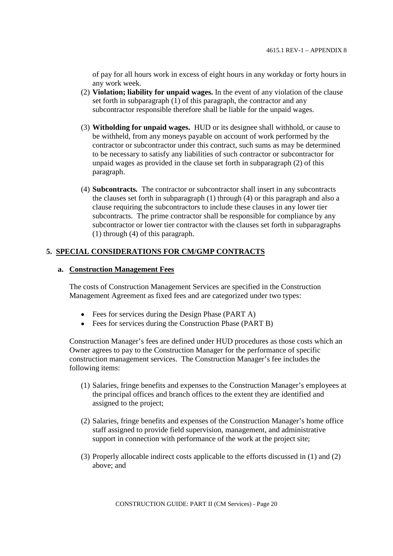of pay for all hours work in excess of eight hours in any workday or forty hours in any work week.

- (2) **Violation; liability for unpaid wages.** In the event of any violation of the clause set forth in subparagraph (1) of this paragraph, the contractor and any subcontractor responsible therefore shall be liable for the unpaid wages.
- (3) **Witholding for unpaid wages.** HUD or its designee shall withhold, or cause to be withheld, from any moneys payable on account of work performed by the contractor or subcontractor under this contract, such sums as may be determined to be necessary to satisfy any liabilities of such contractor or subcontractor for unpaid wages as provided in the clause set forth in subparagraph (2) of this paragraph.
- (4) **Subcontracts.** The contractor or subcontractor shall insert in any subcontracts the clauses set forth in subparagraph (1) through (4) or this paragraph and also a clause requiring the subcontractors to include these clauses in any lower tier subcontracts. The prime contractor shall be responsible for compliance by any subcontractor or lower tier contractor with the clauses set forth in subparagraphs (1) through (4) of this paragraph.

# **5. SPECIAL CONSIDERATIONS FOR CM/GMP CONTRACTS**

# **a. Construction Management Fees**

The costs of Construction Management Services are specified in the Construction Management Agreement as fixed fees and are categorized under two types:

- Fees for services during the Design Phase (PART A)
- Fees for services during the Construction Phase (PART B)

Construction Manager's fees are defined under HUD procedures as those costs which an Owner agrees to pay to the Construction Manager for the performance of specific construction management services. The Construction Manager's fee includes the following items:

- (1) Salaries, fringe benefits and expenses to the Construction Manager's employees at the principal offices and branch offices to the extent they are identified and assigned to the project;
- (2) Salaries, fringe benefits and expenses of the Construction Manager's home office staff assigned to provide field supervision, management, and administrative support in connection with performance of the work at the project site;
- (3) Properly allocable indirect costs applicable to the efforts discussed in (1) and (2) above; and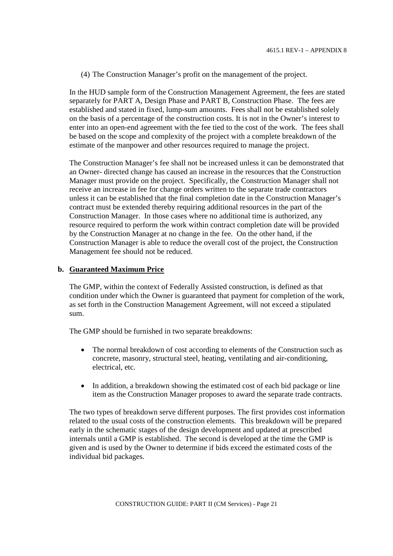(4) The Construction Manager's profit on the management of the project.

In the HUD sample form of the Construction Management Agreement, the fees are stated separately for PART A, Design Phase and PART B, Construction Phase. The fees are established and stated in fixed, lump-sum amounts. Fees shall not be established solely on the basis of a percentage of the construction costs. It is not in the Owner's interest to enter into an open-end agreement with the fee tied to the cost of the work. The fees shall be based on the scope and complexity of the project with a complete breakdown of the estimate of the manpower and other resources required to manage the project.

The Construction Manager's fee shall not be increased unless it can be demonstrated that an Owner- directed change has caused an increase in the resources that the Construction Manager must provide on the project. Specifically, the Construction Manager shall not receive an increase in fee for change orders written to the separate trade contractors unless it can be established that the final completion date in the Construction Manager's contract must be extended thereby requiring additional resources in the part of the Construction Manager. In those cases where no additional time is authorized, any resource required to perform the work within contract completion date will be provided by the Construction Manager at no change in the fee. On the other hand, if the Construction Manager is able to reduce the overall cost of the project, the Construction Management fee should not be reduced.

### **b. Guaranteed Maximum Price**

The GMP, within the context of Federally Assisted construction, is defined as that condition under which the Owner is guaranteed that payment for completion of the work, as set forth in the Construction Management Agreement, will not exceed a stipulated sum.

The GMP should be furnished in two separate breakdowns:

- $\bullet$ The normal breakdown of cost according to elements of the Construction such as concrete, masonry, structural steel, heating, ventilating and air-conditioning, electrical, etc.
- In addition, a breakdown showing the estimated cost of each bid package or line  $\bullet$ item as the Construction Manager proposes to award the separate trade contracts.

The two types of breakdown serve different purposes. The first provides cost information related to the usual costs of the construction elements. This breakdown will be prepared early in the schematic stages of the design development and updated at prescribed internals until a GMP is established. The second is developed at the time the GMP is given and is used by the Owner to determine if bids exceed the estimated costs of the individual bid packages.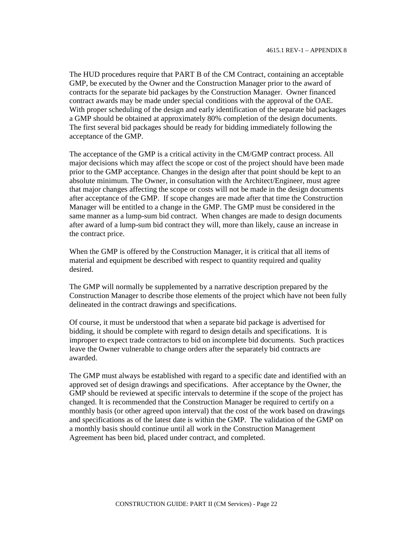The HUD procedures require that PART B of the CM Contract, containing an acceptable GMP, be executed by the Owner and the Construction Manager prior to the award of contracts for the separate bid packages by the Construction Manager. Owner financed contract awards may be made under special conditions with the approval of the OAE. With proper scheduling of the design and early identification of the separate bid packages a GMP should be obtained at approximately 80% completion of the design documents. The first several bid packages should be ready for bidding immediately following the acceptance of the GMP.

The acceptance of the GMP is a critical activity in the CM/GMP contract process. All major decisions which may affect the scope or cost of the project should have been made prior to the GMP acceptance. Changes in the design after that point should be kept to an absolute minimum. The Owner, in consultation with the Architect/Engineer, must agree that major changes affecting the scope or costs will not be made in the design documents after acceptance of the GMP. If scope changes are made after that time the Construction Manager will be entitled to a change in the GMP. The GMP must be considered in the same manner as a lump-sum bid contract. When changes are made to design documents after award of a lump-sum bid contract they will, more than likely, cause an increase in the contract price.

When the GMP is offered by the Construction Manager, it is critical that all items of material and equipment be described with respect to quantity required and quality desired.

The GMP will normally be supplemented by a narrative description prepared by the Construction Manager to describe those elements of the project which have not been fully delineated in the contract drawings and specifications.

Of course, it must be understood that when a separate bid package is advertised for bidding, it should be complete with regard to design details and specifications. It is improper to expect trade contractors to bid on incomplete bid documents. Such practices leave the Owner vulnerable to change orders after the separately bid contracts are awarded.

The GMP must always be established with regard to a specific date and identified with an approved set of design drawings and specifications. After acceptance by the Owner, the GMP should be reviewed at specific intervals to determine if the scope of the project has changed. It is recommended that the Construction Manager be required to certify on a monthly basis (or other agreed upon interval) that the cost of the work based on drawings and specifications as of the latest date is within the GMP. The validation of the GMP on a monthly basis should continue until all work in the Construction Management Agreement has been bid, placed under contract, and completed.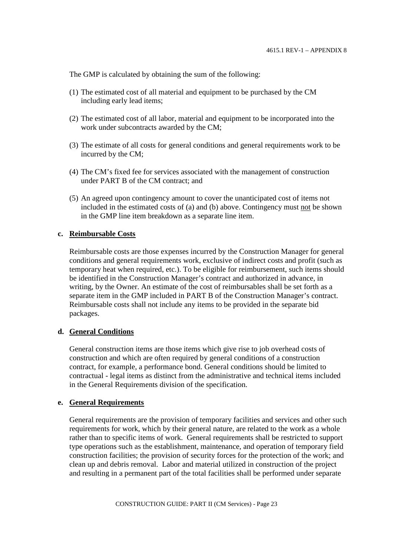The GMP is calculated by obtaining the sum of the following:

- (1) The estimated cost of all material and equipment to be purchased by the CM including early lead items;
- (2) The estimated cost of all labor, material and equipment to be incorporated into the work under subcontracts awarded by the CM;
- (3) The estimate of all costs for general conditions and general requirements work to be incurred by the CM;
- (4) The CM's fixed fee for services associated with the management of construction under PART B of the CM contract; and
- (5) An agreed upon contingency amount to cover the unanticipated cost of items not included in the estimated costs of (a) and (b) above. Contingency must not be shown in the GMP line item breakdown as a separate line item.

#### **c. Reimbursable Costs**

Reimbursable costs are those expenses incurred by the Construction Manager for general conditions and general requirements work, exclusive of indirect costs and profit (such as temporary heat when required, etc.). To be eligible for reimbursement, such items should be identified in the Construction Manager's contract and authorized in advance, in writing, by the Owner. An estimate of the cost of reimbursables shall be set forth as a separate item in the GMP included in PART B of the Construction Manager's contract. Reimbursable costs shall not include any items to be provided in the separate bid packages.

#### **d. General Conditions**

General construction items are those items which give rise to job overhead costs of construction and which are often required by general conditions of a construction contract, for example, a performance bond. General conditions should be limited to contractual - legal items as distinct from the administrative and technical items included in the General Requirements division of the specification.

#### **e. General Requirements**

General requirements are the provision of temporary facilities and services and other such requirements for work, which by their general nature, are related to the work as a whole rather than to specific items of work. General requirements shall be restricted to support type operations such as the establishment, maintenance, and operation of temporary field construction facilities; the provision of security forces for the protection of the work; and clean up and debris removal. Labor and material utilized in construction of the project and resulting in a permanent part of the total facilities shall be performed under separate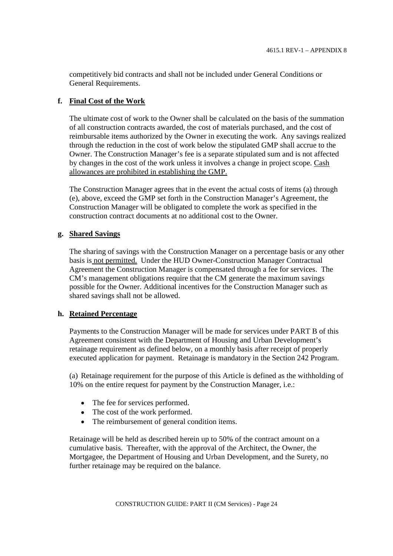competitively bid contracts and shall not be included under General Conditions or General Requirements.

# **f. Final Cost of the Work**

The ultimate cost of work to the Owner shall be calculated on the basis of the summation of all construction contracts awarded, the cost of materials purchased, and the cost of reimbursable items authorized by the Owner in executing the work. Any savings realized through the reduction in the cost of work below the stipulated GMP shall accrue to the Owner. The Construction Manager's fee is a separate stipulated sum and is not affected by changes in the cost of the work unless it involves a change in project scope. Cash allowances are prohibited in establishing the GMP.

The Construction Manager agrees that in the event the actual costs of items (a) through (e), above, exceed the GMP set forth in the Construction Manager's Agreement, the Construction Manager will be obligated to complete the work as specified in the construction contract documents at no additional cost to the Owner.

# **g. Shared Savings**

The sharing of savings with the Construction Manager on a percentage basis or any other basis is not permitted. Under the HUD Owner-Construction Manager Contractual Agreement the Construction Manager is compensated through a fee for services. The CM's management obligations require that the CM generate the maximum savings possible for the Owner. Additional incentives for the Construction Manager such as shared savings shall not be allowed.

# **h. Retained Percentage**

Payments to the Construction Manager will be made for services under PART B of this Agreement consistent with the Department of Housing and Urban Development's retainage requirement as defined below, on a monthly basis after receipt of properly executed application for payment. Retainage is mandatory in the Section 242 Program.

(a) Retainage requirement for the purpose of this Article is defined as the withholding of 10% on the entire request for payment by the Construction Manager, i.e.:

- The fee for services performed.
- The cost of the work performed.
- The reimbursement of general condition items.

Retainage will be held as described herein up to 50% of the contract amount on a cumulative basis. Thereafter, with the approval of the Architect, the Owner, the Mortgagee, the Department of Housing and Urban Development, and the Surety, no further retainage may be required on the balance.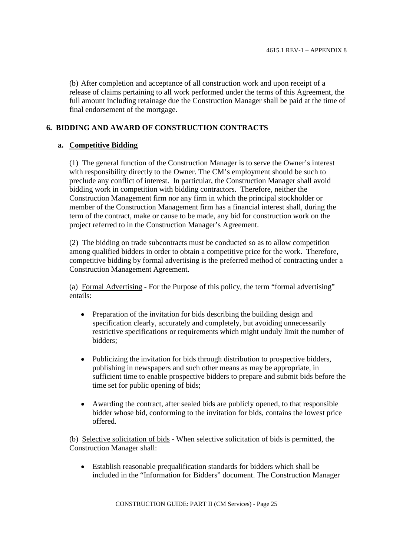(b) After completion and acceptance of all construction work and upon receipt of a release of claims pertaining to all work performed under the terms of this Agreement, the full amount including retainage due the Construction Manager shall be paid at the time of final endorsement of the mortgage.

# **6. BIDDING AND AWARD OF CONSTRUCTION CONTRACTS**

# **a. Competitive Bidding**

(1) The general function of the Construction Manager is to serve the Owner's interest with responsibility directly to the Owner. The CM's employment should be such to preclude any conflict of interest. In particular, the Construction Manager shall avoid bidding work in competition with bidding contractors. Therefore, neither the Construction Management firm nor any firm in which the principal stockholder or member of the Construction Management firm has a financial interest shall, during the term of the contract, make or cause to be made, any bid for construction work on the project referred to in the Construction Manager's Agreement.

(2) The bidding on trade subcontracts must be conducted so as to allow competition among qualified bidders in order to obtain a competitive price for the work. Therefore, competitive bidding by formal advertising is the preferred method of contracting under a Construction Management Agreement.

(a) Formal Advertising - For the Purpose of this policy, the term "formal advertising" entails:

- Preparation of the invitation for bids describing the building design and  $\bullet$ specification clearly, accurately and completely, but avoiding unnecessarily restrictive specifications or requirements which might unduly limit the number of bidders;
- Publicizing the invitation for bids through distribution to prospective bidders,  $\bullet$ publishing in newspapers and such other means as may be appropriate, in sufficient time to enable prospective bidders to prepare and submit bids before the time set for public opening of bids;
- $\bullet$ Awarding the contract, after sealed bids are publicly opened, to that responsible bidder whose bid, conforming to the invitation for bids, contains the lowest price offered.

(b) Selective solicitation of bids - When selective solicitation of bids is permitted, the Construction Manager shall:

Establish reasonable prequalification standards for bidders which shall be included in the "Information for Bidders" document. The Construction Manager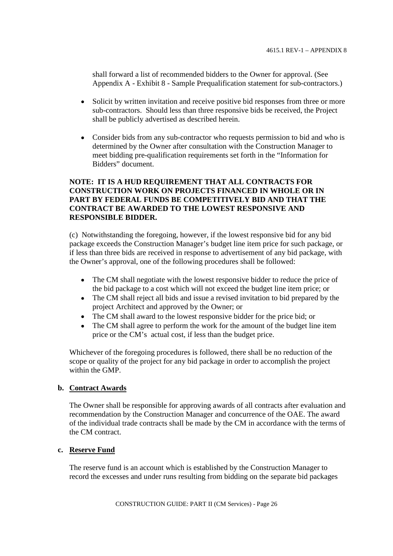shall forward a list of recommended bidders to the Owner for approval. (See Appendix A - Exhibit 8 - Sample Prequalification statement for sub-contractors.)

- $\bullet$ Solicit by written invitation and receive positive bid responses from three or more sub-contractors. Should less than three responsive bids be received, the Project shall be publicly advertised as described herein.
- Consider bids from any sub-contractor who requests permission to bid and who is determined by the Owner after consultation with the Construction Manager to meet bidding pre-qualification requirements set forth in the "Information for Bidders" document.

# **NOTE: IT IS A HUD REQUIREMENT THAT ALL CONTRACTS FOR CONSTRUCTION WORK ON PROJECTS FINANCED IN WHOLE OR IN PART BY FEDERAL FUNDS BE COMPETITIVELY BID AND THAT THE CONTRACT BE AWARDED TO THE LOWEST RESPONSIVE AND RESPONSIBLE BIDDER.**

(c) Notwithstanding the foregoing, however, if the lowest responsive bid for any bid package exceeds the Construction Manager's budget line item price for such package, or if less than three bids are received in response to advertisement of any bid package, with the Owner's approval, one of the following procedures shall be followed:

- The CM shall negotiate with the lowest responsive bidder to reduce the price of  $\bullet$ the bid package to a cost which will not exceed the budget line item price; or
- The CM shall reject all bids and issue a revised invitation to bid prepared by the  $\bullet$ project Architect and approved by the Owner; or
- The CM shall award to the lowest responsive bidder for the price bid; or
- The CM shall agree to perform the work for the amount of the budget line item  $\bullet$ price or the CM's actual cost, if less than the budget price.

Whichever of the foregoing procedures is followed, there shall be no reduction of the scope or quality of the project for any bid package in order to accomplish the project within the GMP.

### **b. Contract Awards**

The Owner shall be responsible for approving awards of all contracts after evaluation and recommendation by the Construction Manager and concurrence of the OAE. The award of the individual trade contracts shall be made by the CM in accordance with the terms of the CM contract.

#### **c. Reserve Fund**

The reserve fund is an account which is established by the Construction Manager to record the excesses and under runs resulting from bidding on the separate bid packages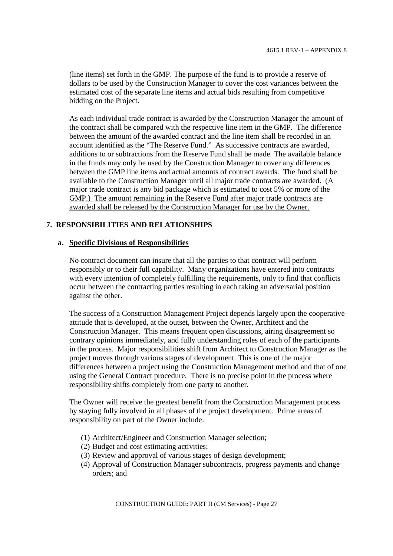(line items) set forth in the GMP. The purpose of the fund is to provide a reserve of dollars to be used by the Construction Manager to cover the cost variances between the estimated cost of the separate line items and actual bids resulting from competitive bidding on the Project.

As each individual trade contract is awarded by the Construction Manager the amount of the contract shall be compared with the respective line item in the GMP. The difference between the amount of the awarded contract and the line item shall be recorded in an account identified as the "The Reserve Fund." As successive contracts are awarded, additions to or subtractions from the Reserve Fund shall be made. The available balance in the funds may only be used by the Construction Manager to cover any differences between the GMP line items and actual amounts of contract awards. The fund shall be available to the Construction Manager until all major trade contracts are awarded. (A major trade contract is any bid package which is estimated to cost 5% or more of the GMP.) The amount remaining in the Reserve Fund after major trade contracts are awarded shall be released by the Construction Manager for use by the Owner.

# **7. RESPONSIBILITIES AND RELATIONSHIPS**

### **a. Specific Divisions of Responsibilities**

No contract document can insure that all the parties to that contract will perform responsibly or to their full capability. Many organizations have entered into contracts with every intention of completely fulfilling the requirements, only to find that conflicts occur between the contracting parties resulting in each taking an adversarial position against the other.

The success of a Construction Management Project depends largely upon the cooperative attitude that is developed, at the outset, between the Owner, Architect and the Construction Manager. This means frequent open discussions, airing disagreement so contrary opinions immediately, and fully understanding roles of each of the participants in the process. Major responsibilities shift from Architect to Construction Manager as the project moves through various stages of development. This is one of the major differences between a project using the Construction Management method and that of one using the General Contract procedure. There is no precise point in the process where responsibility shifts completely from one party to another.

The Owner will receive the greatest benefit from the Construction Management process by staying fully involved in all phases of the project development. Prime areas of responsibility on part of the Owner include:

- (1) Architect/Engineer and Construction Manager selection;
- (2) Budget and cost estimating activities;
- (3) Review and approval of various stages of design development;
- (4) Approval of Construction Manager subcontracts, progress payments and change orders; and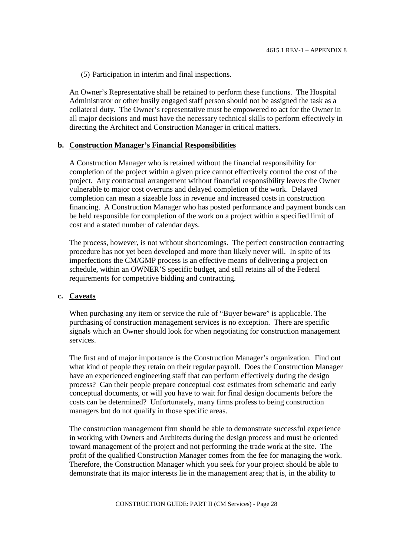(5) Participation in interim and final inspections.

An Owner's Representative shall be retained to perform these functions. The Hospital Administrator or other busily engaged staff person should not be assigned the task as a collateral duty. The Owner's representative must be empowered to act for the Owner in all major decisions and must have the necessary technical skills to perform effectively in directing the Architect and Construction Manager in critical matters.

### **b. Construction Manager's Financial Responsibilities**

A Construction Manager who is retained without the financial responsibility for completion of the project within a given price cannot effectively control the cost of the project. Any contractual arrangement without financial responsibility leaves the Owner vulnerable to major cost overruns and delayed completion of the work. Delayed completion can mean a sizeable loss in revenue and increased costs in construction financing. A Construction Manager who has posted performance and payment bonds can be held responsible for completion of the work on a project within a specified limit of cost and a stated number of calendar days.

The process, however, is not without shortcomings. The perfect construction contracting procedure has not yet been developed and more than likely never will. In spite of its imperfections the CM/GMP process is an effective means of delivering a project on schedule, within an OWNER'S specific budget, and still retains all of the Federal requirements for competitive bidding and contracting.

#### **c. Caveats**

When purchasing any item or service the rule of "Buyer beware" is applicable. The purchasing of construction management services is no exception. There are specific signals which an Owner should look for when negotiating for construction management services.

The first and of major importance is the Construction Manager's organization. Find out what kind of people they retain on their regular payroll. Does the Construction Manager have an experienced engineering staff that can perform effectively during the design process? Can their people prepare conceptual cost estimates from schematic and early conceptual documents, or will you have to wait for final design documents before the costs can be determined? Unfortunately, many firms profess to being construction managers but do not qualify in those specific areas.

The construction management firm should be able to demonstrate successful experience in working with Owners and Architects during the design process and must be oriented toward management of the project and not performing the trade work at the site. The profit of the qualified Construction Manager comes from the fee for managing the work. Therefore, the Construction Manager which you seek for your project should be able to demonstrate that its major interests lie in the management area; that is, in the ability to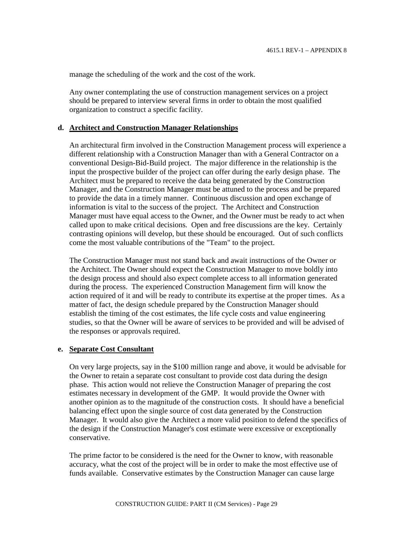manage the scheduling of the work and the cost of the work.

Any owner contemplating the use of construction management services on a project should be prepared to interview several firms in order to obtain the most qualified organization to construct a specific facility.

# **d. Architect and Construction Manager Relationships**

An architectural firm involved in the Construction Management process will experience a different relationship with a Construction Manager than with a General Contractor on a conventional Design-Bid-Build project. The major difference in the relationship is the input the prospective builder of the project can offer during the early design phase. The Architect must be prepared to receive the data being generated by the Construction Manager, and the Construction Manager must be attuned to the process and be prepared to provide the data in a timely manner. Continuous discussion and open exchange of information is vital to the success of the project. The Architect and Construction Manager must have equal access to the Owner, and the Owner must be ready to act when called upon to make critical decisions. Open and free discussions are the key. Certainly contrasting opinions will develop, but these should be encouraged. Out of such conflicts come the most valuable contributions of the "Team" to the project.

The Construction Manager must not stand back and await instructions of the Owner or the Architect. The Owner should expect the Construction Manager to move boldly into the design process and should also expect complete access to all information generated during the process. The experienced Construction Management firm will know the action required of it and will be ready to contribute its expertise at the proper times. As a matter of fact, the design schedule prepared by the Construction Manager should establish the timing of the cost estimates, the life cycle costs and value engineering studies, so that the Owner will be aware of services to be provided and will be advised of the responses or approvals required.

#### **e. Separate Cost Consultant**

On very large projects, say in the \$100 million range and above, it would be advisable for the Owner to retain a separate cost consultant to provide cost data during the design phase. This action would not relieve the Construction Manager of preparing the cost estimates necessary in development of the GMP. It would provide the Owner with another opinion as to the magnitude of the construction costs. It should have a beneficial balancing effect upon the single source of cost data generated by the Construction Manager. It would also give the Architect a more valid position to defend the specifics of the design if the Construction Manager's cost estimate were excessive or exceptionally conservative.

The prime factor to be considered is the need for the Owner to know, with reasonable accuracy, what the cost of the project will be in order to make the most effective use of funds available. Conservative estimates by the Construction Manager can cause large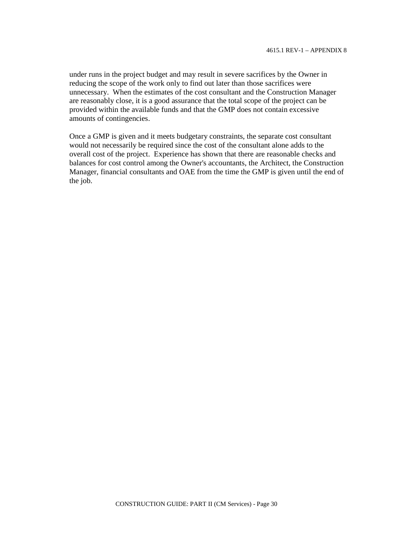under runs in the project budget and may result in severe sacrifices by the Owner in reducing the scope of the work only to find out later than those sacrifices were unnecessary. When the estimates of the cost consultant and the Construction Manager are reasonably close, it is a good assurance that the total scope of the project can be provided within the available funds and that the GMP does not contain excessive amounts of contingencies.

Once a GMP is given and it meets budgetary constraints, the separate cost consultant would not necessarily be required since the cost of the consultant alone adds to the overall cost of the project. Experience has shown that there are reasonable checks and balances for cost control among the Owner's accountants, the Architect, the Construction Manager, financial consultants and OAE from the time the GMP is given until the end of the job.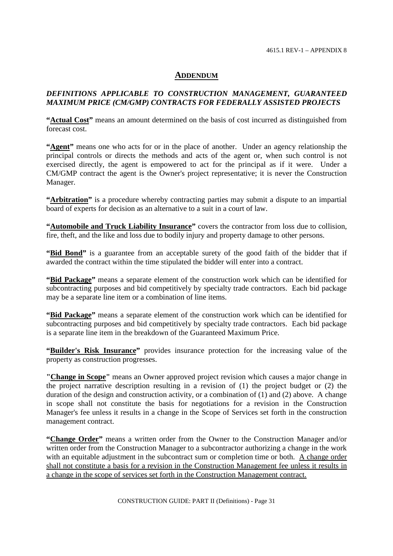4615.1 REV-1 – APPENDIX 8

# **ADDENDUM**

# *DEFINITIONS APPLICABLE TO CONSTRUCTION MANAGEMENT, GUARANTEED MAXIMUM PRICE (CM/GMP) CONTRACTS FOR FEDERALLY ASSISTED PROJECTS*

**"Actual Cost"** means an amount determined on the basis of cost incurred as distinguished from forecast cost.

**"Agent"** means one who acts for or in the place of another. Under an agency relationship the principal controls or directs the methods and acts of the agent or, when such control is not exercised directly, the agent is empowered to act for the principal as if it were. Under a CM/GMP contract the agent is the Owner's project representative; it is never the Construction Manager.

**"Arbitration"** is a procedure whereby contracting parties may submit a dispute to an impartial board of experts for decision as an alternative to a suit in a court of law.

"**Automobile and Truck Liability Insurance**" covers the contractor from loss due to collision, fire, theft, and the like and loss due to bodily injury and property damage to other persons.

"**Bid Bond**" is a guarantee from an acceptable surety of the good faith of the bidder that if awarded the contract within the time stipulated the bidder will enter into a contract.

**"Bid Package"** means a separate element of the construction work which can be identified for subcontracting purposes and bid competitively by specialty trade contractors. Each bid package may be a separate line item or a combination of line items.

**"Bid Package"** means a separate element of the construction work which can be identified for subcontracting purposes and bid competitively by specialty trade contractors. Each bid package is a separate line item in the breakdown of the Guaranteed Maximum Price.

**"Builder's Risk Insurance"** provides insurance protection for the increasing value of the property as construction progresses.

**"Change in Scope"** means an Owner approved project revision which causes a major change in the project narrative description resulting in a revision of (1) the project budget or (2) the duration of the design and construction activity, or a combination of (1) and (2) above. A change in scope shall not constitute the basis for negotiations for a revision in the Construction Manager's fee unless it results in a change in the Scope of Services set forth in the construction management contract.

**"Change Order"** means a written order from the Owner to the Construction Manager and/or written order from the Construction Manager to a subcontractor authorizing a change in the work with an equitable adjustment in the subcontract sum or completion time or both. A change order shall not constitute a basis for a revision in the Construction Management fee unless it results in a change in the scope of services set forth in the Construction Management contract.

CONSTRUCTION GUIDE: PART II (Definitions) - Page 31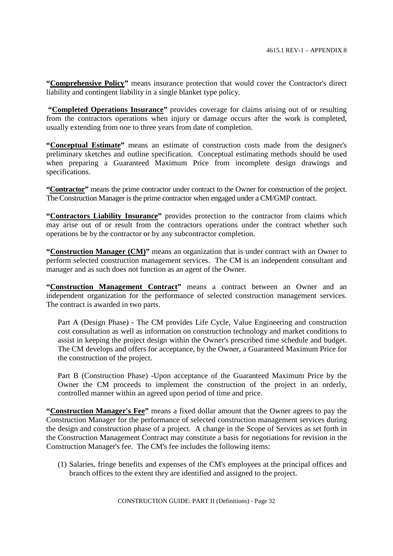**"Comprehensive Policy"** means insurance protection that would cover the Contractor's direct liability and contingent liability in a single blanket type policy.

**"Completed Operations Insurance"** provides coverage for claims arising out of or resulting from the contractors operations when injury or damage occurs after the work is completed, usually extending from one to three years from date of completion.

**"Conceptual Estimate"** means an estimate of construction costs made from the designer's preliminary sketches and outline specification. Conceptual estimating methods should be used when preparing a Guaranteed Maximum Price from incomplete design drawings and specifications.

**"Contractor"** means the prime contractor under contract to the Owner for construction of the project. The Construction Manager is the prime contractor when engaged under a CM/GMP contract.

"Contractors Liability Insurance" provides protection to the contractor from claims which may arise out of or result from the contractors operations under the contract whether such operations be by the contractor or by any subcontractor completion.

**"Construction Manager (CM)"** means an organization that is under contract with an Owner to perform selected construction management services. The CM is an independent consultant and manager and as such does not function as an agent of the Owner.

"Construction Management Contract" means a contract between an Owner and an independent organization for the performance of selected construction management services. The contract is awarded in two parts.

Part A (Design Phase) - The CM provides Life Cycle, Value Engineering and construction cost consultation as well as information on construction technology and market conditions to assist in keeping the project design within the Owner's prescribed time schedule and budget. The CM develops and offers for acceptance, by the Owner, a Guaranteed Maximum Price for the construction of the project.

Part B (Construction Phase) -Upon acceptance of the Guaranteed Maximum Price by the Owner the CM proceeds to implement the construction of the project in an orderly, controlled manner within an agreed upon period of time and price.

**"Construction Manager's Fee"** means a fixed dollar amount that the Owner agrees to pay the Construction Manager for the performance of selected construction management services during the design and construction phase of a project. A change in the Scope of Services as set forth in the Construction Management Contract may constitute a basis for negotiations for revision in the Construction Manager's fee. The CM's fee includes the following items:

(1) Salaries, fringe benefits and expenses of the CM's employees at the principal offices and branch offices to the extent they are identified and assigned to the project.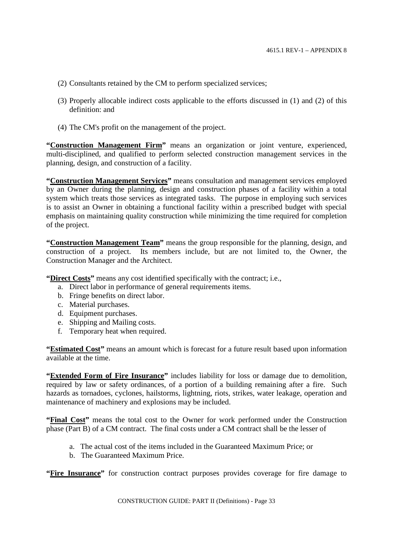- (2) Consultants retained by the CM to perform specialized services;
- (3) Properly allocable indirect costs applicable to the efforts discussed in (1) and (2) of this definition: and
- (4) The CM's profit on the management of the project.

**"Construction Management Firm"** means an organization or joint venture, experienced, multi-disciplined, and qualified to perform selected construction management services in the planning, design, and construction of a facility.

**"Construction Management Services"** means consultation and management services employed by an Owner during the planning, design and construction phases of a facility within a total system which treats those services as integrated tasks. The purpose in employing such services is to assist an Owner in obtaining a functional facility within a prescribed budget with special emphasis on maintaining quality construction while minimizing the time required for completion of the project.

**"Construction Management Team"** means the group responsible for the planning, design, and construction of a project. Its members include, but are not limited to, the Owner, the Construction Manager and the Architect.

**"Direct Costs"** means any cost identified specifically with the contract; i.e.,

- a. Direct labor in performance of general requirements items.
- b. Fringe benefits on direct labor.
- c. Material purchases.
- d. Equipment purchases.
- e. Shipping and Mailing costs.
- f. Temporary heat when required.

**"Estimated Cost"** means an amount which is forecast for a future result based upon information available at the time.

**"Extended Form of Fire Insurance"** includes liability for loss or damage due to demolition, required by law or safety ordinances, of a portion of a building remaining after a fire. Such hazards as tornadoes, cyclones, hailstorms, lightning, riots, strikes, water leakage, operation and maintenance of machinery and explosions may be included.

"Final Cost" means the total cost to the Owner for work performed under the Construction phase (Part B) of a CM contract. The final costs under a CM contract shall be the lesser of

- a. The actual cost of the items included in the Guaranteed Maximum Price; or
- b. The Guaranteed Maximum Price.

**"Fire Insurance"** for construction contract purposes provides coverage for fire damage to

CONSTRUCTION GUIDE: PART II (Definitions) - Page 33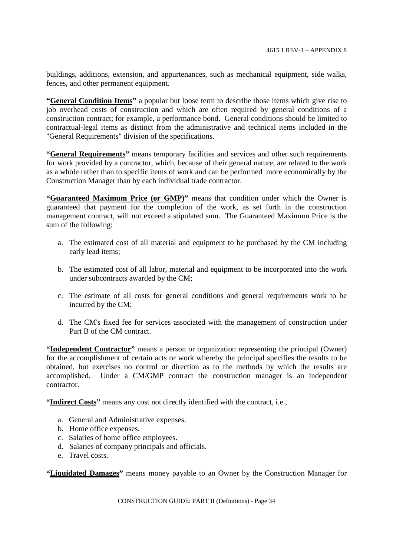buildings, additions, extension, and appurtenances, such as mechanical equipment, side walks, fences, and other permanent equipment.

**"General Condition Items"** a popular but loose term to describe those items which give rise to job overhead costs of construction and which are often required by general conditions of a construction contract; for example, a performance bond. General conditions should be limited to contractual-legal items as distinct from the administrative and technical items included in the "General Requirements" division of the specifications.

**"General Requirements"** means temporary facilities and services and other such requirements for work provided by a contractor, which, because of their general nature, are related to the work as a whole rather than to specific items of work and can be performed more economically by the Construction Manager than by each individual trade contractor.

"Guaranteed Maximum Price (or GMP)" means that condition under which the Owner is guaranteed that payment for the completion of the work, as set forth in the construction management contract, will not exceed a stipulated sum. The Guaranteed Maximum Price is the sum of the following:

- a. The estimated cost of all material and equipment to be purchased by the CM including early lead items;
- b. The estimated cost of all labor, material and equipment to be incorporated into the work under subcontracts awarded by the CM;
- c. The estimate of all costs for general conditions and general requirements work to be incurred by the CM;
- d. The CM's fixed fee for services associated with the management of construction under Part B of the CM contract.

"**Independent Contractor**" means a person or organization representing the principal (Owner) for the accomplishment of certain acts or work whereby the principal specifies the results to be obtained, but exercises no control or direction as to the methods by which the results are accomplished. Under a CM/GMP contract the construction manager is an independent contractor.

**"Indirect Costs"** means any cost not directly identified with the contract, i.e.,

- a. General and Administrative expenses.
- b. Home office expenses.
- c. Salaries of home office employees.
- d. Salaries of company principals and officials.
- e. Travel costs.

**"Liquidated Damages"** means money payable to an Owner by the Construction Manager for

CONSTRUCTION GUIDE: PART II (Definitions) - Page 34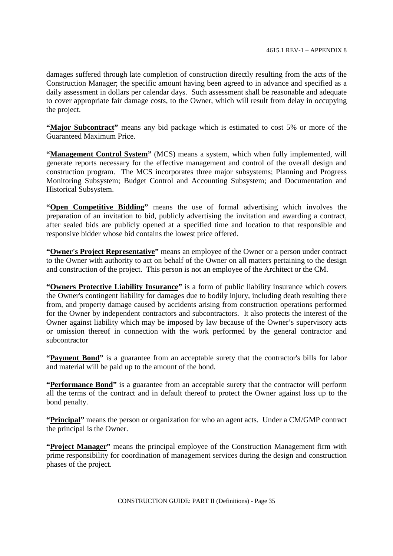damages suffered through late completion of construction directly resulting from the acts of the Construction Manager; the specific amount having been agreed to in advance and specified as a daily assessment in dollars per calendar days. Such assessment shall be reasonable and adequate to cover appropriate fair damage costs, to the Owner, which will result from delay in occupying the project.

**"Major Subcontract"** means any bid package which is estimated to cost 5% or more of the Guaranteed Maximum Price.

**"Management Control System"** (MCS) means a system, which when fully implemented, will generate reports necessary for the effective management and control of the overall design and construction program. The MCS incorporates three major subsystems; Planning and Progress Monitoring Subsystem; Budget Control and Accounting Subsystem; and Documentation and Historical Subsystem.

**"Open Competitive Bidding"** means the use of formal advertising which involves the preparation of an invitation to bid, publicly advertising the invitation and awarding a contract, after sealed bids are publicly opened at a specified time and location to that responsible and responsive bidder whose bid contains the lowest price offered.

**"Owner's Project Representative"** means an employee of the Owner or a person under contract to the Owner with authority to act on behalf of the Owner on all matters pertaining to the design and construction of the project. This person is not an employee of the Architect or the CM.

**"Owners Protective Liability Insurance"** is a form of public liability insurance which covers the Owner's contingent liability for damages due to bodily injury, including death resulting there from, and property damage caused by accidents arising from construction operations performed for the Owner by independent contractors and subcontractors. It also protects the interest of the Owner against liability which may be imposed by law because of the Owner's supervisory acts or omission thereof in connection with the work performed by the general contractor and subcontractor

**"Payment Bond"** is a guarantee from an acceptable surety that the contractor's bills for labor and material will be paid up to the amount of the bond.

**"Performance Bond"** is a guarantee from an acceptable surety that the contractor will perform all the terms of the contract and in default thereof to protect the Owner against loss up to the bond penalty.

**"Principal"** means the person or organization for who an agent acts. Under a CM/GMP contract the principal is the Owner.

**"Project Manager"** means the principal employee of the Construction Management firm with prime responsibility for coordination of management services during the design and construction phases of the project.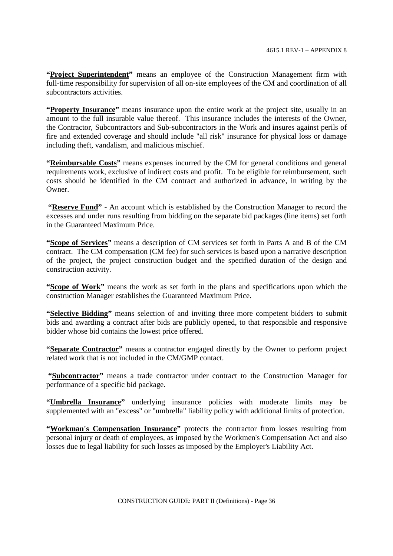"Project Superintendent" means an employee of the Construction Management firm with full-time responsibility for supervision of all on-site employees of the CM and coordination of all subcontractors activities.

**"Property Insurance"** means insurance upon the entire work at the project site, usually in an amount to the full insurable value thereof. This insurance includes the interests of the Owner, the Contractor, Subcontractors and Sub-subcontractors in the Work and insures against perils of fire and extended coverage and should include "all risk" insurance for physical loss or damage including theft, vandalism, and malicious mischief.

**"Reimbursable Costs"** means expenses incurred by the CM for general conditions and general requirements work, exclusive of indirect costs and profit. To be eligible for reimbursement, such costs should be identified in the CM contract and authorized in advance, in writing by the Owner.

**"Reserve Fund"** - An account which is established by the Construction Manager to record the excesses and under runs resulting from bidding on the separate bid packages (line items) set forth in the Guaranteed Maximum Price.

**"Scope of Services"** means a description of CM services set forth in Parts A and B of the CM contract. The CM compensation (CM fee) for such services is based upon a narrative description of the project, the project construction budget and the specified duration of the design and construction activity.

**"Scope of Work"** means the work as set forth in the plans and specifications upon which the construction Manager establishes the Guaranteed Maximum Price.

**"Selective Bidding"** means selection of and inviting three more competent bidders to submit bids and awarding a contract after bids are publicly opened, to that responsible and responsive bidder whose bid contains the lowest price offered.

"Separate Contractor" means a contractor engaged directly by the Owner to perform project related work that is not included in the CM/GMP contact.

**"Subcontractor"** means a trade contractor under contract to the Construction Manager for performance of a specific bid package.

**"Umbrella Insurance"** underlying insurance policies with moderate limits may be supplemented with an "excess" or "umbrella" liability policy with additional limits of protection.

"Workman's Compensation Insurance" protects the contractor from losses resulting from personal injury or death of employees, as imposed by the Workmen's Compensation Act and also losses due to legal liability for such losses as imposed by the Employer's Liability Act.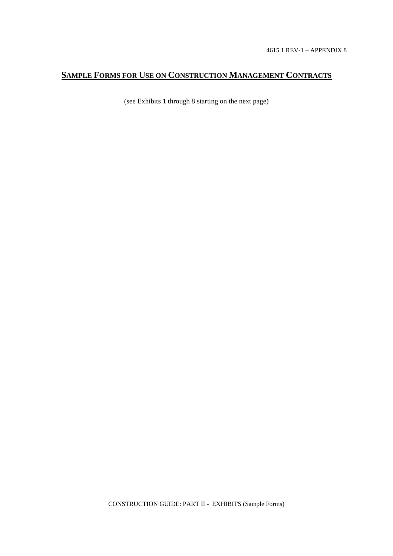# **SAMPLE FORMS FOR USE ON CONSTRUCTION MANAGEMENT CONTRACTS**

(see Exhibits 1 through 8 starting on the next page)

CONSTRUCTION GUIDE: PART II - EXHIBITS (Sample Forms)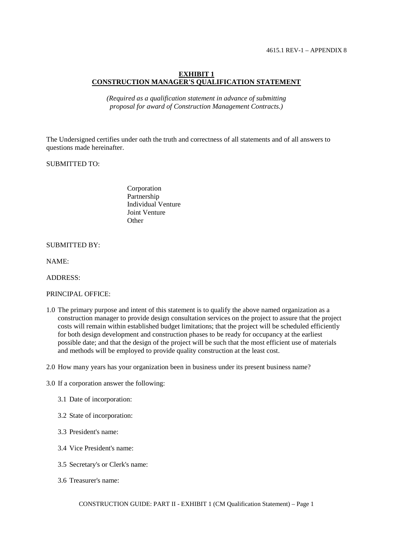#### **EXHIBIT 1 CONSTRUCTION MANAGER'S QUALIFICATION STATEMENT**

*(Required as a qualification statement in advance of submitting proposal for award of Construction Management Contracts.)*

The Undersigned certifies under oath the truth and correctness of all statements and of all answers to questions made hereinafter.

# SUBMITTED TO:

Corporation Partnership Individual Venture Joint Venture **Other** 

#### SUBMITTED BY:

NAME:

#### ADDRESS:

#### PRINCIPAL OFFICE:

- 1.0 The primary purpose and intent of this statement is to qualify the above named organization as a construction manager to provide design consultation services on the project to assure that the project costs will remain within established budget limitations; that the project will be scheduled efficiently for both design development and construction phases to be ready for occupancy at the earliest possible date; and that the design of the project will be such that the most efficient use of materials and methods will be employed to provide quality construction at the least cost.
- 2.0 How many years has your organization been in business under its present business name?
- 3.0 If a corporation answer the following:
	- 3.1 Date of incorporation:
	- 3.2 State of incorporation:
	- 3.3 President's name:
	- 3.4 Vice President's name:
	- 3.5 Secretary's or Clerk's name:
	- 3.6 Treasurer's name: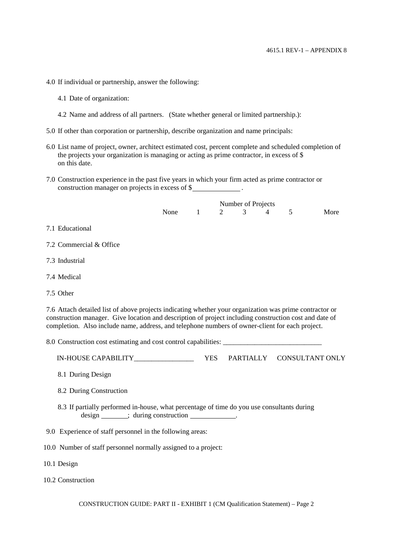- 4.0 If individual or partnership, answer the following:
	- 4.1 Date of organization:
	- 4.2 Name and address of all partners. (State whether general or limited partnership.):
- 5.0 If other than corporation or partnership, describe organization and name principals:
- 6.0 List name of project, owner, architect estimated cost, percent complete and scheduled completion of the projects your organization is managing or acting as prime contractor, in excess of \$ on this date.
- 7.0 Construction experience in the past five years in which your firm acted as prime contractor or construction manager on projects in excess of \$

|                                                                                                                                                                                                                                                                                                                      | Number of Projects |              |   |   |                |                           |      |  |  |
|----------------------------------------------------------------------------------------------------------------------------------------------------------------------------------------------------------------------------------------------------------------------------------------------------------------------|--------------------|--------------|---|---|----------------|---------------------------|------|--|--|
|                                                                                                                                                                                                                                                                                                                      | None               | $\mathbf{1}$ | 2 | 3 | $\overline{4}$ | 5                         | More |  |  |
| 7.1 Educational                                                                                                                                                                                                                                                                                                      |                    |              |   |   |                |                           |      |  |  |
| 7.2 Commercial & Office                                                                                                                                                                                                                                                                                              |                    |              |   |   |                |                           |      |  |  |
| 7.3 Industrial                                                                                                                                                                                                                                                                                                       |                    |              |   |   |                |                           |      |  |  |
| 7.4 Medical                                                                                                                                                                                                                                                                                                          |                    |              |   |   |                |                           |      |  |  |
| 7.5 Other                                                                                                                                                                                                                                                                                                            |                    |              |   |   |                |                           |      |  |  |
| 7.6 Attach detailed list of above projects indicating whether your organization was prime contractor or<br>construction manager. Give location and description of project including construction cost and date of<br>completion. Also include name, address, and telephone numbers of owner-client for each project. |                    |              |   |   |                |                           |      |  |  |
|                                                                                                                                                                                                                                                                                                                      |                    |              |   |   |                |                           |      |  |  |
|                                                                                                                                                                                                                                                                                                                      |                    | <b>YES</b>   |   |   |                | PARTIALLY CONSULTANT ONLY |      |  |  |
| 8.1 During Design                                                                                                                                                                                                                                                                                                    |                    |              |   |   |                |                           |      |  |  |
| 8.2 During Construction                                                                                                                                                                                                                                                                                              |                    |              |   |   |                |                           |      |  |  |
| 8.3 If partially performed in-house, what percentage of time do you use consultants during<br>design _______; during construction _____________.                                                                                                                                                                     |                    |              |   |   |                |                           |      |  |  |
| 9.0 Experience of staff personnel in the following areas:                                                                                                                                                                                                                                                            |                    |              |   |   |                |                           |      |  |  |
| 10.0 Number of staff personnel normally assigned to a project:                                                                                                                                                                                                                                                       |                    |              |   |   |                |                           |      |  |  |

- 10.1 Design
- 10.2 Construction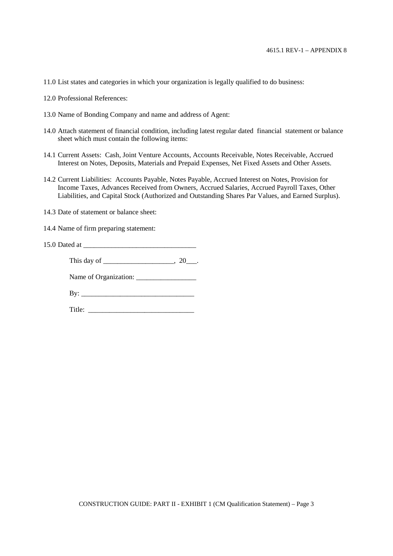- 11.0 List states and categories in which your organization is legally qualified to do business:
- 12.0 Professional References:
- 13.0 Name of Bonding Company and name and address of Agent:
- 14.0 Attach statement of financial condition, including latest regular dated financial statement or balance sheet which must contain the following items:
- 14.1 Current Assets: Cash, Joint Venture Accounts, Accounts Receivable, Notes Receivable, Accrued Interest on Notes, Deposits, Materials and Prepaid Expenses, Net Fixed Assets and Other Assets.
- 14.2 Current Liabilities: Accounts Payable, Notes Payable, Accrued Interest on Notes, Provision for Income Taxes, Advances Received from Owners, Accrued Salaries, Accrued Payroll Taxes, Other Liabilities, and Capital Stock (Authorized and Outstanding Shares Par Values, and Earned Surplus).
- 14.3 Date of statement or balance sheet:
- 14.4 Name of firm preparing statement:
- 15.0 Dated at \_\_\_\_\_\_\_\_\_\_\_\_\_\_\_\_\_\_\_\_\_\_\_\_\_\_\_\_\_\_\_\_

This day of \_\_\_\_\_\_\_\_\_\_\_\_\_\_\_\_, 20\_\_\_.

Name of Organization: \_\_\_\_\_\_\_\_\_\_\_\_\_\_\_\_\_

Title: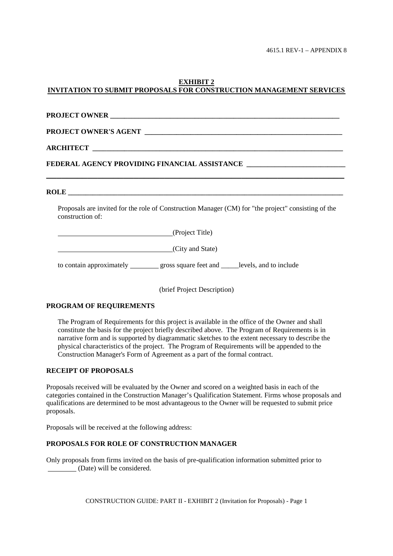#### **EXHIBIT 2 INVITATION TO SUBMIT PROPOSALS FOR CONSTRUCTION MANAGEMENT SERVICES**

| PROJECT OWNER CONFIDENTIAL CONTRACT ON THE CONFIDENTIAL CONTRACT ON THE CONFIDENTIAL CONTRACT OF THE CONTRACT OF THE CONTRACT OF THE CONTRACT OF THE CONTRACT OF THE CONTRACT OF THE CONTRACT OF THE CONTRACT OF THE CONTRACT |  |  |  |  |  |
|-------------------------------------------------------------------------------------------------------------------------------------------------------------------------------------------------------------------------------|--|--|--|--|--|
|                                                                                                                                                                                                                               |  |  |  |  |  |
|                                                                                                                                                                                                                               |  |  |  |  |  |
| FEDERAL AGENCY PROVIDING FINANCIAL ASSISTANCE                                                                                                                                                                                 |  |  |  |  |  |
|                                                                                                                                                                                                                               |  |  |  |  |  |
| Proposals are invited for the role of Construction Manager (CM) for "the project" consisting of the<br>construction of:                                                                                                       |  |  |  |  |  |
| (Project Title)                                                                                                                                                                                                               |  |  |  |  |  |
| (City and State)                                                                                                                                                                                                              |  |  |  |  |  |

to contain approximately \_\_\_\_\_\_\_ gross square feet and \_\_\_\_\_levels, and to include

(brief Project Description)

#### **PROGRAM OF REQUIREMENTS**

The Program of Requirements for this project is available in the office of the Owner and shall constitute the basis for the project briefly described above. The Program of Requirements is in narrative form and is supported by diagrammatic sketches to the extent necessary to describe the physical characteristics of the project. The Program of Requirements will be appended to the Construction Manager's Form of Agreement as a part of the formal contract.

#### **RECEIPT OF PROPOSALS**

Proposals received will be evaluated by the Owner and scored on a weighted basis in each of the categories contained in the Construction Manager's Qualification Statement. Firms whose proposals and qualifications are determined to be most advantageous to the Owner will be requested to submit price proposals.

Proposals will be received at the following address:

#### **PROPOSALS FOR ROLE OF CONSTRUCTION MANAGER**

Only proposals from firms invited on the basis of pre-qualification information submitted prior to (Date) will be considered.

CONSTRUCTION GUIDE: PART II - EXHIBIT 2 (Invitation for Proposals) - Page 1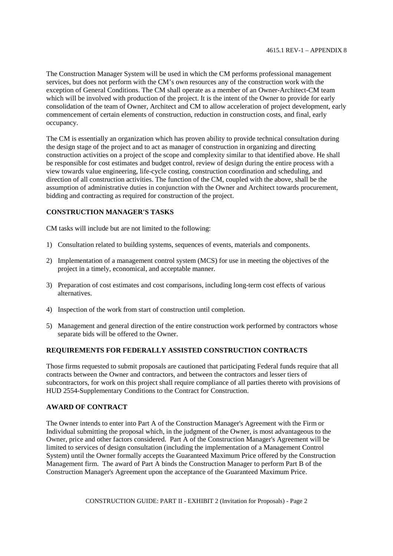The Construction Manager System will be used in which the CM performs professional management services, but does not perform with the CM's own resources any of the construction work with the exception of General Conditions. The CM shall operate as a member of an Owner-Architect-CM team which will be involved with production of the project. It is the intent of the Owner to provide for early consolidation of the team of Owner, Architect and CM to allow acceleration of project development, early commencement of certain elements of construction, reduction in construction costs, and final, early occupancy.

The CM is essentially an organization which has proven ability to provide technical consultation during the design stage of the project and to act as manager of construction in organizing and directing construction activities on a project of the scope and complexity similar to that identified above. He shall be responsible for cost estimates and budget control, review of design during the entire process with a view towards value engineering, life-cycle costing, construction coordination and scheduling, and direction of all construction activities. The function of the CM, coupled with the above, shall be the assumption of administrative duties in conjunction with the Owner and Architect towards procurement, bidding and contracting as required for construction of the project.

### **CONSTRUCTION MANAGER'S TASKS**

CM tasks will include but are not limited to the following:

- 1) Consultation related to building systems, sequences of events, materials and components.
- 2) Implementation of a management control system (MCS) for use in meeting the objectives of the project in a timely, economical, and acceptable manner.
- 3) Preparation of cost estimates and cost comparisons, including long-term cost effects of various alternatives.
- 4) Inspection of the work from start of construction until completion.
- 5) Management and general direction of the entire construction work performed by contractors whose separate bids will be offered to the Owner.

#### **REQUIREMENTS FOR FEDERALLY ASSISTED CONSTRUCTION CONTRACTS**

Those firms requested to submit proposals are cautioned that participating Federal funds require that all contracts between the Owner and contractors, and between the contractors and lesser tiers of subcontractors, for work on this project shall require compliance of all parties thereto with provisions of HUD 2554-Supplementary Conditions to the Contract for Construction.

#### **AWARD OF CONTRACT**

The Owner intends to enter into Part A of the Construction Manager's Agreement with the Firm or Individual submitting the proposal which, in the judgment of the Owner, is most advantageous to the Owner, price and other factors considered. Part A of the Construction Manager's Agreement will be limited to services of design consultation (including the implementation of a Management Control System) until the Owner formally accepts the Guaranteed Maximum Price offered by the Construction Management firm. The award of Part A binds the Construction Manager to perform Part B of the Construction Manager's Agreement upon the acceptance of the Guaranteed Maximum Price.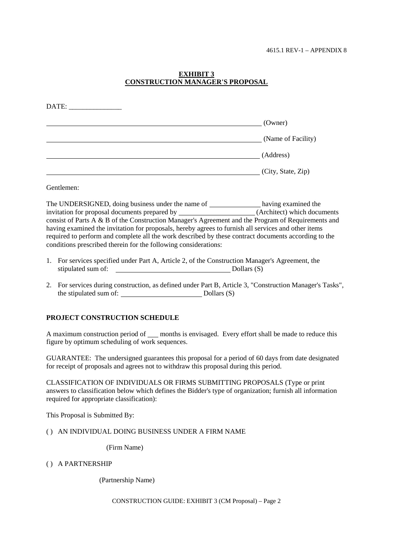### **EXHIBIT 3 CONSTRUCTION MANAGER'S PROPOSAL**

| DATE: |                    |
|-------|--------------------|
|       | (Owner)            |
|       | (Name of Facility) |
|       | (Address)          |
|       | (City, State, Zip) |

Gentlemen:

The UNDERSIGNED, doing business under the name of having examined the invitation for proposal documents prepared by \_\_\_\_\_\_\_\_\_\_\_\_\_\_\_\_\_\_\_\_\_(Architect) which documents consist of Parts A & B of the Construction Manager's Agreement and the Program of Requirements and having examined the invitation for proposals, hereby agrees to furnish all services and other items required to perform and complete all the work described by these contract documents according to the conditions prescribed therein for the following considerations:

- 1. For services specified under Part A, Article 2, of the Construction Manager's Agreement, the stipulated sum of: Dollars (S)
- 2. For services during construction, as defined under Part B, Article 3, "Construction Manager's Tasks", the stipulated sum of: Dollars (S)

### **PROJECT CONSTRUCTION SCHEDULE**

A maximum construction period of \_\_\_ months is envisaged. Every effort shall be made to reduce this figure by optimum scheduling of work sequences.

GUARANTEE: The undersigned guarantees this proposal for a period of 60 days from date designated for receipt of proposals and agrees not to withdraw this proposal during this period.

CLASSIFICATION OF INDIVIDUALS OR FIRMS SUBMITTING PROPOSALS (Type or print answers to classification below which defines the Bidder's type of organization; furnish all information required for appropriate classification):

This Proposal is Submitted By:

( ) AN INDIVIDUAL DOING BUSINESS UNDER A FIRM NAME

(Firm Name)

( ) A PARTNERSHIP

(Partnership Name)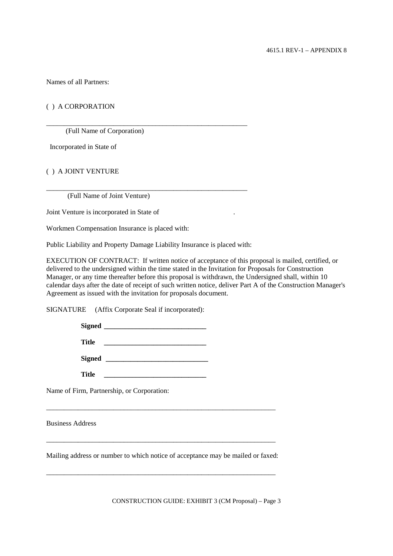Names of all Partners:

### ( ) A CORPORATION

(Full Name of Corporation)

Incorporated in State of

#### ( ) A JOINT VENTURE

(Full Name of Joint Venture)

Joint Venture is incorporated in State of .

Workmen Compensation Insurance is placed with:

Public Liability and Property Damage Liability Insurance is placed with:

\_\_\_\_\_\_\_\_\_\_\_\_\_\_\_\_\_\_\_\_\_\_\_\_\_\_\_\_\_\_\_\_\_\_\_\_\_\_\_\_\_\_\_\_\_\_\_\_\_\_\_\_\_\_\_\_\_

\_\_\_\_\_\_\_\_\_\_\_\_\_\_\_\_\_\_\_\_\_\_\_\_\_\_\_\_\_\_\_\_\_\_\_\_\_\_\_\_\_\_\_\_\_\_\_\_\_\_\_\_\_\_\_\_\_

EXECUTION OF CONTRACT: If written notice of acceptance of this proposal is mailed, certified, or delivered to the undersigned within the time stated in the Invitation for Proposals for Construction Manager, or any time thereafter before this proposal is withdrawn, the Undersigned shall, within 10 calendar days after the date of receipt of such written notice, deliver Part A of the Construction Manager's Agreement as issued with the invitation for proposals document.

SIGNATURE (Affix Corporate Seal if incorporated):

| <b>Title</b>  |                         |  |
|---------------|-------------------------|--|
| <b>Signed</b> | <u> 1989 - Jan Jawa</u> |  |
| <b>Title</b>  |                         |  |

Name of Firm, Partnership, or Corporation:

Business Address

Mailing address or number to which notice of acceptance may be mailed or faxed:

\_\_\_\_\_\_\_\_\_\_\_\_\_\_\_\_\_\_\_\_\_\_\_\_\_\_\_\_\_\_\_\_\_\_\_\_\_\_\_\_\_\_\_\_\_\_\_\_\_\_\_\_\_\_\_\_\_\_\_\_\_\_\_\_\_

\_\_\_\_\_\_\_\_\_\_\_\_\_\_\_\_\_\_\_\_\_\_\_\_\_\_\_\_\_\_\_\_\_\_\_\_\_\_\_\_\_\_\_\_\_\_\_\_\_\_\_\_\_\_\_\_\_\_\_\_\_\_\_\_\_

\_\_\_\_\_\_\_\_\_\_\_\_\_\_\_\_\_\_\_\_\_\_\_\_\_\_\_\_\_\_\_\_\_\_\_\_\_\_\_\_\_\_\_\_\_\_\_\_\_\_\_\_\_\_\_\_\_\_\_\_\_\_\_\_\_

CONSTRUCTION GUIDE: EXHIBIT 3 (CM Proposal) – Page 3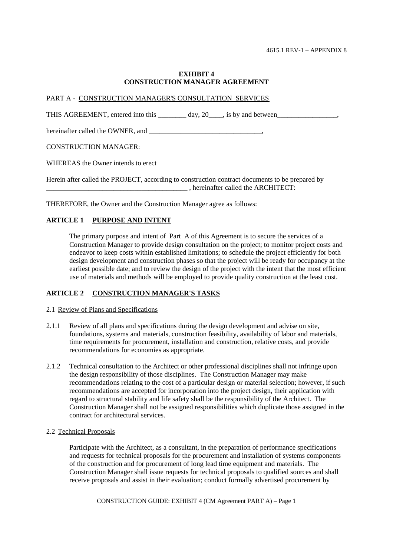#### **EXHIBIT 4 CONSTRUCTION MANAGER AGREEMENT**

#### PART A - CONSTRUCTION MANAGER'S CONSULTATION SERVICES

THIS AGREEMENT, entered into this \_\_\_\_\_\_\_ day, 20\_\_\_, is by and between\_\_\_\_\_\_\_\_\_\_\_\_\_\_\_,

hereinafter called the OWNER, and \_\_\_\_\_\_\_\_\_\_\_\_\_\_\_\_\_\_\_\_\_\_\_\_\_\_\_\_\_\_\_\_,

#### CONSTRUCTION MANAGER:

WHEREAS the Owner intends to erect

Herein after called the PROJECT, according to construction contract documents to be prepared by \_\_\_\_\_\_\_\_\_\_\_\_\_\_\_\_\_\_\_\_\_\_\_\_\_\_\_\_\_\_\_\_\_\_\_\_\_\_\_\_ , hereinafter called the ARCHITECT:

THEREFORE, the Owner and the Construction Manager agree as follows:

### **ARTICLE 1 PURPOSE AND INTENT**

The primary purpose and intent of Part A of this Agreement is to secure the services of a Construction Manager to provide design consultation on the project; to monitor project costs and endeavor to keep costs within established limitations; to schedule the project efficiently for both design development and construction phases so that the project will be ready for occupancy at the earliest possible date; and to review the design of the project with the intent that the most efficient use of materials and methods will be employed to provide quality construction at the least cost.

### **ARTICLE 2 CONSTRUCTION MANAGER'S TASKS**

#### 2.1 Review of Plans and Specifications

- 2.1.1 Review of all plans and specifications during the design development and advise on site, foundations, systems and materials, construction feasibility, availability of labor and materials, time requirements for procurement, installation and construction, relative costs, and provide recommendations for economies as appropriate.
- 2.1.2 Technical consultation to the Architect or other professional disciplines shall not infringe upon the design responsibility of those disciplines. The Construction Manager may make recommendations relating to the cost of a particular design or material selection; however, if such recommendations are accepted for incorporation into the project design, their application with regard to structural stability and life safety shall be the responsibility of the Architect. The Construction Manager shall not be assigned responsibilities which duplicate those assigned in the contract for architectural services.
- 2.2 Technical Proposals

Participate with the Architect, as a consultant, in the preparation of performance specifications and requests for technical proposals for the procurement and installation of systems components of the construction and for procurement of long lead time equipment and materials. The Construction Manager shall issue requests for technical proposals to qualified sources and shall receive proposals and assist in their evaluation; conduct formally advertised procurement by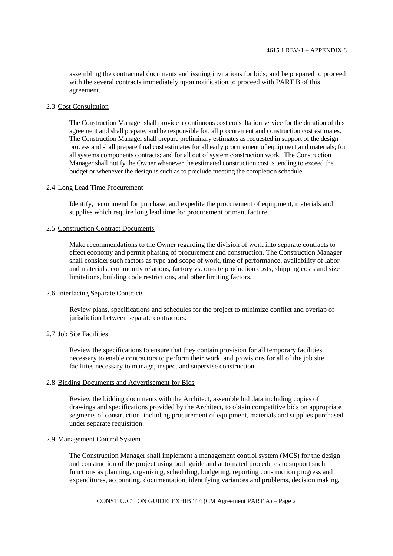assembling the contractual documents and issuing invitations for bids; and be prepared to proceed with the several contracts immediately upon notification to proceed with PART B of this agreement.

#### 2.3 Cost Consultation

The Construction Manager shall provide a continuous cost consultation service for the duration of this agreement and shall prepare, and be responsible for, all procurement and construction cost estimates. The Construction Manager shall prepare preliminary estimates as requested in support of the design process and shall prepare final cost estimates for all early procurement of equipment and materials; for all systems components contracts; and for all out of system construction work. The Construction Manager shall notify the Owner whenever the estimated construction cost is tending to exceed the budget or whenever the design is such as to preclude meeting the completion schedule.

#### 2.4 Long Lead Time Procurement

Identify, recommend for purchase, and expedite the procurement of equipment, materials and supplies which require long lead time for procurement or manufacture.

#### 2.5 Construction Contract Documents

Make recommendations to the Owner regarding the division of work into separate contracts to effect economy and permit phasing of procurement and construction. The Construction Manager shall consider such factors as type and scope of work, time of performance, availability of labor and materials, community relations, factory vs. on-site production costs, shipping costs and size limitations, building code restrictions, and other limiting factors.

#### 2.6 Interfacing Separate Contracts

Review plans, specifications and schedules for the project to minimize conflict and overlap of jurisdiction between separate contractors.

#### 2.7 Job Site Facilities

Review the specifications to ensure that they contain provision for all temporary facilities necessary to enable contractors to perform their work, and provisions for all of the job site facilities necessary to manage, inspect and supervise construction.

#### 2.8 Bidding Documents and Advertisement for Bids

Review the bidding documents with the Architect, assemble bid data including copies of drawings and specifications provided by the Architect, to obtain competitive bids on appropriate segments of construction, including procurement of equipment, materials and supplies purchased under separate requisition.

#### 2.9 Management Control System

The Construction Manager shall implement a management control system (MCS) for the design and construction of the project using both guide and automated procedures to support such functions as planning, organizing, scheduling, budgeting, reporting construction progress and expenditures, accounting, documentation, identifying variances and problems, decision making,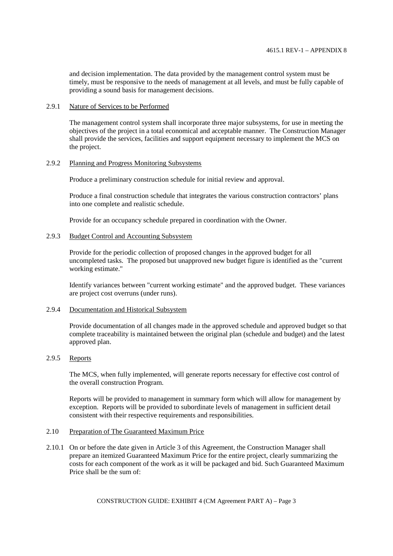and decision implementation. The data provided by the management control system must be timely, must be responsive to the needs of management at all levels, and must be fully capable of providing a sound basis for management decisions.

#### 2.9.1 Nature of Services to be Performed

The management control system shall incorporate three major subsystems, for use in meeting the objectives of the project in a total economical and acceptable manner. The Construction Manager shall provide the services, facilities and support equipment necessary to implement the MCS on the project.

## 2.9.2 Planning and Progress Monitoring Subsystems

Produce a preliminary construction schedule for initial review and approval.

Produce a final construction schedule that integrates the various construction contractors' plans into one complete and realistic schedule.

Provide for an occupancy schedule prepared in coordination with the Owner.

## 2.9.3 Budget Control and Accounting Subsystem

Provide for the periodic collection of proposed changes in the approved budget for all uncompleted tasks. The proposed but unapproved new budget figure is identified as the "current working estimate."

Identify variances between "current working estimate" and the approved budget. These variances are project cost overruns (under runs).

## 2.9.4 Documentation and Historical Subsystem

Provide documentation of all changes made in the approved schedule and approved budget so that complete traceability is maintained between the original plan (schedule and budget) and the latest approved plan.

# 2.9.5 Reports

The MCS, when fully implemented, will generate reports necessary for effective cost control of the overall construction Program.

Reports will be provided to management in summary form which will allow for management by exception. Reports will be provided to subordinate levels of management in sufficient detail consistent with their respective requirements and responsibilities.

## 2.10 Preparation of The Guaranteed Maximum Price

2.10.1 On or before the date given in Article 3 of this Agreement, the Construction Manager shall prepare an itemized Guaranteed Maximum Price for the entire project, clearly summarizing the costs for each component of the work as it will be packaged and bid. Such Guaranteed Maximum Price shall be the sum of:

CONSTRUCTION GUIDE: EXHIBIT 4 (CM Agreement PART A) – Page 3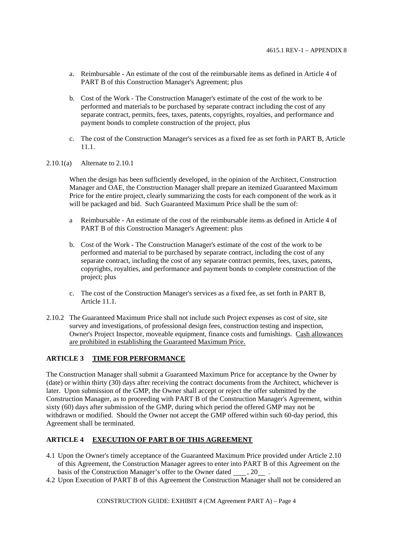- a. Reimbursable An estimate of the cost of the reimbursable items as defined in Article 4 of PART B of this Construction Manager's Agreement; plus
- b. Cost of the Work The Construction Manager's estimate of the cost of the work to be performed and materials to be purchased by separate contract including the cost of any separate contract, permits, fees, taxes, patents, copyrights, royalties, and performance and payment bonds to complete construction of the project, plus
- c. The cost of the Construction Manager's services as a fixed fee as set forth in PART B, Article 11.1.
- 2.10.1(a) Alternate to 2.10.1

When the design has been sufficiently developed, in the opinion of the Architect, Construction Manager and OAE, the Construction Manager shall prepare an itemized Guaranteed Maximum Price for the entire project, clearly summarizing the costs for each component of the work as it will be packaged and bid. Such Guaranteed Maximum Price shall be the sum of:

- a Reimbursable An estimate of the cost of the reimbursable items as defined in Article 4 of PART B of this Construction Manager's Agreement: plus
- b. Cost of the Work The Construction Manager's estimate of the cost of the work to be performed and material to be purchased by separate contract, including the cost of any separate contract, including the cost of any separate contract permits, fees, taxes, patents, copyrights, royalties, and performance and payment bonds to complete construction of the project; plus
- c. The cost of the Construction Manager's services as a fixed fee, as set forth in PART B, Article 11.1.
- 2.10.2 The Guaranteed Maximum Price shall not include such Project expenses as cost of site, site survey and investigations, of professional design fees, construction testing and inspection, Owner's Project Inspector, moveable equipment, finance costs and furnishings. Cash allowances are prohibited in establishing the Guaranteed Maximum Price.

# **ARTICLE 3 TIME FOR PERFORMANCE**

The Construction Manager shall submit a Guaranteed Maximum Price for acceptance by the Owner by (date) or within thirty (30) days after receiving the contract documents from the Architect, whichever is later. Upon submission of the GMP, the Owner shall accept or reject the offer submitted by the Construction Manager, as to proceeding with PART B of the Construction Manager's Agreement, within sixty (60) days after submission of the GMP, during which period the offered GMP may not be withdrawn or modified. Should the Owner not accept the GMP offered within such 60-day period, this Agreement shall be terminated.

## **ARTICLE 4 EXECUTION OF PART B OF THIS AGREEMENT**

- 4.1 Upon the Owner's timely acceptance of the Guaranteed Maximum Price provided under Article 2.10 of this Agreement, the Construction Manager agrees to enter into PART B of this Agreement on the basis of the Construction Manager's offer to the Owner dated , 20.
- 4.2 Upon Execution of PART B of this Agreement the Construction Manager shall not be considered an

CONSTRUCTION GUIDE: EXHIBIT 4 (CM Agreement PART A) – Page 4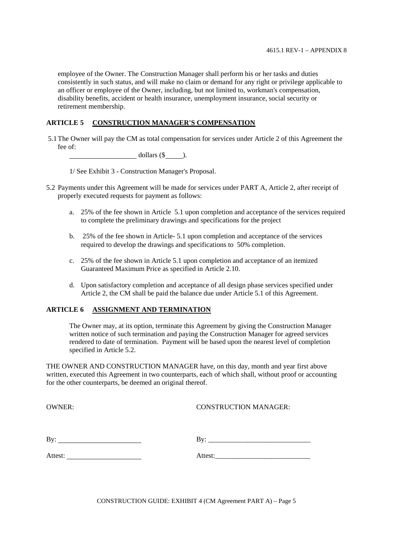employee of the Owner. The Construction Manager shall perform his or her tasks and duties consistently in such status, and will make no claim or demand for any right or privilege applicable to an officer or employee of the Owner, including, but not limited to, workman's compensation, disability benefits, accident or health insurance, unemployment insurance, social security or retirement membership.

# **ARTICLE 5 CONSTRUCTION MANAGER'S COMPENSATION**

5.1 The Owner will pay the CM as total compensation for services under Article 2 of this Agreement the fee of:

 $dollars (\$ 

1/ See Exhibit 3 - Construction Manager's Proposal.

- 5.2 Payments under this Agreement will be made for services under PART A, Article 2, after receipt of properly executed requests for payment as follows:
	- a. 25% of the fee shown in Article 5.1 upon completion and acceptance of the services required to complete the preliminary drawings and specifications for the project
	- b. 25% of the fee shown in Article- 5.1 upon completion and acceptance of the services required to develop the drawings and specifications to 50% completion.
	- c. 25% of the fee shown in Article 5.1 upon completion and acceptance of an itemized Guaranteed Maximum Price as specified in Article 2.10.
	- d. Upon satisfactory completion and acceptance of all design phase services specified under Article 2, the CM shall be paid the balance due under Article 5.1 of this Agreement.

# **ARTICLE 6 ASSIGNMENT AND TERMINATION**

The Owner may, at its option, terminate this Agreement by giving the Construction Manager written notice of such termination and paying the Construction Manager for agreed services rendered to date of termination. Payment will be based upon the nearest level of completion specified in Article 5.2.

THE OWNER AND CONSTRUCTION MANAGER have, on this day, month and year first above written, executed this Agreement in two counterparts, each of which shall, without proof or accounting for the other counterparts, be deemed an original thereof.

OWNER: CONSTRUCTION MANAGER:

| - | - |
|---|---|
|   |   |

| —      |  |  |  |
|--------|--|--|--|
|        |  |  |  |
| $\sim$ |  |  |  |
|        |  |  |  |
|        |  |  |  |

Attest: Attest: Attest: Attest: Attest: Attest: Attest: Attest: Attest: Attest: Attest: Attest: Attest: Attest: Attest: Attest: Attest: Attest: Attest: Attest: Attest: Attest: Attest: Attest: Attest: Attest: Attest: Attest

CONSTRUCTION GUIDE: EXHIBIT 4 (CM Agreement PART A) – Page 5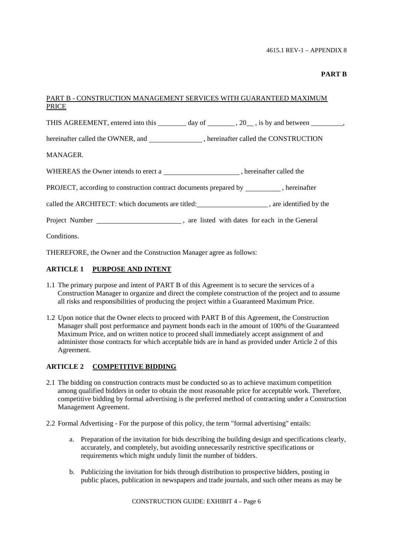## **PART B**

# PART B - CONSTRUCTION MANAGEMENT SERVICES WITH GUARANTEED MAXIMUM PRICE

THIS AGREEMENT, entered into this  $\_\_\_\_\_$  day of  $\_\_\_\_$ , 20, is by and between  $\_\_\_\_\_\_$ 

hereinafter called the OWNER, and \_\_\_\_\_\_\_\_\_\_\_\_\_\_, hereinafter called the CONSTRUCTION

MANAGER.

WHEREAS the Owner intends to erect a , hereinafter called the

PROJECT, according to construction contract documents prepared by \_\_\_\_\_\_\_\_\_\_, hereinafter

called the ARCHITECT: which documents are titled: , are identified by the

Project Number , are listed with dates for each in the General

**Conditions** 

THEREFORE, the Owner and the Construction Manager agree as follows:

## **ARTICLE 1 PURPOSE AND INTENT**

- 1.1 The primary purpose and intent of PART B of this Agreement is to secure the services of a Construction Manager to organize and direct the complete construction of the project and to assume all risks and responsibilities of producing the project within a Guaranteed Maximum Price.
- 1.2 Upon notice that the Owner elects to proceed with PART B of this Agreement, the Construction Manager shall post performance and payment bonds each in the amount of 100% of the Guaranteed Maximum Price, and on written notice to proceed shall immediately accept assignment of and administer those contracts for which acceptable bids are in hand as provided under Article 2 of this Agreement.

## **ARTICLE 2 COMPETITIVE BIDDING**

- 2.1 The bidding on construction contracts must be conducted so as to achieve maximum competition among qualified bidders in order to obtain the most reasonable price for acceptable work. Therefore, competitive bidding by formal advertising is the preferred method of contracting under a Construction Management Agreement.
- 2.2 Formal Advertising For the purpose of this policy, the term "formal advertising" entails:
	- a. Preparation of the invitation for bids describing the building design and specifications clearly, accurately, and completely, but avoiding unnecessarily restrictive specifications or requirements which might unduly limit the number of bidders.
	- b. Publicizing the invitation for bids through distribution to prospective bidders, posting in public places, publication in newspapers and trade journals, and such other means as may be

CONSTRUCTION GUIDE: EXHIBIT 4 – Page 6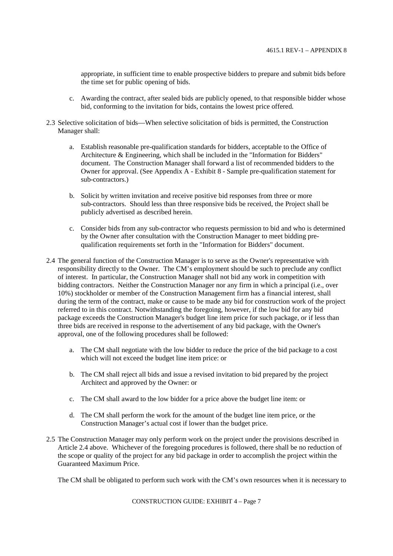appropriate, in sufficient time to enable prospective bidders to prepare and submit bids before the time set for public opening of bids.

- c. Awarding the contract, after sealed bids are publicly opened, to that responsible bidder whose bid, conforming to the invitation for bids, contains the lowest price offered.
- 2.3 Selective solicitation of bids—When selective solicitation of bids is permitted, the Construction Manager shall:
	- a. Establish reasonable pre-qualification standards for bidders, acceptable to the Office of Architecture & Engineering, which shall be included in the "Information for Bidders" document. The Construction Manager shall forward a list of recommended bidders to the Owner for approval. (See Appendix A - Exhibit 8 - Sample pre-qualification statement for sub-contractors.)
	- b. Solicit by written invitation and receive positive bid responses from three or more sub-contractors. Should less than three responsive bids be received, the Project shall be publicly advertised as described herein.
	- c. Consider bids from any sub-contractor who requests permission to bid and who is determined by the Owner after consultation with the Construction Manager to meet bidding prequalification requirements set forth in the "Information for Bidders" document.
- 2.4 The general function of the Construction Manager is to serve as the Owner's representative with responsibility directly to the Owner. The CM's employment should be such to preclude any conflict of interest. In particular, the Construction Manager shall not bid any work in competition with bidding contractors. Neither the Construction Manager nor any firm in which a principal (i.e., over 10%) stockholder or member of the Construction Management firm has a financial interest, shall during the term of the contract, make or cause to be made any bid for construction work of the project referred to in this contract. Notwithstanding the foregoing, however, if the low bid for any bid package exceeds the Construction Manager's budget line item price for such package, or if less than three bids are received in response to the advertisement of any bid package, with the Owner's approval, one of the following procedures shall be followed:
	- a. The CM shall negotiate with the low bidder to reduce the price of the bid package to a cost which will not exceed the budget line item price: or
	- b. The CM shall reject all bids and issue a revised invitation to bid prepared by the project Architect and approved by the Owner: or
	- c. The CM shall award to the low bidder for a price above the budget line item: or
	- d. The CM shall perform the work for the amount of the budget line item price, or the Construction Manager's actual cost if lower than the budget price.
- 2.5 The Construction Manager may only perform work on the project under the provisions described in Article 2.4 above. Whichever of the foregoing procedures is followed, there shall be no reduction of the scope or quality of the project for any bid package in order to accomplish the project within the Guaranteed Maximum Price.

The CM shall be obligated to perform such work with the CM's own resources when it is necessary to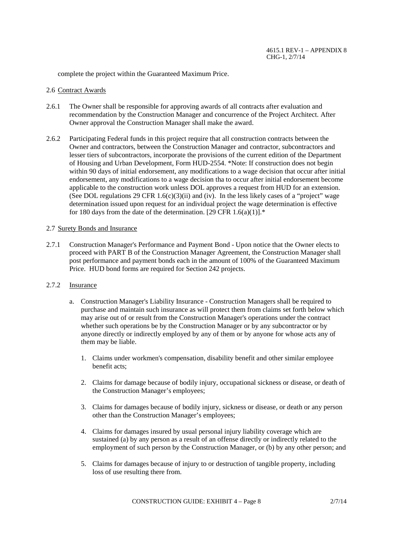complete the project within the Guaranteed Maximum Price.

#### 2.6 Contract Awards

- 2.6.1 The Owner shall be responsible for approving awards of all contracts after evaluation and recommendation by the Construction Manager and concurrence of the Project Architect. After Owner approval the Construction Manager shall make the award.
- 2.6.2 Participating Federal funds in this project require that all construction contracts between the Owner and contractors, between the Construction Manager and contractor, subcontractors and lesser tiers of subcontractors, incorporate the provisions of the current edition of the Department of Housing and Urban Development, Form HUD-2554. \*Note: If construction does not begin within 90 days of initial endorsement, any modifications to a wage decision that occur after initial endorsement, any modifications to a wage decision tha to occur after initial endorsement become applicable to the construction work unless DOL approves a request from HUD for an extension. (See DOL regulations 29 CFR 1.6(c)(3)(ii) and (iv). In the less likely cases of a "project" wage determination issued upon request for an individual project the wage determination is effective for 180 days from the date of the determination. [29 CFR  $1.6(a)(1)$ ].\*

## 2.7 Surety Bonds and Insurance

2.7.1 Construction Manager's Performance and Payment Bond - Upon notice that the Owner elects to proceed with PART B of the Construction Manager Agreement, the Construction Manager shall post performance and payment bonds each in the amount of 100% of the Guaranteed Maximum Price. HUD bond forms are required for Section 242 projects.

## 2.7.2 Insurance

- a. Construction Manager's Liability Insurance Construction Managers shall be required to purchase and maintain such insurance as will protect them from claims set forth below which may arise out of or result from the Construction Manager's operations under the contract whether such operations be by the Construction Manager or by any subcontractor or by anyone directly or indirectly employed by any of them or by anyone for whose acts any of them may be liable.
	- 1. Claims under workmen's compensation, disability benefit and other similar employee benefit acts;
	- 2. Claims for damage because of bodily injury, occupational sickness or disease, or death of the Construction Manager's employees;
	- 3. Claims for damages because of bodily injury, sickness or disease, or death or any person other than the Construction Manager's employees;
	- 4. Claims for damages insured by usual personal injury liability coverage which are sustained (a) by any person as a result of an offense directly or indirectly related to the employment of such person by the Construction Manager, or (b) by any other person; and
	- 5. Claims for damages because of injury to or destruction of tangible property, including loss of use resulting there from.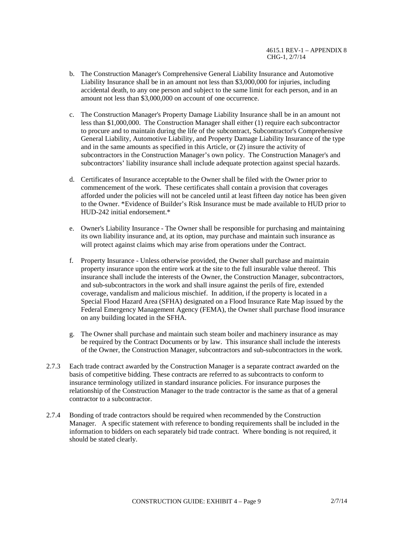- b. The Construction Manager's Comprehensive General Liability Insurance and Automotive Liability Insurance shall be in an amount not less than \$3,000,000 for injuries, including accidental death, to any one person and subject to the same limit for each person, and in an amount not less than \$3,000,000 on account of one occurrence.
- c. The Construction Manager's Property Damage Liability Insurance shall be in an amount not less than \$1,000,000. The Construction Manager shall either (1) require each subcontractor to procure and to maintain during the life of the subcontract, Subcontractor's Comprehensive General Liability, Automotive Liability, and Property Damage Liability Insurance of the type and in the same amounts as specified in this Article, or (2) insure the activity of subcontractors in the Construction Manager's own policy. The Construction Manager's and subcontractors' liability insurance shall include adequate protection against special hazards.
- d. Certificates of Insurance acceptable to the Owner shall be filed with the Owner prior to commencement of the work. These certificates shall contain a provision that coverages afforded under the policies will not be canceled until at least fifteen day notice has been given to the Owner. \*Evidence of Builder's Risk Insurance must be made available to HUD prior to HUD-242 initial endorsement.\*
- e. Owner's Liability Insurance The Owner shall be responsible for purchasing and maintaining its own liability insurance and, at its option, may purchase and maintain such insurance as will protect against claims which may arise from operations under the Contract.
- f. Property Insurance Unless otherwise provided, the Owner shall purchase and maintain property insurance upon the entire work at the site to the full insurable value thereof. This insurance shall include the interests of the Owner, the Construction Manager, subcontractors, and sub-subcontractors in the work and shall insure against the perils of fire, extended coverage, vandalism and malicious mischief. In addition, if the property is located in a Special Flood Hazard Area (SFHA) designated on a Flood Insurance Rate Map issued by the Federal Emergency Management Agency (FEMA), the Owner shall purchase flood insurance on any building located in the SFHA.
- g. The Owner shall purchase and maintain such steam boiler and machinery insurance as may be required by the Contract Documents or by law. This insurance shall include the interests of the Owner, the Construction Manager, subcontractors and sub-subcontractors in the work.
- 2.7.3 Each trade contract awarded by the Construction Manager is a separate contract awarded on the basis of competitive bidding. These contracts are referred to as subcontracts to conform to insurance terminology utilized in standard insurance policies. For insurance purposes the relationship of the Construction Manager to the trade contractor is the same as that of a general contractor to a subcontractor.
- 2.7.4 Bonding of trade contractors should be required when recommended by the Construction Manager. A specific statement with reference to bonding requirements shall be included in the information to bidders on each separately bid trade contract. Where bonding is not required, it should be stated clearly.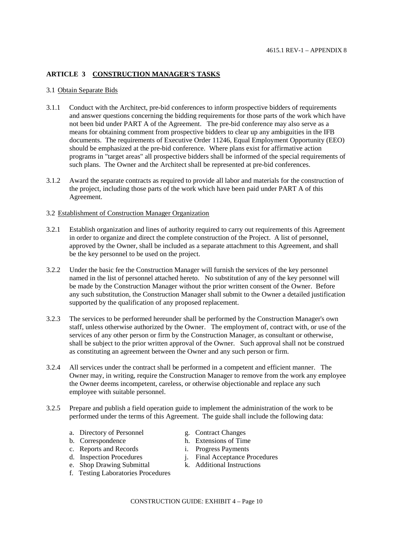# **ARTICLE 3 CONSTRUCTION MANAGER'S TASKS**

#### 3.1 Obtain Separate Bids

- 3.1.1 Conduct with the Architect, pre-bid conferences to inform prospective bidders of requirements and answer questions concerning the bidding requirements for those parts of the work which have not been bid under PART A of the Agreement. The pre-bid conference may also serve as a means for obtaining comment from prospective bidders to clear up any ambiguities in the IFB documents. The requirements of Executive Order 11246, Equal Employment Opportunity (EEO) should be emphasized at the pre-bid conference. Where plans exist for affirmative action programs in "target areas" all prospective bidders shall be informed of the special requirements of such plans. The Owner and the Architect shall be represented at pre-bid conferences.
- 3.1.2 Award the separate contracts as required to provide all labor and materials for the construction of the project, including those parts of the work which have been paid under PART A of this Agreement.

#### 3.2 Establishment of Construction Manager Organization

- 3.2.1 Establish organization and lines of authority required to carry out requirements of this Agreement in order to organize and direct the complete construction of the Project. A list of personnel, approved by the Owner, shall be included as a separate attachment to this Agreement, and shall be the key personnel to be used on the project.
- 3.2.2 Under the basic fee the Construction Manager will furnish the services of the key personnel named in the list of personnel attached hereto. No substitution of any of the key personnel will be made by the Construction Manager without the prior written consent of the Owner. Before any such substitution, the Construction Manager shall submit to the Owner a detailed justification supported by the qualification of any proposed replacement.
- 3.2.3 The services to be performed hereunder shall be performed by the Construction Manager's own staff, unless otherwise authorized by the Owner. The employment of, contract with, or use of the services of any other person or firm by the Construction Manager, as consultant or otherwise, shall be subject to the prior written approval of the Owner. Such approval shall not be construed as constituting an agreement between the Owner and any such person or firm.
- 3.2.4 All services under the contract shall be performed in a competent and efficient manner. The Owner may, in writing, require the Construction Manager to remove from the work any employee the Owner deems incompetent, careless, or otherwise objectionable and replace any such employee with suitable personnel.
- 3.2.5 Prepare and publish a field operation guide to implement the administration of the work to be performed under the terms of this Agreement. The guide shall include the following data:
	- a. Directory of Personnel g. Contract Changes
	-
	-
	- c. Reports and Records<br>
	d. Inspection Procedures<br>
	i. Final Acceptance P
	- e. Shop Drawing Submittal
	- f. Testing Laboratories Procedures
- 
- b. Correspondence h. Extensions of Time
	-
	- j. Final Acceptance Procedures<br>k. Additional Instructions
		-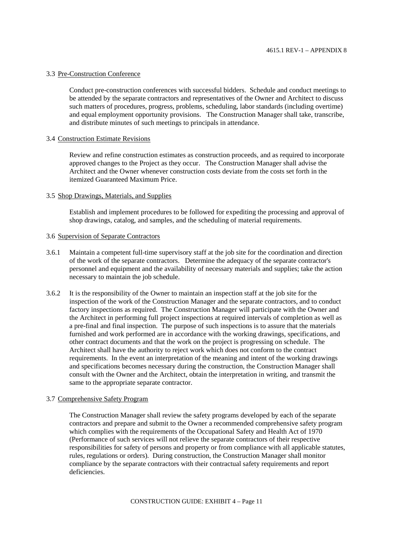#### 3.3 Pre-Construction Conference

Conduct pre-construction conferences with successful bidders. Schedule and conduct meetings to be attended by the separate contractors and representatives of the Owner and Architect to discuss such matters of procedures, progress, problems, scheduling, labor standards (including overtime) and equal employment opportunity provisions. The Construction Manager shall take, transcribe, and distribute minutes of such meetings to principals in attendance.

#### 3.4 Construction Estimate Revisions

Review and refine construction estimates as construction proceeds, and as required to incorporate approved changes to the Project as they occur. The Construction Manager shall advise the Architect and the Owner whenever construction costs deviate from the costs set forth in the itemized Guaranteed Maximum Price.

### 3.5 Shop Drawings, Materials, and Supplies

Establish and implement procedures to be followed for expediting the processing and approval of shop drawings, catalog, and samples, and the scheduling of material requirements.

# 3.6 Supervision of Separate Contractors

- 3.6.1 Maintain a competent full-time supervisory staff at the job site for the coordination and direction of the work of the separate contractors. Determine the adequacy of the separate contractor's personnel and equipment and the availability of necessary materials and supplies; take the action necessary to maintain the job schedule.
- 3.6.2 It is the responsibility of the Owner to maintain an inspection staff at the job site for the inspection of the work of the Construction Manager and the separate contractors, and to conduct factory inspections as required. The Construction Manager will participate with the Owner and the Architect in performing full project inspections at required intervals of completion as well as a pre-final and final inspection. The purpose of such inspections is to assure that the materials furnished and work performed are in accordance with the working drawings, specifications, and other contract documents and that the work on the project is progressing on schedule. The Architect shall have the authority to reject work which does not conform to the contract requirements. In the event an interpretation of the meaning and intent of the working drawings and specifications becomes necessary during the construction, the Construction Manager shall consult with the Owner and the Architect, obtain the interpretation in writing, and transmit the same to the appropriate separate contractor.

#### 3.7 Comprehensive Safety Program

The Construction Manager shall review the safety programs developed by each of the separate contractors and prepare and submit to the Owner a recommended comprehensive safety program which complies with the requirements of the Occupational Safety and Health Act of 1970 (Performance of such services will not relieve the separate contractors of their respective responsibilities for safety of persons and property or from compliance with all applicable statutes, rules, regulations or orders). During construction, the Construction Manager shall monitor compliance by the separate contractors with their contractual safety requirements and report deficiencies.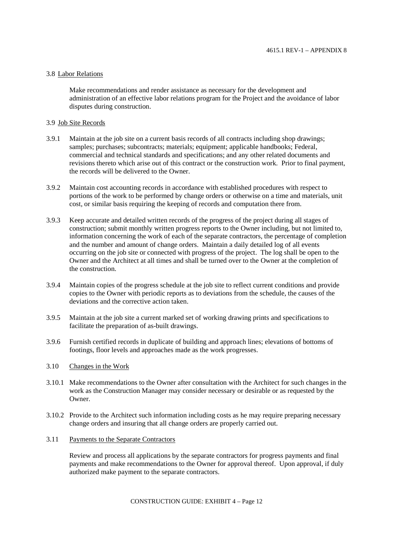## 3.8 Labor Relations

Make recommendations and render assistance as necessary for the development and administration of an effective labor relations program for the Project and the avoidance of labor disputes during construction.

## 3.9 Job Site Records

- 3.9.1 Maintain at the job site on a current basis records of all contracts including shop drawings; samples; purchases; subcontracts; materials; equipment; applicable handbooks; Federal, commercial and technical standards and specifications; and any other related documents and revisions thereto which arise out of this contract or the construction work. Prior to final payment, the records will be delivered to the Owner.
- 3.9.2 Maintain cost accounting records in accordance with established procedures with respect to portions of the work to be performed by change orders or otherwise on a time and materials, unit cost, or similar basis requiring the keeping of records and computation there from.
- 3.9.3 Keep accurate and detailed written records of the progress of the project during all stages of construction; submit monthly written progress reports to the Owner including, but not limited to, information concerning the work of each of the separate contractors, the percentage of completion and the number and amount of change orders. Maintain a daily detailed log of all events occurring on the job site or connected with progress of the project. The log shall be open to the Owner and the Architect at all times and shall be turned over to the Owner at the completion of the construction.
- 3.9.4 Maintain copies of the progress schedule at the job site to reflect current conditions and provide copies to the Owner with periodic reports as to deviations from the schedule, the causes of the deviations and the corrective action taken.
- 3.9.5 Maintain at the job site a current marked set of working drawing prints and specifications to facilitate the preparation of as-built drawings.
- 3.9.6 Furnish certified records in duplicate of building and approach lines; elevations of bottoms of footings, floor levels and approaches made as the work progresses.
- 3.10 Changes in the Work
- 3.10.1 Make recommendations to the Owner after consultation with the Architect for such changes in the work as the Construction Manager may consider necessary or desirable or as requested by the Owner.
- 3.10.2 Provide to the Architect such information including costs as he may require preparing necessary change orders and insuring that all change orders are properly carried out.
- 3.11 Payments to the Separate Contractors

Review and process all applications by the separate contractors for progress payments and final payments and make recommendations to the Owner for approval thereof. Upon approval, if duly authorized make payment to the separate contractors.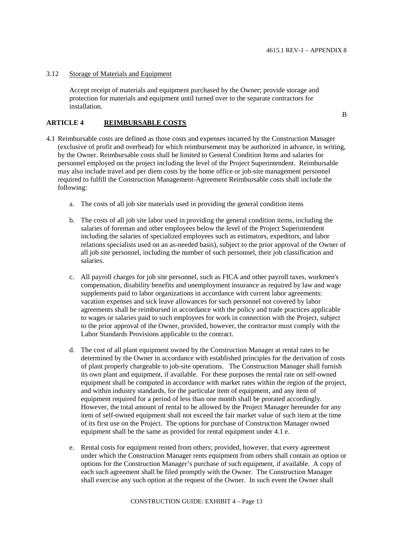B

#### 3.12 Storage of Materials and Equipment

Accept receipt of materials and equipment purchased by the Owner; provide storage and protection for materials and equipment until turned over to the separate contractors for installation.

## **ARTICLE 4 REIMBURSABLE COSTS**

- 4.1 Reimbursable costs are defined as those costs and expenses incurred by the Construction Manager (exclusive of profit and overhead) for which reimbursement may be authorized in advance, in writing, by the Owner. Reimbursable costs shall be limited to General Condition Items and salaries for personnel employed on the project including the level of the Project Superintendent. Reimbursable may also include travel and per diem costs by the home office or job-site management personnel required to fulfill the Construction Management-Agreement Reimbursable costs shall include the following:
	- a. The costs of all job site materials used in providing the general condition items
	- b. The costs of all job site labor used in providing the general condition items, including the salaries of foreman and other employees below the level of the Project Superintendent including the salaries of specialized employees such as estimators, expeditors, and labor relations specialists used on an as-needed basis), subject to the prior approval of the Owner of all job site personnel, including the number of such personnel, their job classification and salaries.
	- c. All payroll charges for job site personnel, such as FICA and other payroll taxes, workmen's compensation, disability benefits and unemployment insurance as required by law and wage supplements paid to labor organizations in accordance with current labor agreements: vacation expenses and sick leave allowances for such personnel not covered by labor agreements shall be reimbursed in accordance with the policy and trade practices applicable to wages or salaries paid to such employees for work in connection with the Project, subject to the prior approval of the Owner, provided, however, the contractor must comply with the Labor Standards Provisions applicable to the contract.
	- d. The cost of all plant equipment owned by the Construction Manager at rental rates to be determined by the Owner in accordance with established principles for the derivation of costs of plant properly chargeable to job-site operations. The Construction Manager shall furnish its own plant and equipment, if available. For these purposes the rental rate on self-owned equipment shall be computed in accordance with market rates within the region of the project, and within industry standards, for the particular item of equipment, and any item of equipment required for a period of less than one month shall be prorated accordingly. However, the total amount of rental to be allowed by the Project Manager hereunder for any item of self-owned equipment shall not exceed the fair market value of such item at the time of its first use on the Project. The options for purchase of Construction Manager owned equipment shall be the same as provided for rental equipment under 4.1 e.
	- e. Rental costs for equipment rented from others; provided, however, that every agreement under which the Construction Manager rents equipment from others shall contain an option or options for the Construction Manager's purchase of such equipment, if available. A copy of each such agreement shall be filed promptly with the Owner. The Construction Manager shall exercise any such option at the request of the Owner. In such event the Owner shall

CONSTRUCTION GUIDE: EXHIBIT 4 – Page 13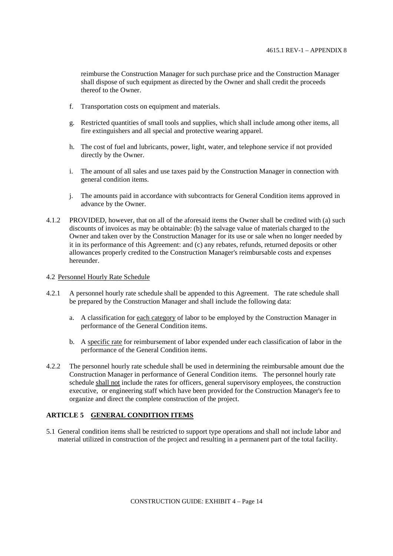reimburse the Construction Manager for such purchase price and the Construction Manager shall dispose of such equipment as directed by the Owner and shall credit the proceeds thereof to the Owner.

- f. Transportation costs on equipment and materials.
- g. Restricted quantities of small tools and supplies, which shall include among other items, all fire extinguishers and all special and protective wearing apparel.
- h. The cost of fuel and lubricants, power, light, water, and telephone service if not provided directly by the Owner.
- i. The amount of all sales and use taxes paid by the Construction Manager in connection with general condition items.
- j. The amounts paid in accordance with subcontracts for General Condition items approved in advance by the Owner.
- 4.1.2 PROVIDED, however, that on all of the aforesaid items the Owner shall be credited with (a) such discounts of invoices as may be obtainable: (b) the salvage value of materials charged to the Owner and taken over by the Construction Manager for its use or sale when no longer needed by it in its performance of this Agreement: and (c) any rebates, refunds, returned deposits or other allowances properly credited to the Construction Manager's reimbursable costs and expenses hereunder.

#### 4.2 Personnel Hourly Rate Schedule

- 4.2.1 A personnel hourly rate schedule shall be appended to this Agreement. The rate schedule shall be prepared by the Construction Manager and shall include the following data:
	- a. A classification for each category of labor to be employed by the Construction Manager in performance of the General Condition items.
	- b. A specific rate for reimbursement of labor expended under each classification of labor in the performance of the General Condition items.
- 4.2.2 The personnel hourly rate schedule shall be used in determining the reimbursable amount due the Construction Manager in performance of General Condition items. The personnel hourly rate schedule shall not include the rates for officers, general supervisory employees, the construction executive, or engineering staff which have been provided for the Construction Manager's fee to organize and direct the complete construction of the project.

## **ARTICLE 5 GENERAL CONDITION ITEMS**

5.1 General condition items shall be restricted to support type operations and shall not include labor and material utilized in construction of the project and resulting in a permanent part of the total facility.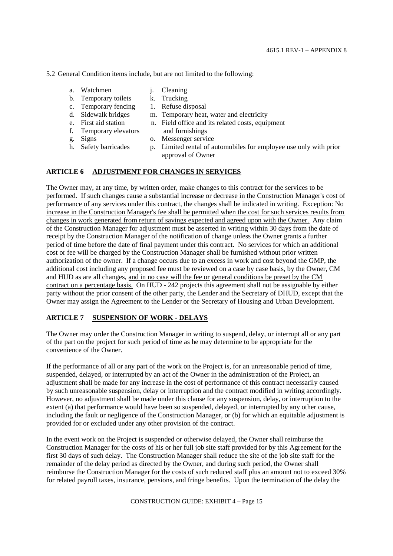5.2 General Condition items include, but are not limited to the following:

- a. Watchmen j. Cleaning
- b. Temporary toilets k. Trucking
- 
- c. Temporary fencing 1. Refuse disposal<br>d. Sidewalk bridges m. Temporary heat
- 
- m. Temporary heat, water and electricity
- 
- e. First aid station n. Field office and its related costs, equipment
- f. Temporary elevators and furnishings
- g. Signs o. Messenger service
- 
- 
- h. Safety barricades p. Limited rental of automobiles for employee use only with prior approval of Owner

# **ARTICLE 6 ADJUSTMENT FOR CHANGES IN SERVICES**

The Owner may, at any time, by written order, make changes to this contract for the services to be performed. If such changes cause a substantial increase or decrease in the Construction Manager's cost of performance of any services under this contract, the changes shall be indicated in writing. Exception: No increase in the Construction Manager's fee shall be permitted when the cost for such services results from changes in work generated from return of savings expected and agreed upon with the Owner. Any claim of the Construction Manager for adjustment must be asserted in writing within 30 days from the date of receipt by the Construction Manager of the notification of change unless the Owner grants a further period of time before the date of final payment under this contract. No services for which an additional cost or fee will be charged by the Construction Manager shall be furnished without prior written authorization of the owner. If a change occurs due to an excess in work and cost beyond the GMP, the additional cost including any proposed fee must be reviewed on a case by case basis, by the Owner, CM and HUD as are all changes, and in no case will the fee or general conditions be preset by the CM contract on a percentage basis. On HUD - 242 projects this agreement shall not be assignable by either party without the prior consent of the other party, the Lender and the Secretary of DHUD, except that the Owner may assign the Agreement to the Lender or the Secretary of Housing and Urban Development.

# **ARTICLE 7 SUSPENSION OF WORK - DELAYS**

The Owner may order the Construction Manager in writing to suspend, delay, or interrupt all or any part of the part on the project for such period of time as he may determine to be appropriate for the convenience of the Owner.

If the performance of all or any part of the work on the Project is, for an unreasonable period of time, suspended, delayed, or interrupted by an act of the Owner in the administration of the Project, an adjustment shall be made for any increase in the cost of performance of this contract necessarily caused by such unreasonable suspension, delay or interruption and the contract modified in writing accordingly. However, no adjustment shall be made under this clause for any suspension, delay, or interruption to the extent (a) that performance would have been so suspended, delayed, or interrupted by any other cause, including the fault or negligence of the Construction Manager, or (b) for which an equitable adjustment is provided for or excluded under any other provision of the contract.

In the event work on the Project is suspended or otherwise delayed, the Owner shall reimburse the Construction Manager for the costs of his or her full job site staff provided for by this Agreement for the first 30 days of such delay. The Construction Manager shall reduce the site of the job site staff for the remainder of the delay period as directed by the Owner, and during such period, the Owner shall reimburse the Construction Manager for the costs of such reduced staff plus an amount not to exceed 30% for related payroll taxes, insurance, pensions, and fringe benefits. Upon the termination of the delay the

CONSTRUCTION GUIDE: EXHIBIT 4 – Page 15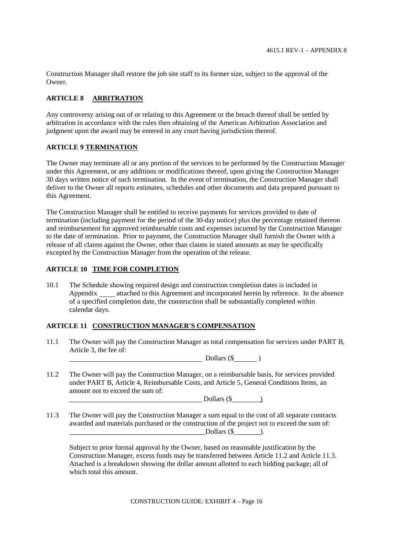Construction Manager shall restore the job site staff to its former size, subject to the approval of the Owner.

# **ARTICLE 8 ARBITRATION**

Any controversy arising out of or relating to this Agreement or the breach thereof shall be settled by arbitration in accordance with the rules then obtaining of the American Arbitration Association and judgment upon the award may be entered in any court having jurisdiction thereof.

## **ARTICLE 9 TERMINATION**

The Owner may terminate all or any portion of the services to be performed by the Construction Manager under this Agreement, or any additions or modifications thereof, upon giving the Construction Manager 30 days written notice of such termination. In the event of termination, the Construction Manager shall deliver to the Owner all reports estimates, schedules and other documents and data prepared pursuant to this Agreement.

The Construction Manager shall be entitled to receive payments for services provided to date of termination (including payment for the period of the 30-day notice) plus the percentage retained thereon and reimbursement for approved reimbursable costs and expenses incurred by the Construction Manager to the date of termination. Prior to payment, the Construction Manager shall furnish the Owner with a release of all claims against the Owner, other than claims in stated amounts as may be specifically excepted by the Construction Manager from the operation of the release.

# **ARTICLE 10 TIME FOR COMPLETION**

10.1 The Schedule showing required design and construction completion dates is included in Appendix \_\_\_\_\_ attached to this Agreement and incorporated herein by reference. In the absence of a specified completion date, the construction shall be substantially completed within calendar days.

## **ARTICLE 11 CONSTRUCTION MANAGER'S COMPENSATION**

11.1 The Owner will pay the Construction Manager as total compensation for services under PART B, Article 3, the fee of:

Dollars (\$ )

11.2 The Owner will pay the Construction Manager, on a reimbursable basis, for services provided under PART B, Article 4, Reimbursable Costs, and Article 5, General Conditions Items, an amount not to exceed the sum of:

Dollars  $(\$ 

11.3 The Owner will pay the Construction Manager a sum equal to the cost of all separate contracts awarded and materials purchased or the construction of the project not to exceed the sum of: Dollars  $(\$  ).

Subject to prior formal approval by the Owner, based on reasonable justification by the Construction Manager, excess funds may be transferred between Article 11.2 and Article 11.3. Attached is a breakdown showing the dollar amount allotted to each bidding package; all of which total this amount.

CONSTRUCTION GUIDE: EXHIBIT 4 – Page 16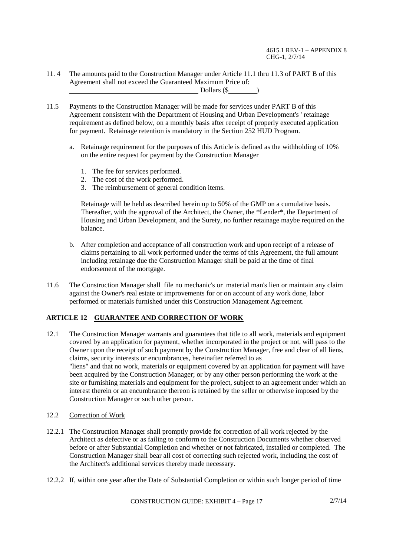4615.1 REV-1 – APPENDIX 8 CHG-1, 2/7/14

- 11. 4 The amounts paid to the Construction Manager under Article 11.1 thru 11.3 of PART B of this Agreement shall not exceed the Guaranteed Maximum Price of: Dollars (\$)
- 11.5 Payments to the Construction Manager will be made for services under PART B of this Agreement consistent with the Department of Housing and Urban Development's ' retainage requirement as defined below, on a monthly basis after receipt of properly executed application for payment. Retainage retention is mandatory in the Section 252 HUD Program.
	- a. Retainage requirement for the purposes of this Article is defined as the withholding of 10% on the entire request for payment by the Construction Manager
		- 1. The fee for services performed.
		- 2. The cost of the work performed.
		- 3. The reimbursement of general condition items.

Retainage will be held as described herein up to 50% of the GMP on a cumulative basis. Thereafter, with the approval of the Architect, the Owner, the \*Lender\*, the Department of Housing and Urban Development, and the Surety, no further retainage maybe required on the balance.

- b. After completion and acceptance of all construction work and upon receipt of a release of claims pertaining to all work performed under the terms of this Agreement, the full amount including retainage due the Construction Manager shall be paid at the time of final endorsement of the mortgage.
- 11.6 The Construction Manager shall file no mechanic's or material man's lien or maintain any claim against the Owner's real estate or improvements for or on account of any work done, labor performed or materials furnished under this Construction Management Agreement.

# **ARTICLE 12 GUARANTEE AND CORRECTION OF WORK**

- 12.1 The Construction Manager warrants and guarantees that title to all work, materials and equipment covered by an application for payment, whether incorporated in the project or not, will pass to the Owner upon the receipt of such payment by the Construction Manager, free and clear of all liens, claims, security interests or encumbrances, hereinafter referred to as "liens" and that no work, materials or equipment covered by an application for payment will have been acquired by the Construction Manager; or by any other person performing the work at the site or furnishing materials and equipment for the project, subject to an agreement under which an interest therein or an encumbrance thereon is retained by the seller or otherwise imposed by the Construction Manager or such other person.
- 12.2 Correction of Work
- 12.2.1 The Construction Manager shall promptly provide for correction of all work rejected by the Architect as defective or as failing to conform to the Construction Documents whether observed before or after Substantial Completion and whether or not fabricated, installed or completed. The Construction Manager shall bear all cost of correcting such rejected work, including the cost of the Architect's additional services thereby made necessary.
- 12.2.2 If, within one year after the Date of Substantial Completion or within such longer period of time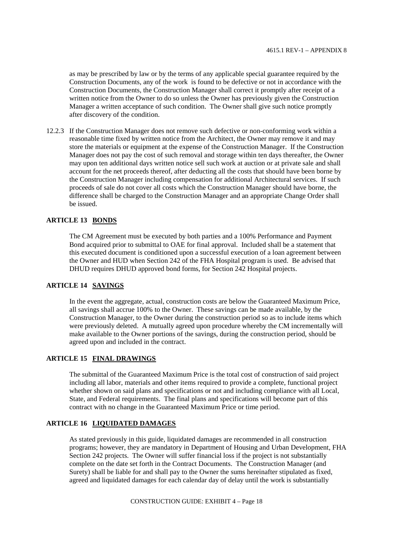as may be prescribed by law or by the terms of any applicable special guarantee required by the Construction Documents, any of the work is found to be defective or not in accordance with the Construction Documents, the Construction Manager shall correct it promptly after receipt of a written notice from the Owner to do so unless the Owner has previously given the Construction Manager a written acceptance of such condition. The Owner shall give such notice promptly after discovery of the condition.

12.2.3 If the Construction Manager does not remove such defective or non-conforming work within a reasonable time fixed by written notice from the Architect, the Owner may remove it and may store the materials or equipment at the expense of the Construction Manager. If the Construction Manager does not pay the cost of such removal and storage within ten days thereafter, the Owner may upon ten additional days written notice sell such work at auction or at private sale and shall account for the net proceeds thereof, after deducting all the costs that should have been borne by the Construction Manager including compensation for additional Architectural services. If such proceeds of sale do not cover all costs which the Construction Manager should have borne, the difference shall be charged to the Construction Manager and an appropriate Change Order shall be issued.

# **ARTICLE 13 BONDS**

The CM Agreement must be executed by both parties and a 100% Performance and Payment Bond acquired prior to submittal to OAE for final approval. Included shall be a statement that this executed document is conditioned upon a successful execution of a loan agreement between the Owner and HUD when Section 242 of the FHA Hospital program is used. Be advised that DHUD requires DHUD approved bond forms, for Section 242 Hospital projects.

# **ARTICLE 14 SAVINGS**

In the event the aggregate, actual, construction costs are below the Guaranteed Maximum Price, all savings shall accrue 100% to the Owner. These savings can be made available, by the Construction Manager, to the Owner during the construction period so as to include items which were previously deleted. A mutually agreed upon procedure whereby the CM incrementally will make available to the Owner portions of the savings, during the construction period, should be agreed upon and included in the contract.

# **ARTICLE 15 FINAL DRAWINGS**

The submittal of the Guaranteed Maximum Price is the total cost of construction of said project including all labor, materials and other items required to provide a complete, functional project whether shown on said plans and specifications or not and including compliance with all Local, State, and Federal requirements. The final plans and specifications will become part of this contract with no change in the Guaranteed Maximum Price or time period.

## **ARTICLE 16 LIQUIDATED DAMAGES**

As stated previously in this guide, liquidated damages are recommended in all construction programs; however, they are mandatory in Department of Housing and Urban Development, FHA Section 242 projects. The Owner will suffer financial loss if the project is not substantially complete on the date set forth in the Contract Documents. The Construction Manager (and Surety) shall be liable for and shall pay to the Owner the sums hereinafter stipulated as fixed, agreed and liquidated damages for each calendar day of delay until the work is substantially

CONSTRUCTION GUIDE: EXHIBIT 4 – Page 18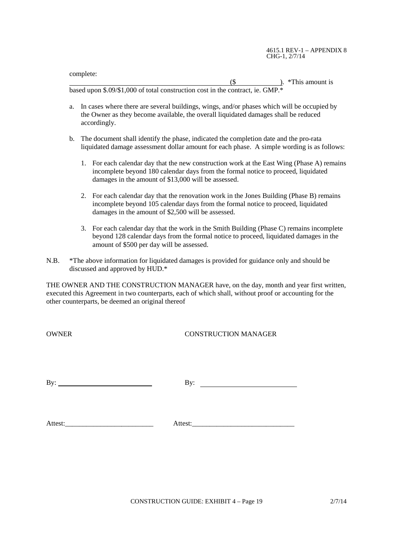complete:

 $($ \$  $)$ . \*This amount is based upon \$.09/\$1,000 of total construction cost in the contract, ie. GMP.\*

- a. In cases where there are several buildings, wings, and/or phases which will be occupied by the Owner as they become available, the overall liquidated damages shall be reduced accordingly.
- b. The document shall identify the phase, indicated the completion date and the pro-rata liquidated damage assessment dollar amount for each phase. A simple wording is as follows:
	- 1. For each calendar day that the new construction work at the East Wing (Phase A) remains incomplete beyond 180 calendar days from the formal notice to proceed, liquidated damages in the amount of \$13,000 will be assessed.
	- 2. For each calendar day that the renovation work in the Jones Building (Phase B) remains incomplete beyond 105 calendar days from the formal notice to proceed, liquidated damages in the amount of \$2,500 will be assessed.
	- 3. For each calendar day that the work in the Smith Building (Phase C) remains incomplete beyond 128 calendar days from the formal notice to proceed, liquidated damages in the amount of \$500 per day will be assessed.
- N.B. \*The above information for liquidated damages is provided for guidance only and should be discussed and approved by HUD.\*

THE OWNER AND THE CONSTRUCTION MANAGER have, on the day, month and year first written, executed this Agreement in two counterparts, each of which shall, without proof or accounting for the other counterparts, be deemed an original thereof

# OWNER CONSTRUCTION MANAGER

By:  $\qquad \qquad \qquad$  By:

Attest: Attest: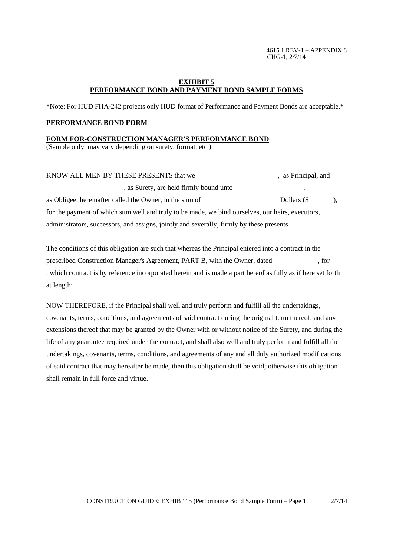4615.1 REV-1 – APPENDIX 8 CHG-1, 2/7/14

### **EXHIBIT 5 PERFORMANCE BOND AND PAYMENT BOND SAMPLE FORMS**

\*Note: For HUD FHA-242 projects only HUD format of Performance and Payment Bonds are acceptable.\*

## **PERFORMANCE BOND FORM**

#### **FORM FOR-CONSTRUCTION MANAGER'S PERFORMANCE BOND**

(Sample only, may vary depending on surety, format, etc )

| KNOW ALL MEN BY THESE PRESENTS that we                                                           | , as Principal, and |
|--------------------------------------------------------------------------------------------------|---------------------|
| , as Surety, are held firmly bound unto                                                          |                     |
| as Obligee, hereinafter called the Owner, in the sum of                                          | Dollars $(S \t)$ ,  |
| for the payment of which sum well and truly to be made, we bind ourselves, our heirs, executors, |                     |
| administrators, successors, and assigns, jointly and severally, firmly by these presents.        |                     |

The conditions of this obligation are such that whereas the Principal entered into a contract in the prescribed Construction Manager's Agreement, PART B, with the Owner, dated , for , which contract is by reference incorporated herein and is made a part hereof as fully as if here set forth at length:

NOW THEREFORE, if the Principal shall well and truly perform and fulfill all the undertakings, covenants, terms, conditions, and agreements of said contract during the original term thereof, and any extensions thereof that may be granted by the Owner with or without notice of the Surety, and during the life of any guarantee required under the contract, and shall also well and truly perform and fulfill all the undertakings, covenants, terms, conditions, and agreements of any and all duly authorized modifications of said contract that may hereafter be made, then this obligation shall be void; otherwise this obligation shall remain in full force and virtue.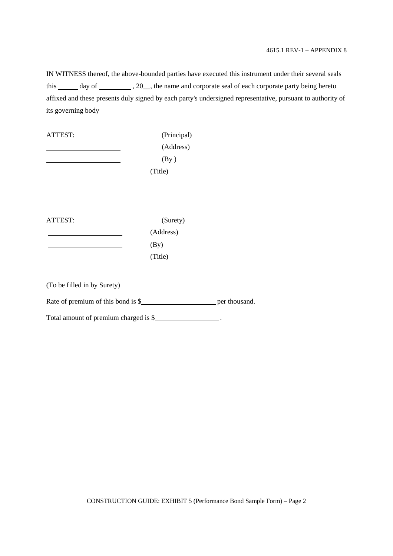IN WITNESS thereof, the above-bounded parties have executed this instrument under their several seals this \_\_\_\_\_ day of \_\_\_\_\_\_\_\_\_, 20\_\_, the name and corporate seal of each corporate party being hereto affixed and these presents duly signed by each party's undersigned representative, pursuant to authority of its governing body

ATTEST: (Principal) (Address)  $(By)$ (Title)

ATTEST: (Surety)

(Address) (By) (Title)

(To be filled in by Surety)

Rate of premium of this bond is  $\frac{1}{2}$  per thousand.

Total amount of premium charged is \$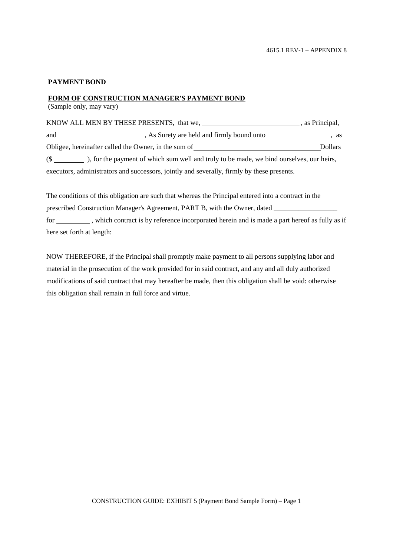## **PAYMENT BOND**

## **FORM OF CONSTRUCTION MANAGER'S PAYMENT BOND**

(Sample only, may vary)

| KNOW ALL MEN BY THESE PRESENTS, that we, |                                                                                            | , as Principal, |
|------------------------------------------|--------------------------------------------------------------------------------------------|-----------------|
| and                                      | , As Surety are held and firmly bound unto                                                 |                 |
|                                          | Obligee, hereinafter called the Owner, in the sum of                                       | <b>Dollars</b>  |
|                                          |                                                                                            |                 |
|                                          | executors, administrators and successors, jointly and severally, firmly by these presents. |                 |

The conditions of this obligation are such that whereas the Principal entered into a contract in the prescribed Construction Manager's Agreement, PART B, with the Owner, dated for \_\_\_\_\_\_\_\_\_\_, which contract is by reference incorporated herein and is made a part hereof as fully as if here set forth at length:

NOW THEREFORE, if the Principal shall promptly make payment to all persons supplying labor and material in the prosecution of the work provided for in said contract, and any and all duly authorized modifications of said contract that may hereafter be made, then this obligation shall be void: otherwise this obligation shall remain in full force and virtue.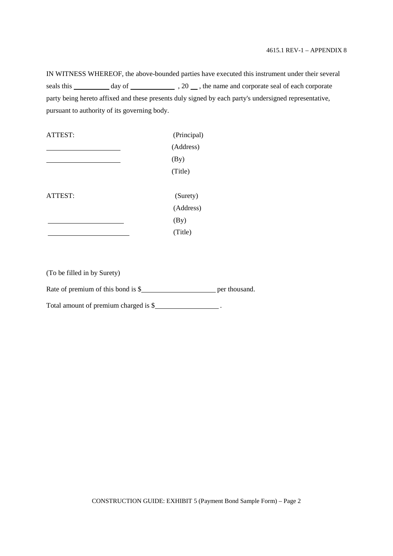IN WITNESS WHEREOF, the above-bounded parties have executed this instrument under their several seals this day of , 20 , the name and corporate seal of each corporate party being hereto affixed and these presents duly signed by each party's undersigned representative, pursuant to authority of its governing body.



(To be filled in by Surety)

Rate of premium of this bond is \$ per thousand.

Total amount of premium charged is \$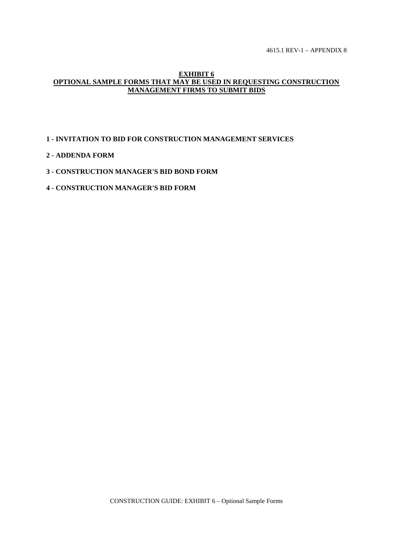4615.1 REV-1 – APPENDIX 8

#### **EXHIBIT 6 OPTIONAL SAMPLE FORMS THAT MAY BE USED IN REQUESTING CONSTRUCTION MANAGEMENT FIRMS TO SUBMIT BIDS**

# **1 - INVITATION TO BID FOR CONSTRUCTION MANAGEMENT SERVICES**

# **2 - ADDENDA FORM**

# **3 - CONSTRUCTION MANAGER'S BID BOND FORM**

# **4 - CONSTRUCTION MANAGER'S BID FORM**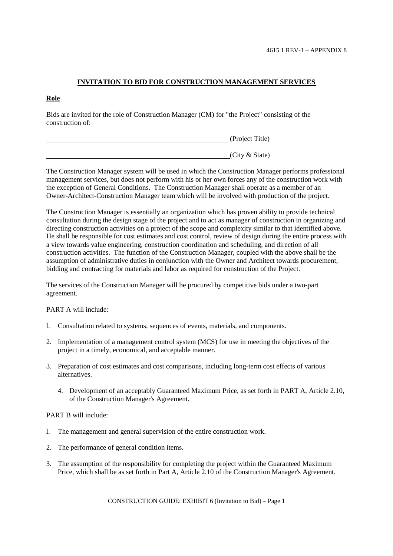# **INVITATION TO BID FOR CONSTRUCTION MANAGEMENT SERVICES**

# **Role**

Bids are invited for the role of Construction Manager (CM) for "the Project" consisting of the construction of:

| (Project Title) |
|-----------------|
|                 |
| (City & State)  |

The Construction Manager system will be used in which the Construction Manager performs professional management services, but does not perform with his or her own forces any of the construction work with the exception of General Conditions. The Construction Manager shall operate as a member of an Owner-Architect-Construction Manager team which will be involved with production of the project.

The Construction Manager is essentially an organization which has proven ability to provide technical consultation during the design stage of the project and to act as manager of construction in organizing and directing construction activities on a project of the scope and complexity similar to that identified above. He shall be responsible for cost estimates and cost control, review of design during the entire process with a view towards value engineering, construction coordination and scheduling, and direction of all construction activities. The function of the Construction Manager, coupled with the above shall be the assumption of administrative duties in conjunction with the Owner and Architect towards procurement, bidding and contracting for materials and labor as required for construction of the Project.

The services of the Construction Manager will be procured by competitive bids under a two-part agreement.

## PART A will include:

- l. Consultation related to systems, sequences of events, materials, and components.
- 2. Implementation of a management control system (MCS) for use in meeting the objectives of the project in a timely, economical, and acceptable manner.
- 3. Preparation of cost estimates and cost comparisons, including long-term cost effects of various alternatives.
	- 4. Development of an acceptably Guaranteed Maximum Price, as set forth in PART A, Article 2.10, of the Construction Manager's Agreement.

#### PART B will include:

- l. The management and general supervision of the entire construction work.
- 2. The performance of general condition items.
- 3. The assumption of the responsibility for completing the project within the Guaranteed Maximum Price, which shall be as set forth in Part A, Article 2.10 of the Construction Manager's Agreement.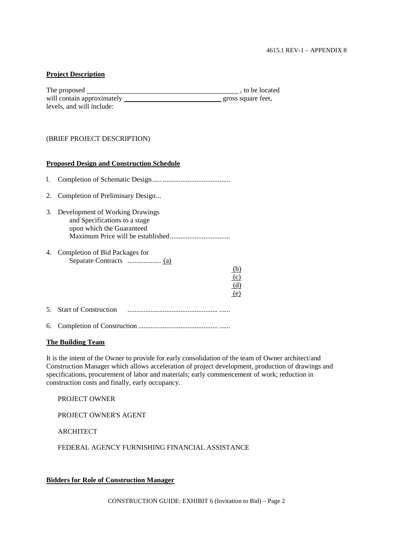#### **Project Description**

| The proposed               | , to be located    |
|----------------------------|--------------------|
| will contain approximately | gross square feet, |
| levels, and will include:  |                    |

#### (BRIEF PROJECT DESCRIPTION)

#### **Proposed Design and Construction Schedule**

| 1. |                                                                                               |
|----|-----------------------------------------------------------------------------------------------|
| 2. | Completion of Preliminary Design                                                              |
| 3. | Development of Working Drawings<br>and Specifications to a stage<br>upon which the Guaranteed |
| 4. | Completion of Bid Packages for<br>(b)<br>(c)<br>(d)<br>(e)                                    |
|    | <b>Start of Construction</b>                                                                  |

6. Completion of Construction ............................................. ......

## **The Building Team**

It is the intent of the Owner to provide for early consolidation of the team of Owner architect/and Construction Manager which allows acceleration of project development, production of drawings and specifications, procurement of labor and materials; early commencement of work; reduction in construction costs and finally, early occupancy.

PROJECT OWNER

PROJECT OWNER'S AGENT

**ARCHITECT** 

FEDERAL AGENCY FURNISHING FINANCIAL ASSISTANCE

## **Bidders for Role of Construction Manager**

CONSTRUCTION GUIDE: EXHIBIT 6 (Invitation to Bid) – Page 2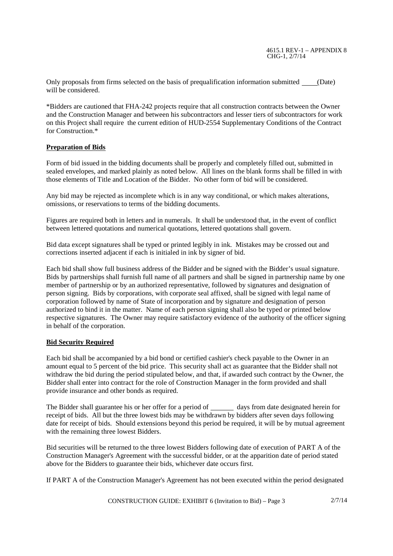4615.1 REV-1 – APPENDIX 8 CHG-1, 2/7/14

Only proposals from firms selected on the basis of prequalification information submitted (Date) will be considered.

\*Bidders are cautioned that FHA-242 projects require that all construction contracts between the Owner and the Construction Manager and between his subcontractors and lesser tiers of subcontractors for work on this Project shall require the current edition of HUD-2554 Supplementary Conditions of the Contract for Construction<sup>\*</sup>

## **Preparation of Bids**

Form of bid issued in the bidding documents shall be properly and completely filled out, submitted in sealed envelopes, and marked plainly as noted below. All lines on the blank forms shall be filled in with those elements of Title and Location of the Bidder. No other form of bid will be considered.

Any bid may be rejected as incomplete which is in any way conditional, or which makes alterations, omissions, or reservations to terms of the bidding documents.

Figures are required both in letters and in numerals. It shall be understood that, in the event of conflict between lettered quotations and numerical quotations, lettered quotations shall govern.

Bid data except signatures shall be typed or printed legibly in ink. Mistakes may be crossed out and corrections inserted adjacent if each is initialed in ink by signer of bid.

Each bid shall show full business address of the Bidder and be signed with the Bidder's usual signature. Bids by partnerships shall furnish full name of all partners and shall be signed in partnership name by one member of partnership or by an authorized representative, followed by signatures and designation of person signing. Bids by corporations, with corporate seal affixed, shall be signed with legal name of corporation followed by name of State of incorporation and by signature and designation of person authorized to bind it in the matter. Name of each person signing shall also be typed or printed below respective signatures. The Owner may require satisfactory evidence of the authority of the officer signing in behalf of the corporation.

## **Bid Security Required**

Each bid shall be accompanied by a bid bond or certified cashier's check payable to the Owner in an amount equal to 5 percent of the bid price. This security shall act as guarantee that the Bidder shall not withdraw the bid during the period stipulated below, and that, if awarded such contract by the Owner, the Bidder shall enter into contract for the role of Construction Manager in the form provided and shall provide insurance and other bonds as required.

The Bidder shall guarantee his or her offer for a period of days from date designated herein for receipt of bids. All but the three lowest bids may be withdrawn by bidders after seven days following date for receipt of bids. Should extensions beyond this period be required, it will be by mutual agreement with the remaining three lowest Bidders.

Bid securities will be returned to the three lowest Bidders following date of execution of PART A of the Construction Manager's Agreement with the successful bidder, or at the apparition date of period stated above for the Bidders to guarantee their bids, whichever date occurs first.

If PART A of the Construction Manager's Agreement has not been executed within the period designated

CONSTRUCTION GUIDE: EXHIBIT 6 (Invitation to Bid) – Page 3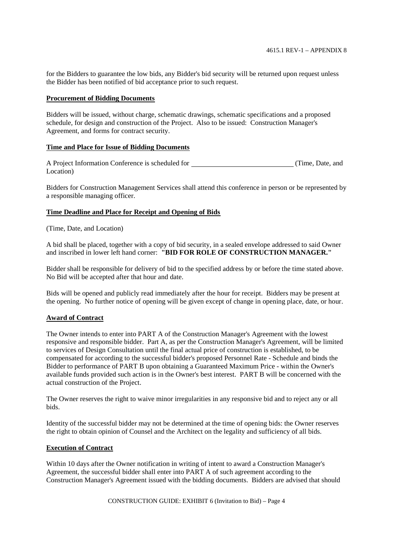for the Bidders to guarantee the low bids, any Bidder's bid security will be returned upon request unless the Bidder has been notified of bid acceptance prior to such request.

#### **Procurement of Bidding Documents**

Bidders will be issued, without charge, schematic drawings, schematic specifications and a proposed schedule, for design and construction of the Project. Also to be issued: Construction Manager's Agreement, and forms for contract security.

#### **Time and Place for Issue of Bidding Documents**

A Project Information Conference is scheduled for (Time, Date, and Location)

Bidders for Construction Management Services shall attend this conference in person or be represented by a responsible managing officer.

#### **Time Deadline and Place for Receipt and Opening of Bids**

(Time, Date, and Location)

A bid shall be placed, together with a copy of bid security, in a sealed envelope addressed to said Owner and inscribed in lower left hand corner: **"BID FOR ROLE OF CONSTRUCTION MANAGER."**

Bidder shall be responsible for delivery of bid to the specified address by or before the time stated above. No Bid will be accepted after that hour and date.

Bids will be opened and publicly read immediately after the hour for receipt. Bidders may be present at the opening. No further notice of opening will be given except of change in opening place, date, or hour.

## **Award of Contract**

The Owner intends to enter into PART A of the Construction Manager's Agreement with the lowest responsive and responsible bidder. Part A, as per the Construction Manager's Agreement, will be limited to services of Design Consultation until the final actual price of construction is established, to be compensated for according to the successful bidder's proposed Personnel Rate - Schedule and binds the Bidder to performance of PART B upon obtaining a Guaranteed Maximum Price - within the Owner's available funds provided such action is in the Owner's best interest. PART B will be concerned with the actual construction of the Project.

The Owner reserves the right to waive minor irregularities in any responsive bid and to reject any or all bids.

Identity of the successful bidder may not be determined at the time of opening bids: the Owner reserves the right to obtain opinion of Counsel and the Architect on the legality and sufficiency of all bids.

# **Execution of Contract**

Within 10 days after the Owner notification in writing of intent to award a Construction Manager's Agreement, the successful bidder shall enter into PART A of such agreement according to the Construction Manager's Agreement issued with the bidding documents. Bidders are advised that should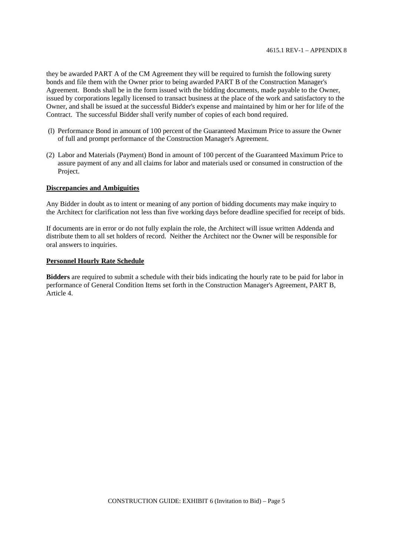they be awarded PART A of the CM Agreement they will be required to furnish the following surety bonds and file them with the Owner prior to being awarded PART B of the Construction Manager's Agreement. Bonds shall be in the form issued with the bidding documents, made payable to the Owner, issued by corporations legally licensed to transact business at the place of the work and satisfactory to the Owner, and shall be issued at the successful Bidder's expense and maintained by him or her for life of the Contract. The successful Bidder shall verify number of copies of each bond required.

- (l) Performance Bond in amount of 100 percent of the Guaranteed Maximum Price to assure the Owner of full and prompt performance of the Construction Manager's Agreement.
- (2) Labor and Materials (Payment) Bond in amount of 100 percent of the Guaranteed Maximum Price to assure payment of any and all claims for labor and materials used or consumed in construction of the Project.

#### **Discrepancies and Ambiguities**

Any Bidder in doubt as to intent or meaning of any portion of bidding documents may make inquiry to the Architect for clarification not less than five working days before deadline specified for receipt of bids.

If documents are in error or do not fully explain the role, the Architect will issue written Addenda and distribute them to all set holders of record. Neither the Architect nor the Owner will be responsible for oral answers to inquiries.

#### **Personnel Hourly Rate Schedule**

**Bidders** are required to submit a schedule with their bids indicating the hourly rate to be paid for labor in performance of General Condition Items set forth in the Construction Manager's Agreement, PART B, Article 4.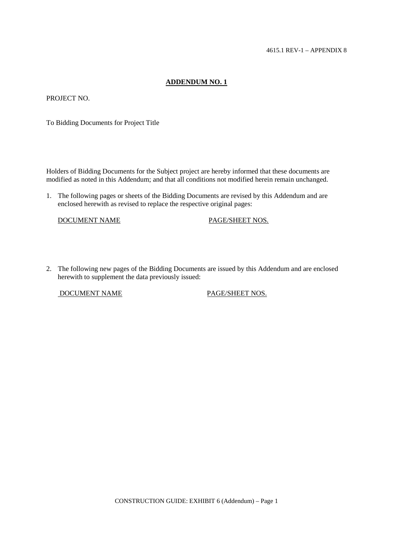# **ADDENDUM NO. 1**

PROJECT NO.

To Bidding Documents for Project Title

Holders of Bidding Documents for the Subject project are hereby informed that these documents are modified as noted in this Addendum; and that all conditions not modified herein remain unchanged.

1. The following pages or sheets of the Bidding Documents are revised by this Addendum and are enclosed herewith as revised to replace the respective original pages:

DOCUMENT NAME PAGE/SHEET NOS.

2. The following new pages of the Bidding Documents are issued by this Addendum and are enclosed herewith to supplement the data previously issued:

DOCUMENT NAME PAGE/SHEET NOS.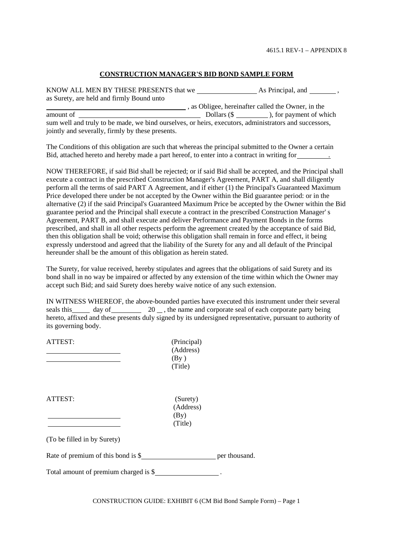#### **CONSTRUCTION MANAGER'S BID BOND SAMPLE FORM**

KNOW ALL MEN BY THESE PRESENTS that we As Principal, and , as Surety, are held and firmly Bound unto , as Obligee, hereinafter called the Owner, in the

amount of  $\qquad \qquad \qquad \qquad$  Dollars (\$ $\qquad \qquad$ ), for payment of which sum well and truly to be made, we bind ourselves, or heirs, executors, administrators and successors, jointly and severally, firmly by these presents.

The Conditions of this obligation are such that whereas the principal submitted to the Owner a certain Bid, attached hereto and hereby made a part hereof, to enter into a contract in writing for .

NOW THEREFORE, if said Bid shall be rejected; or if said Bid shall be accepted, and the Principal shall execute a contract in the prescribed Construction Manager's Agreement, PART A, and shall diligently perform all the terms of said PART A Agreement, and if either (1) the Principal's Guaranteed Maximum Price developed there under be not accepted by the Owner within the Bid guarantee period: or in the alternative (2) if the said Principal's Guaranteed Maximum Price be accepted by the Owner within the Bid guarantee period and the Principal shall execute a contract in the prescribed Construction Manager' s Agreement, PART B, and shall execute and deliver Performance and Payment Bonds in the forms prescribed, and shall in all other respects perform the agreement created by the acceptance of said Bid, then this obligation shall be void; otherwise this obligation shall remain in force and effect, it being expressly understood and agreed that the liability of the Surety for any and all default of the Principal hereunder shall be the amount of this obligation as herein stated.

The Surety, for value received, hereby stipulates and agrees that the obligations of said Surety and its bond shall in no way be impaired or affected by any extension of the time within which the Owner may accept such Bid; and said Surety does hereby waive notice of any such extension.

IN WITNESS WHEREOF, the above-bounded parties have executed this instrument under their several seals this day of  $\frac{20}{10}$ , the name and corporate seal of each corporate party being hereto, affixed and these presents duly signed by its undersigned representative, pursuant to authority of its governing body.

| ATTEST:                                          | (Principal)<br>(Address)<br>$\left(\text{By}\right)$<br>(Title) |  |
|--------------------------------------------------|-----------------------------------------------------------------|--|
| ATTEST:                                          | (Surety)<br>(Address)<br>$\left(By\right)$<br>(Title)           |  |
| (To be filled in by Surety)                      |                                                                 |  |
| Rate of premium of this bond is \$ per thousand. |                                                                 |  |
| Total amount of premium charged is \$            |                                                                 |  |

CONSTRUCTION GUIDE: EXHIBIT 6 (CM Bid Bond Sample Form) – Page 1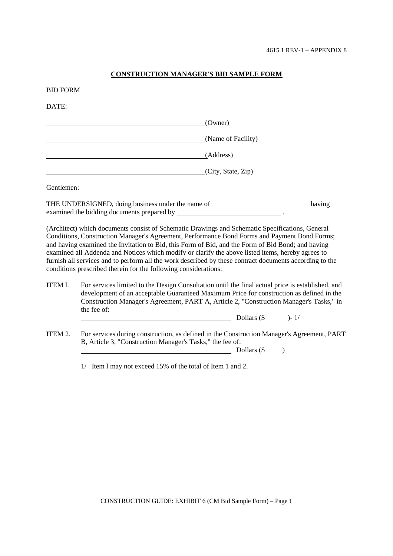## **CONSTRUCTION MANAGER'S BID SAMPLE FORM**

#### BID FORM

DATE:

|                                                                                                                                                                                                                                                                                                                                                                                                           | (Owner)            |  |
|-----------------------------------------------------------------------------------------------------------------------------------------------------------------------------------------------------------------------------------------------------------------------------------------------------------------------------------------------------------------------------------------------------------|--------------------|--|
|                                                                                                                                                                                                                                                                                                                                                                                                           | (Name of Facility) |  |
|                                                                                                                                                                                                                                                                                                                                                                                                           | (Address)          |  |
|                                                                                                                                                                                                                                                                                                                                                                                                           | (City, State, Zip) |  |
| Gentlemen:                                                                                                                                                                                                                                                                                                                                                                                                |                    |  |
| THE UNDERSIGNED, doing business under the name of<br>having<br>examined the bidding documents prepared by examined the bidding documents prepared by                                                                                                                                                                                                                                                      |                    |  |
| (Architect) which documents consist of Schematic Drawings and Schematic Specifications, General<br>Conditions, Construction Manager's Agreement, Performance Bond Forms and Payment Bond Forms;<br>and having examined the Invitation to Bid, this Form of Bid, and the Form of Bid Bond; and having<br>examined all Addenda and Notices which modify or clarify the above listed items, hereby agrees to |                    |  |

furnish all services and to perform all the work described by these contract documents according to the conditions prescribed therein for the following considerations:

ITEM l. For services limited to the Design Consultation until the final actual price is established, and development of an acceptable Guaranteed Maximum Price for construction as defined in the Construction Manager's Agreement, PART A, Article 2, "Construction Manager's Tasks," in the fee of:

| )- 1/ |
|-------|
|       |

ITEM 2. For services during construction, as defined in the Construction Manager's Agreement, PART B, Article 3, "Construction Manager's Tasks," the fee of:

Dollars  $(\$$  )

1/ Item l may not exceed 15% of the total of Item 1 and 2.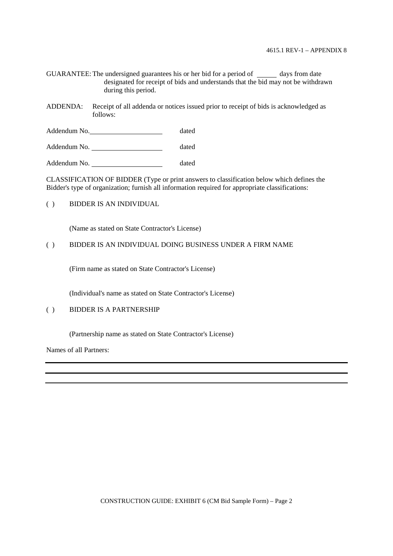GUARANTEE: The undersigned guarantees his or her bid for a period of \_\_\_\_\_\_ days from date designated for receipt of bids and understands that the bid may not be withdrawn during this period.

ADDENDA: Receipt of all addenda or notices issued prior to receipt of bids is acknowledged as follows:

Addendum No. 1999 and 1999 and 1999 and 1999 and 1999 and 1999 and 1999 and 1999 and 1999 and 1999 and 1999 and 1999 and 1999 and 1999 and 1999 and 1999 and 1999 and 1999 and 1999 and 1999 and 1999 and 1999 and 1999 and 19

Addendum No. dated

Addendum No. dated

CLASSIFICATION OF BIDDER (Type or print answers to classification below which defines the Bidder's type of organization; furnish all information required for appropriate classifications:

( ) BIDDER IS AN INDIVIDUAL

(Name as stated on State Contractor's License)

#### ( ) BIDDER IS AN INDIVIDUAL DOING BUSINESS UNDER A FIRM NAME

(Firm name as stated on State Contractor's License)

(Individual's name as stated on State Contractor's License)

# ( ) BIDDER IS A PARTNERSHIP

(Partnership name as stated on State Contractor's License)

Names of all Partners: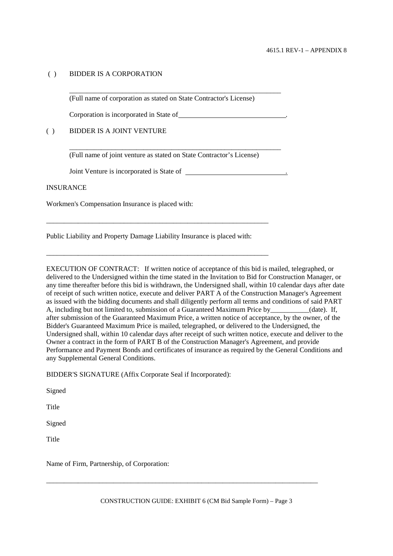# ( ) BIDDER IS A CORPORATION

(Full name of corporation as stated on State Contractor's License)

\_\_\_\_\_\_\_\_\_\_\_\_\_\_\_\_\_\_\_\_\_\_\_\_\_\_\_\_\_\_\_\_\_\_\_\_\_\_\_\_\_\_\_\_\_\_\_\_\_\_\_\_\_\_\_\_\_\_\_\_

\_\_\_\_\_\_\_\_\_\_\_\_\_\_\_\_\_\_\_\_\_\_\_\_\_\_\_\_\_\_\_\_\_\_\_\_\_\_\_\_\_\_\_\_\_\_\_\_\_\_\_\_\_\_\_\_\_\_\_\_

Corporation is incorporated in State of .

# ( ) BIDDER IS A JOINT VENTURE

(Full name of joint venture as stated on State Contractor's License)

Joint Venture is incorporated is State of .

## **INSURANCE**

Workmen's Compensation Insurance is placed with:

Public Liability and Property Damage Liability Insurance is placed with:

\_\_\_\_\_\_\_\_\_\_\_\_\_\_\_\_\_\_\_\_\_\_\_\_\_\_\_\_\_\_\_\_\_\_\_\_\_\_\_\_\_\_\_\_\_\_\_\_\_\_\_\_\_\_\_\_\_\_\_\_\_\_\_

\_\_\_\_\_\_\_\_\_\_\_\_\_\_\_\_\_\_\_\_\_\_\_\_\_\_\_\_\_\_\_\_\_\_\_\_\_\_\_\_\_\_\_\_\_\_\_\_\_\_\_\_\_\_\_\_\_\_\_\_\_\_\_

EXECUTION OF CONTRACT: If written notice of acceptance of this bid is mailed, telegraphed, or delivered to the Undersigned within the time stated in the Invitation to Bid for Construction Manager, or any time thereafter before this bid is withdrawn, the Undersigned shall, within 10 calendar days after date of receipt of such written notice, execute and deliver PART A of the Construction Manager's Agreement as issued with the bidding documents and shall diligently perform all terms and conditions of said PART A, including but not limited to, submission of a Guaranteed Maximum Price by\_\_\_\_\_\_\_\_\_\_\_(date). If, after submission of the Guaranteed Maximum Price, a written notice of acceptance, by the owner, of the Bidder's Guaranteed Maximum Price is mailed, telegraphed, or delivered to the Undersigned, the Undersigned shall, within 10 calendar days after receipt of such written notice, execute and deliver to the Owner a contract in the form of PART B of the Construction Manager's Agreement, and provide Performance and Payment Bonds and certificates of insurance as required by the General Conditions and any Supplemental General Conditions.

BIDDER'S SIGNATURE (Affix Corporate Seal if Incorporated):

Signed

Title

Signed

Title

Name of Firm, Partnership, of Corporation:

\_\_\_\_\_\_\_\_\_\_\_\_\_\_\_\_\_\_\_\_\_\_\_\_\_\_\_\_\_\_\_\_\_\_\_\_\_\_\_\_\_\_\_\_\_\_\_\_\_\_\_\_\_\_\_\_\_\_\_\_\_\_\_\_\_\_\_\_\_\_\_\_\_\_\_\_\_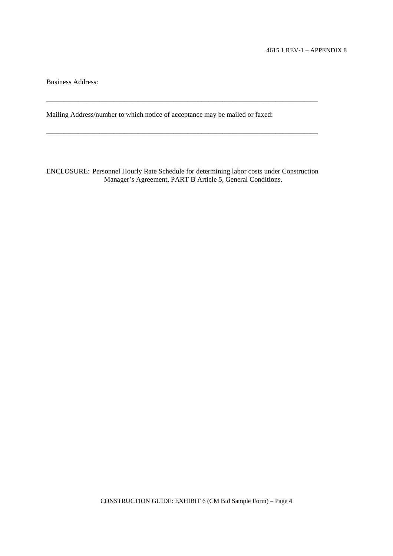Business Address:

Mailing Address/number to which notice of acceptance may be mailed or faxed:

ENCLOSURE: Personnel Hourly Rate Schedule for determining labor costs under Construction Manager's Agreement, PART B Article 5, General Conditions.

\_\_\_\_\_\_\_\_\_\_\_\_\_\_\_\_\_\_\_\_\_\_\_\_\_\_\_\_\_\_\_\_\_\_\_\_\_\_\_\_\_\_\_\_\_\_\_\_\_\_\_\_\_\_\_\_\_\_\_\_\_\_\_\_\_\_\_\_\_\_\_\_\_\_\_\_\_

\_\_\_\_\_\_\_\_\_\_\_\_\_\_\_\_\_\_\_\_\_\_\_\_\_\_\_\_\_\_\_\_\_\_\_\_\_\_\_\_\_\_\_\_\_\_\_\_\_\_\_\_\_\_\_\_\_\_\_\_\_\_\_\_\_\_\_\_\_\_\_\_\_\_\_\_\_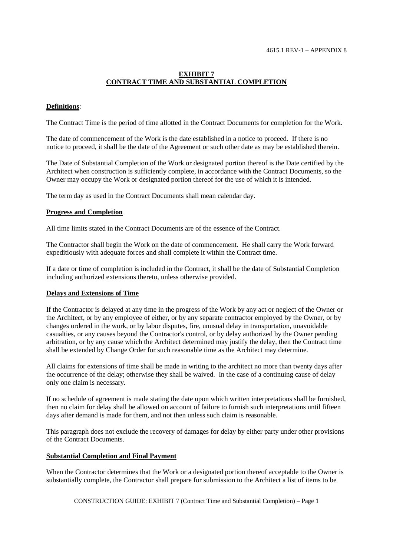# **EXHIBIT 7 CONTRACT TIME AND SUBSTANTIAL COMPLETION**

## **Definitions**:

The Contract Time is the period of time allotted in the Contract Documents for completion for the Work.

The date of commencement of the Work is the date established in a notice to proceed. If there is no notice to proceed, it shall be the date of the Agreement or such other date as may be established therein.

The Date of Substantial Completion of the Work or designated portion thereof is the Date certified by the Architect when construction is sufficiently complete, in accordance with the Contract Documents, so the Owner may occupy the Work or designated portion thereof for the use of which it is intended.

The term day as used in the Contract Documents shall mean calendar day.

#### **Progress and Completion**

All time limits stated in the Contract Documents are of the essence of the Contract.

The Contractor shall begin the Work on the date of commencement. He shall carry the Work forward expeditiously with adequate forces and shall complete it within the Contract time.

If a date or time of completion is included in the Contract, it shall be the date of Substantial Completion including authorized extensions thereto, unless otherwise provided.

#### **Delays and Extensions of Time**

If the Contractor is delayed at any time in the progress of the Work by any act or neglect of the Owner or the Architect, or by any employee of either, or by any separate contractor employed by the Owner, or by changes ordered in the work, or by labor disputes, fire, unusual delay in transportation, unavoidable casualties, or any causes beyond the Contractor's control, or by delay authorized by the Owner pending arbitration, or by any cause which the Architect determined may justify the delay, then the Contract time shall be extended by Change Order for such reasonable time as the Architect may determine.

All claims for extensions of time shall be made in writing to the architect no more than twenty days after the occurrence of the delay; otherwise they shall be waived. In the case of a continuing cause of delay only one claim is necessary.

If no schedule of agreement is made stating the date upon which written interpretations shall be furnished, then no claim for delay shall be allowed on account of failure to furnish such interpretations until fifteen days after demand is made for them, and not then unless such claim is reasonable.

This paragraph does not exclude the recovery of damages for delay by either party under other provisions of the Contract Documents.

#### **Substantial Completion and Final Payment**

When the Contractor determines that the Work or a designated portion thereof acceptable to the Owner is substantially complete, the Contractor shall prepare for submission to the Architect a list of items to be

CONSTRUCTION GUIDE: EXHIBIT 7 (Contract Time and Substantial Completion) – Page 1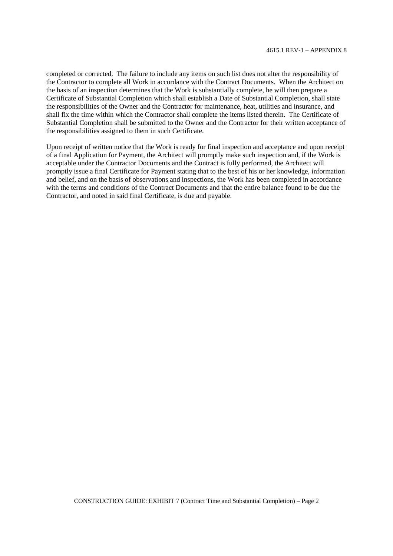completed or corrected. The failure to include any items on such list does not alter the responsibility of the Contractor to complete all Work in accordance with the Contract Documents. When the Architect on the basis of an inspection determines that the Work is substantially complete, he will then prepare a Certificate of Substantial Completion which shall establish a Date of Substantial Completion, shall state the responsibilities of the Owner and the Contractor for maintenance, heat, utilities and insurance, and shall fix the time within which the Contractor shall complete the items listed therein. The Certificate of Substantial Completion shall be submitted to the Owner and the Contractor for their written acceptance of the responsibilities assigned to them in such Certificate.

Upon receipt of written notice that the Work is ready for final inspection and acceptance and upon receipt of a final Application for Payment, the Architect will promptly make such inspection and, if the Work is acceptable under the Contractor Documents and the Contract is fully performed, the Architect will promptly issue a final Certificate for Payment stating that to the best of his or her knowledge, information and belief, and on the basis of observations and inspections, the Work has been completed in accordance with the terms and conditions of the Contract Documents and that the entire balance found to be due the Contractor, and noted in said final Certificate, is due and payable.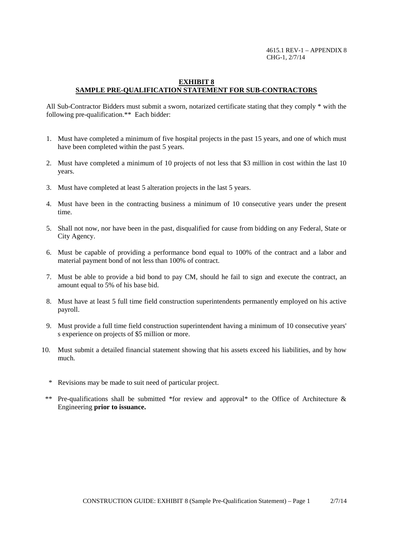4615.1 REV-1 – APPENDIX 8 CHG-1, 2/7/14

#### **EXHIBIT 8 SAMPLE PRE-QUALIFICATION STATEMENT FOR SUB-CONTRACTORS**

All Sub-Contractor Bidders must submit a sworn, notarized certificate stating that they comply \* with the following pre-qualification.\*\* Each bidder:

- 1. Must have completed a minimum of five hospital projects in the past 15 years, and one of which must have been completed within the past 5 years.
- 2. Must have completed a minimum of 10 projects of not less that \$3 million in cost within the last 10 years.
- 3. Must have completed at least 5 alteration projects in the last 5 years.
- 4. Must have been in the contracting business a minimum of 10 consecutive years under the present time.
- 5. Shall not now, nor have been in the past, disqualified for cause from bidding on any Federal, State or City Agency.
- 6. Must be capable of providing a performance bond equal to 100% of the contract and a labor and material payment bond of not less than 100% of contract.
- 7. Must be able to provide a bid bond to pay CM, should he fail to sign and execute the contract, an amount equal to 5% of his base bid.
- 8. Must have at least 5 full time field construction superintendents permanently employed on his active payroll.
- 9. Must provide a full time field construction superintendent having a minimum of 10 consecutive years' s experience on projects of \$5 million or more.
- 10. Must submit a detailed financial statement showing that his assets exceed his liabilities, and by how much.
	- \* Revisions may be made to suit need of particular project.
- \*\* Pre-qualifications shall be submitted \*for review and approval\* to the Office of Architecture & Engineering **prior to issuance.**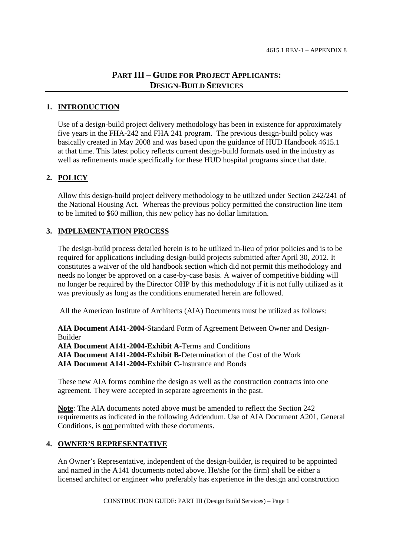## **PART III – GUIDE FOR PROJECT APPLICANTS: DESIGN-BUILD SERVICES**

## **1. INTRODUCTION**

Use of a design-build project delivery methodology has been in existence for approximately five years in the FHA-242 and FHA 241 program. The previous design-build policy was basically created in May 2008 and was based upon the guidance of HUD Handbook 4615.1 at that time. This latest policy reflects current design-build formats used in the industry as well as refinements made specifically for these HUD hospital programs since that date.

## **2. POLICY**

Allow this design-build project delivery methodology to be utilized under Section 242/241 of the National Housing Act. Whereas the previous policy permitted the construction line item to be limited to \$60 million, this new policy has no dollar limitation.

## **3. IMPLEMENTATION PROCESS**

The design-build process detailed herein is to be utilized in-lieu of prior policies and is to be required for applications including design-build projects submitted after April 30, 2012. It constitutes a waiver of the old handbook section which did not permit this methodology and needs no longer be approved on a case-by-case basis. A waiver of competitive bidding will no longer be required by the Director OHP by this methodology if it is not fully utilized as it was previously as long as the conditions enumerated herein are followed.

All the American Institute of Architects (AIA) Documents must be utilized as follows:

**AIA Document A141-2004**-Standard Form of Agreement Between Owner and Design-Builder

**AIA Document A141-2004-Exhibit A**-Terms and Conditions

**AIA Document A141-2004-Exhibit B**-Determination of the Cost of the Work

**AIA Document A141-2004-Exhibit C**-Insurance and Bonds

These new AIA forms combine the design as well as the construction contracts into one agreement. They were accepted in separate agreements in the past.

**Note**: The AIA documents noted above must be amended to reflect the Section 242 requirements as indicated in the following Addendum. Use of AIA Document A201, General Conditions, is not permitted with these documents.

## **4. OWNER'S REPRESENTATIVE**

An Owner's Representative, independent of the design-builder, is required to be appointed and named in the A141 documents noted above. He/she (or the firm) shall be either a licensed architect or engineer who preferably has experience in the design and construction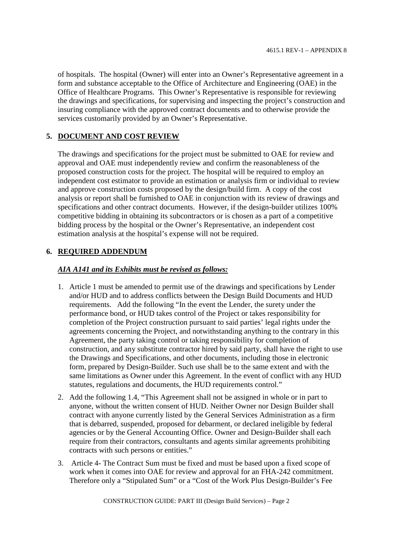of hospitals. The hospital (Owner) will enter into an Owner's Representative agreement in a form and substance acceptable to the Office of Architecture and Engineering (OAE) in the Office of Healthcare Programs. This Owner's Representative is responsible for reviewing the drawings and specifications, for supervising and inspecting the project's construction and insuring compliance with the approved contract documents and to otherwise provide the services customarily provided by an Owner's Representative.

## **5. DOCUMENT AND COST REVIEW**

The drawings and specifications for the project must be submitted to OAE for review and approval and OAE must independently review and confirm the reasonableness of the proposed construction costs for the project. The hospital will be required to employ an independent cost estimator to provide an estimation or analysis firm or individual to review and approve construction costs proposed by the design/build firm. A copy of the cost analysis or report shall be furnished to OAE in conjunction with its review of drawings and specifications and other contract documents. However, if the design-builder utilizes 100% competitive bidding in obtaining its subcontractors or is chosen as a part of a competitive bidding process by the hospital or the Owner's Representative, an independent cost estimation analysis at the hospital's expense will not be required.

## **6. REQUIRED ADDENDUM**

## *AIA A141 and its Exhibits must be revised as follows:*

- 1. Article 1 must be amended to permit use of the drawings and specifications by Lender and/or HUD and to address conflicts between the Design Build Documents and HUD requirements. Add the following "In the event the Lender, the surety under the performance bond, or HUD takes control of the Project or takes responsibility for completion of the Project construction pursuant to said parties' legal rights under the agreements concerning the Project, and notwithstanding anything to the contrary in this Agreement, the party taking control or taking responsibility for completion of construction, and any substitute contractor hired by said party, shall have the right to use the Drawings and Specifications, and other documents, including those in electronic form, prepared by Design-Builder. Such use shall be to the same extent and with the same limitations as Owner under this Agreement. In the event of conflict with any HUD statutes, regulations and documents, the HUD requirements control."
- 2. Add the following 1.4, "This Agreement shall not be assigned in whole or in part to anyone, without the written consent of HUD. Neither Owner nor Design Builder shall contract with anyone currently listed by the General Services Administration as a firm that is debarred, suspended, proposed for debarment, or declared ineligible by federal agencies or by the General Accounting Office. Owner and Design-Builder shall each require from their contractors, consultants and agents similar agreements prohibiting contracts with such persons or entities."
- 3. Article 4- The Contract Sum must be fixed and must be based upon a fixed scope of work when it comes into OAE for review and approval for an FHA-242 commitment. Therefore only a "Stipulated Sum" or a "Cost of the Work Plus Design-Builder's Fee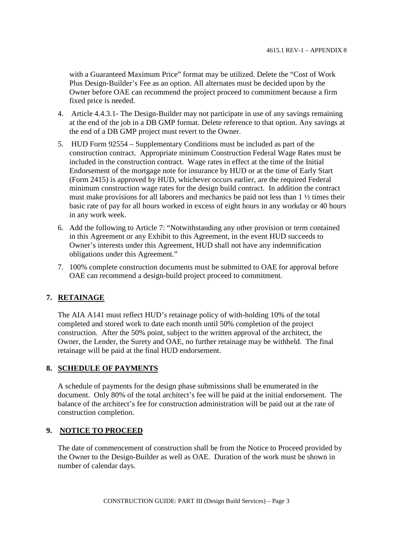with a Guaranteed Maximum Price" format may be utilized. Delete the "Cost of Work Plus Design-Builder's Fee as an option. All alternates must be decided upon by the Owner before OAE can recommend the project proceed to commitment because a firm fixed price is needed.

- 4. Article 4.4.3.1- The Design-Builder may not participate in use of any savings remaining at the end of the job in a DB GMP format. Delete reference to that option. Any savings at the end of a DB GMP project must revert to the Owner.
- 5. HUD Form 92554 Supplementary Conditions must be included as part of the construction contract. Appropriate minimum Construction Federal Wage Rates must be included in the construction contract. Wage rates in effect at the time of the Initial Endorsement of the mortgage note for insurance by HUD or at the time of Early Start (Form 2415) is approved by HUD, whichever occurs earlier, are the required Federal minimum construction wage rates for the design build contract. In addition the contract must make provisions for all laborers and mechanics be paid not less than 1 ½ times their basic rate of pay for all hours worked in excess of eight hours in any workday or 40 hours in any work week.
- 6. Add the following to Article 7: "Notwithstanding any other provision or term contained in this Agreement or any Exhibit to this Agreement, in the event HUD succeeds to Owner's interests under this Agreement, HUD shall not have any indemnification obligations under this Agreement."
- 7. 100% complete construction documents must be submitted to OAE for approval before OAE can recommend a design-build project proceed to commitment.

## **7. RETAINAGE**

The AIA A141 must reflect HUD's retainage policy of with-holding 10% of the total completed and stored work to date each month until 50% completion of the project construction. After the 50% point, subject to the written approval of the architect, the Owner, the Lender, the Surety and OAE, no further retainage may be withheld. The final retainage will be paid at the final HUD endorsement.

## **8. SCHEDULE OF PAYMENTS**

A schedule of payments for the design phase submissions shall be enumerated in the document. Only 80% of the total architect's fee will be paid at the initial endorsement. The balance of the architect's fee for construction administration will be paid out at the rate of construction completion.

## **9. NOTICE TO PROCEED**

The date of commencement of construction shall be from the Notice to Proceed provided by the Owner to the Design-Builder as well as OAE. Duration of the work must be shown in number of calendar days.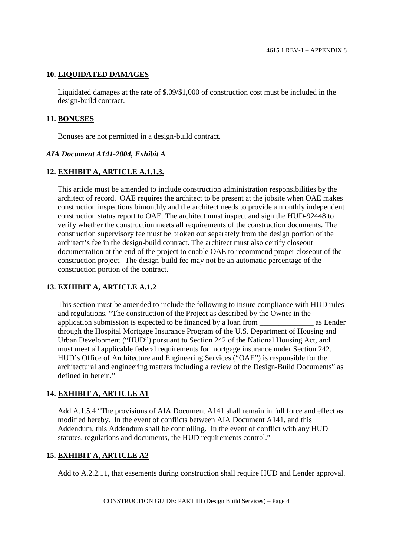## **10. LIQUIDATED DAMAGES**

Liquidated damages at the rate of \$.09/\$1,000 of construction cost must be included in the design-build contract.

#### **11. BONUSES**

Bonuses are not permitted in a design-build contract.

## *AIA Document A141-2004, Exhibit A*

## **12. EXHIBIT A, ARTICLE A.1.1.3.**

This article must be amended to include construction administration responsibilities by the architect of record. OAE requires the architect to be present at the jobsite when OAE makes construction inspections bimonthly and the architect needs to provide a monthly independent construction status report to OAE. The architect must inspect and sign the HUD-92448 to verify whether the construction meets all requirements of the construction documents. The construction supervisory fee must be broken out separately from the design portion of the architect's fee in the design-build contract. The architect must also certify closeout documentation at the end of the project to enable OAE to recommend proper closeout of the construction project. The design-build fee may not be an automatic percentage of the construction portion of the contract.

## **13. EXHIBIT A, ARTICLE A.1.2**

This section must be amended to include the following to insure compliance with HUD rules and regulations. "The construction of the Project as described by the Owner in the application submission is expected to be financed by a loan from  $\qquad \qquad$  as Lender through the Hospital Mortgage Insurance Program of the U.S. Department of Housing and Urban Development ("HUD") pursuant to Section 242 of the National Housing Act, and must meet all applicable federal requirements for mortgage insurance under Section 242. HUD's Office of Architecture and Engineering Services ("OAE") is responsible for the architectural and engineering matters including a review of the Design-Build Documents" as defined in herein."

## **14. EXHIBIT A, ARTICLE A1**

Add A.1.5.4 "The provisions of AIA Document A141 shall remain in full force and effect as modified hereby. In the event of conflicts between AIA Document A141, and this Addendum, this Addendum shall be controlling. In the event of conflict with any HUD statutes, regulations and documents, the HUD requirements control."

## **15. EXHIBIT A, ARTICLE A2**

Add to A.2.2.11, that easements during construction shall require HUD and Lender approval.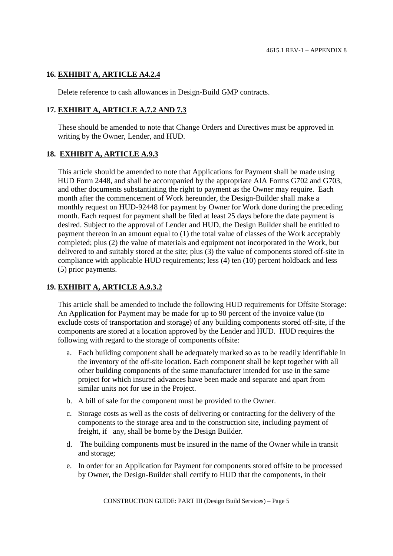## **16. EXHIBIT A, ARTICLE A4.2.4**

Delete reference to cash allowances in Design-Build GMP contracts.

## **17. EXHIBIT A, ARTICLE A.7.2 AND 7.3**

These should be amended to note that Change Orders and Directives must be approved in writing by the Owner, Lender, and HUD.

## **18. EXHIBIT A, ARTICLE A.9.3**

This article should be amended to note that Applications for Payment shall be made using HUD Form 2448, and shall be accompanied by the appropriate AIA Forms G702 and G703, and other documents substantiating the right to payment as the Owner may require. Each month after the commencement of Work hereunder, the Design-Builder shall make a monthly request on HUD-92448 for payment by Owner for Work done during the preceding month. Each request for payment shall be filed at least 25 days before the date payment is desired. Subject to the approval of Lender and HUD, the Design Builder shall be entitled to payment thereon in an amount equal to (1) the total value of classes of the Work acceptably completed; plus (2) the value of materials and equipment not incorporated in the Work, but delivered to and suitably stored at the site; plus (3) the value of components stored off-site in compliance with applicable HUD requirements; less (4) ten (10) percent holdback and less (5) prior payments.

## **19. EXHIBIT A, ARTICLE A.9.3.2**

This article shall be amended to include the following HUD requirements for Offsite Storage: An Application for Payment may be made for up to 90 percent of the invoice value (to exclude costs of transportation and storage) of any building components stored off-site, if the components are stored at a location approved by the Lender and HUD. HUD requires the following with regard to the storage of components offsite:

- a. Each building component shall be adequately marked so as to be readily identifiable in the inventory of the off-site location. Each component shall be kept together with all other building components of the same manufacturer intended for use in the same project for which insured advances have been made and separate and apart from similar units not for use in the Project.
- b. A bill of sale for the component must be provided to the Owner.
- c. Storage costs as well as the costs of delivering or contracting for the delivery of the components to the storage area and to the construction site, including payment of freight, if any, shall be borne by the Design Builder.
- d. The building components must be insured in the name of the Owner while in transit and storage;
- e. In order for an Application for Payment for components stored offsite to be processed by Owner, the Design-Builder shall certify to HUD that the components, in their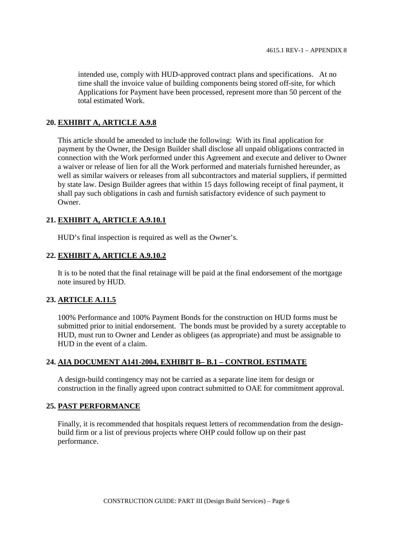intended use, comply with HUD-approved contract plans and specifications. At no time shall the invoice value of building components being stored off-site, for which Applications for Payment have been processed, represent more than 50 percent of the total estimated Work.

## **20. EXHIBIT A, ARTICLE A.9.8**

This article should be amended to include the following: With its final application for payment by the Owner, the Design Builder shall disclose all unpaid obligations contracted in connection with the Work performed under this Agreement and execute and deliver to Owner a waiver or release of lien for all the Work performed and materials furnished hereunder, as well as similar waivers or releases from all subcontractors and material suppliers, if permitted by state law. Design Builder agrees that within 15 days following receipt of final payment, it shall pay such obligations in cash and furnish satisfactory evidence of such payment to Owner.

## **21. EXHIBIT A, ARTICLE A.9.10.1**

HUD's final inspection is required as well as the Owner's.

## **22. EXHIBIT A, ARTICLE A.9.10.2**

It is to be noted that the final retainage will be paid at the final endorsement of the mortgage note insured by HUD.

## **23. ARTICLE A.11.5**

100% Performance and 100% Payment Bonds for the construction on HUD forms must be submitted prior to initial endorsement. The bonds must be provided by a surety acceptable to HUD, must run to Owner and Lender as obligees (as appropriate) and must be assignable to HUD in the event of a claim.

## **24. AIA DOCUMENT A141-2004, EXHIBIT B– B.1 – CONTROL ESTIMATE**

A design-build contingency may not be carried as a separate line item for design or construction in the finally agreed upon contract submitted to OAE for commitment approval.

## **25. PAST PERFORMANCE**

Finally, it is recommended that hospitals request letters of recommendation from the designbuild firm or a list of previous projects where OHP could follow up on their past performance.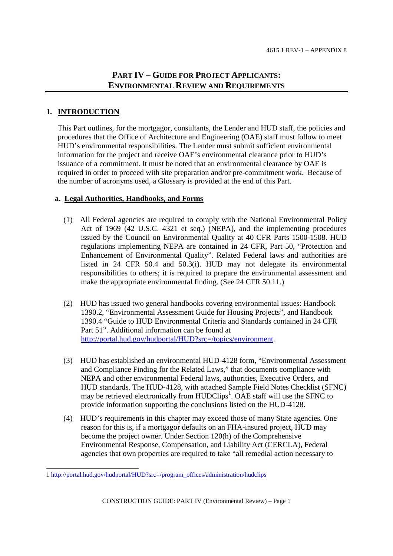# **PART IV – GUIDE FOR PROJECT APPLICANTS: ENVIRONMENTAL REVIEW AND REQUIREMENTS**

## **1. INTRODUCTION**

This Part outlines, for the mortgagor, consultants, the Lender and HUD staff, the policies and procedures that the Office of Architecture and Engineering (OAE) staff must follow to meet HUD's environmental responsibilities. The Lender must submit sufficient environmental information for the project and receive OAE's environmental clearance prior to HUD's issuance of a commitment. It must be noted that an environmental clearance by OAE is required in order to proceed with site preparation and/or pre-commitment work. Because of the number of acronyms used, a Glossary is provided at the end of this Part.

## **a. Legal Authorities, Handbooks, and Forms**

- (1) All Federal agencies are required to comply with the National Environmental Policy Act of 1969 (42 U.S.C. 4321 et seq.) (NEPA), and the implementing procedures issued by the Council on Environmental Quality at 40 CFR Parts 1500-1508. HUD regulations implementing NEPA are contained in 24 CFR, Part 50, "Protection and Enhancement of Environmental Quality". Related Federal laws and authorities are listed in 24 CFR 50.4 and 50.3(i). HUD may not delegate its environmental responsibilities to others; it is required to prepare the environmental assessment and make the appropriate environmental finding. (See 24 CFR 50.11.)
- (2) HUD has issued two general handbooks covering environmental issues: Handbook 1390.2, "Environmental Assessment Guide for Housing Projects", and Handbook 1390.4 "Guide to HUD Environmental Criteria and Standards contained in 24 CFR Part 51". Additional information can be found at http://portal.hud.gov/hudportal/HUD?src=/topics/environment.
- (3) HUD has established an environmental HUD-4128 form, "Environmental Assessment and Compliance Finding for the Related Laws," that documents compliance with NEPA and other environmental Federal laws, authorities, Executive Orders, and HUD standards. The HUD-4128, with attached Sample Field Notes Checklist (SFNC) may be retrieved electronically from  $HUDClips<sup>1</sup>$ . OAE staff will use the SFNC to provide information supporting the conclusions listed on the HUD-4128.
- (4) HUD's requirements in this chapter may exceed those of many State agencies. One reason for this is, if a mortgagor defaults on an FHA-insured project, HUD may become the project owner. Under Section 120(h) of the Comprehensive Environmental Response, Compensation, and Liability Act (CERCLA), Federal agencies that own properties are required to take "all remedial action necessary to

<sup>1</sup> http://portal.hud.gov/hudportal/HUD?src=/program\_offices/administration/hudclips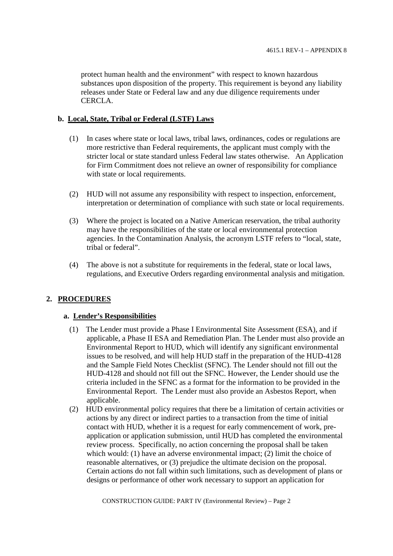protect human health and the environment" with respect to known hazardous substances upon disposition of the property. This requirement is beyond any liability releases under State or Federal law and any due diligence requirements under CERCLA.

### **b. Local, State, Tribal or Federal (LSTF) Laws**

- (1) In cases where state or local laws, tribal laws, ordinances, codes or regulations are more restrictive than Federal requirements, the applicant must comply with the stricter local or state standard unless Federal law states otherwise. An Application for Firm Commitment does not relieve an owner of responsibility for compliance with state or local requirements.
- (2) HUD will not assume any responsibility with respect to inspection, enforcement, interpretation or determination of compliance with such state or local requirements.
- (3) Where the project is located on a Native American reservation, the tribal authority may have the responsibilities of the state or local environmental protection agencies. In the Contamination Analysis, the acronym LSTF refers to "local, state, tribal or federal".
- (4) The above is not a substitute for requirements in the federal, state or local laws, regulations, and Executive Orders regarding environmental analysis and mitigation.

## **2. PROCEDURES**

#### **a. Lender's Responsibilities**

- (1) The Lender must provide a Phase I Environmental Site Assessment (ESA), and if applicable, a Phase II ESA and Remediation Plan. The Lender must also provide an Environmental Report to HUD, which will identify any significant environmental issues to be resolved, and will help HUD staff in the preparation of the HUD-4128 and the Sample Field Notes Checklist (SFNC). The Lender should not fill out the HUD-4128 and should not fill out the SFNC. However, the Lender should use the criteria included in the SFNC as a format for the information to be provided in the Environmental Report. The Lender must also provide an Asbestos Report, when applicable.
- (2) HUD environmental policy requires that there be a limitation of certain activities or actions by any direct or indirect parties to a transaction from the time of initial contact with HUD, whether it is a request for early commencement of work, preapplication or application submission, until HUD has completed the environmental review process. Specifically, no action concerning the proposal shall be taken which would: (1) have an adverse environmental impact; (2) limit the choice of reasonable alternatives, or (3) prejudice the ultimate decision on the proposal. Certain actions do not fall within such limitations, such as development of plans or designs or performance of other work necessary to support an application for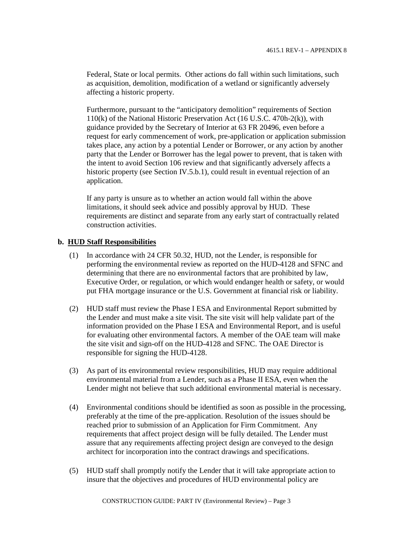Federal, State or local permits. Other actions do fall within such limitations, such as acquisition, demolition, modification of a wetland or significantly adversely affecting a historic property.

Furthermore, pursuant to the "anticipatory demolition" requirements of Section 110(k) of the National Historic Preservation Act (16 U.S.C. 470h-2(k)), with guidance provided by the Secretary of Interior at 63 FR 20496, even before a request for early commencement of work, pre-application or application submission takes place, any action by a potential Lender or Borrower, or any action by another party that the Lender or Borrower has the legal power to prevent, that is taken with the intent to avoid Section 106 review and that significantly adversely affects a historic property (see Section IV.5.b.1), could result in eventual rejection of an application.

If any party is unsure as to whether an action would fall within the above limitations, it should seek advice and possibly approval by HUD. These requirements are distinct and separate from any early start of contractually related construction activities.

## **b. HUD Staff Responsibilities**

- (1) In accordance with 24 CFR 50.32, HUD, not the Lender, is responsible for performing the environmental review as reported on the HUD-4128 and SFNC and determining that there are no environmental factors that are prohibited by law, Executive Order, or regulation, or which would endanger health or safety, or would put FHA mortgage insurance or the U.S. Government at financial risk or liability.
- (2) HUD staff must review the Phase I ESA and Environmental Report submitted by the Lender and must make a site visit. The site visit will help validate part of the information provided on the Phase I ESA and Environmental Report, and is useful for evaluating other environmental factors. A member of the OAE team will make the site visit and sign-off on the HUD-4128 and SFNC. The OAE Director is responsible for signing the HUD-4128.
- (3) As part of its environmental review responsibilities, HUD may require additional environmental material from a Lender, such as a Phase II ESA, even when the Lender might not believe that such additional environmental material is necessary.
- (4) Environmental conditions should be identified as soon as possible in the processing, preferably at the time of the pre-application. Resolution of the issues should be reached prior to submission of an Application for Firm Commitment. Any requirements that affect project design will be fully detailed. The Lender must assure that any requirements affecting project design are conveyed to the design architect for incorporation into the contract drawings and specifications.
- (5) HUD staff shall promptly notify the Lender that it will take appropriate action to insure that the objectives and procedures of HUD environmental policy are

CONSTRUCTION GUIDE: PART IV (Environmental Review) – Page 3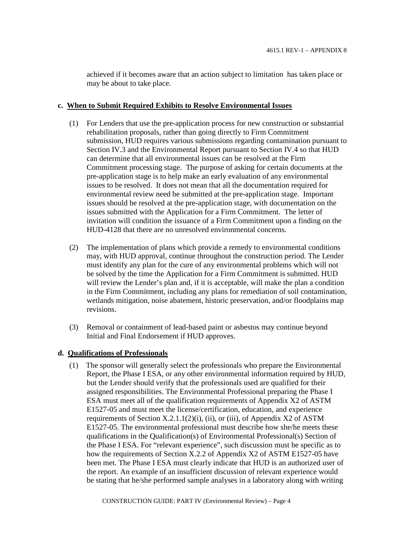achieved if it becomes aware that an action subject to limitation has taken place or may be about to take place.

#### **c. When to Submit Required Exhibits to Resolve Environmental Issues**

- (1) For Lenders that use the pre-application process for new construction or substantial rehabilitation proposals, rather than going directly to Firm Commitment submission, HUD requires various submissions regarding contamination pursuant to Section IV.3 and the Environmental Report pursuant to Section IV.4 so that HUD can determine that all environmental issues can be resolved at the Firm Commitment processing stage. The purpose of asking for certain documents at the pre-application stage is to help make an early evaluation of any environmental issues to be resolved. It does not mean that all the documentation required for environmental review need be submitted at the pre-application stage. Important issues should be resolved at the pre-application stage, with documentation on the issues submitted with the Application for a Firm Commitment. The letter of invitation will condition the issuance of a Firm Commitment upon a finding on the HUD-4128 that there are no unresolved environmental concerns.
- (2) The implementation of plans which provide a remedy to environmental conditions may, with HUD approval, continue throughout the construction period. The Lender must identify any plan for the cure of any environmental problems which will not be solved by the time the Application for a Firm Commitment is submitted. HUD will review the Lender's plan and, if it is acceptable, will make the plan a condition in the Firm Commitment, including any plans for remediation of soil contamination, wetlands mitigation, noise abatement, historic preservation, and/or floodplains map revisions.
- (3) Removal or containment of lead-based paint or asbestos may continue beyond Initial and Final Endorsement if HUD approves.

## **d. Qualifications of Professionals**

(1) The sponsor will generally select the professionals who prepare the Environmental Report, the Phase I ESA, or any other environmental information required by HUD, but the Lender should verify that the professionals used are qualified for their assigned responsibilities. The Environmental Professional preparing the Phase I ESA must meet all of the qualification requirements of Appendix X2 of ASTM E1527-05 and must meet the license/certification, education, and experience requirements of Section  $X.2.1.1(2)(i)$ , (ii), or (iii), of Appendix  $X2$  of ASTM E1527-05. The environmental professional must describe how she/he meets these qualifications in the Qualification(s) of Environmental Professional(s) Section of the Phase I ESA. For "relevant experience", such discussion must be specific as to how the requirements of Section X.2.2 of Appendix X2 of ASTM E1527-05 have been met. The Phase I ESA must clearly indicate that HUD is an authorized user of the report. An example of an insufficient discussion of relevant experience would be stating that he/she performed sample analyses in a laboratory along with writing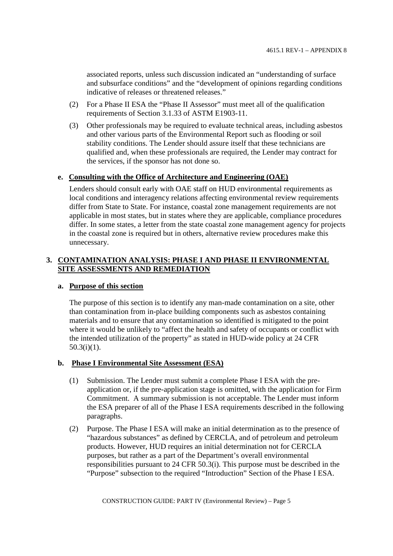associated reports, unless such discussion indicated an "understanding of surface and subsurface conditions" and the "development of opinions regarding conditions indicative of releases or threatened releases."

- (2) For a Phase II ESA the "Phase II Assessor" must meet all of the qualification requirements of Section 3.1.33 of ASTM E1903-11.
- (3) Other professionals may be required to evaluate technical areas, including asbestos and other various parts of the Environmental Report such as flooding or soil stability conditions. The Lender should assure itself that these technicians are qualified and, when these professionals are required, the Lender may contract for the services, if the sponsor has not done so.

#### **e. Consulting with the Office of Architecture and Engineering (OAE)**

Lenders should consult early with OAE staff on HUD environmental requirements as local conditions and interagency relations affecting environmental review requirements differ from State to State. For instance, coastal zone management requirements are not applicable in most states, but in states where they are applicable, compliance procedures differ. In some states, a letter from the state coastal zone management agency for projects in the coastal zone is required but in others, alternative review procedures make this unnecessary.

## **3. CONTAMINATION ANALYSIS: PHASE I AND PHASE II ENVIRONMENTAL SITE ASSESSMENTS AND REMEDIATION**

#### **a. Purpose of this section**

The purpose of this section is to identify any man-made contamination on a site, other than contamination from in-place building components such as asbestos containing materials and to ensure that any contamination so identified is mitigated to the point where it would be unlikely to "affect the health and safety of occupants or conflict with the intended utilization of the property" as stated in HUD-wide policy at 24 CFR 50.3(i)(1).

## **b. Phase I Environmental Site Assessment (ESA)**

- (1) Submission. The Lender must submit a complete Phase I ESA with the preapplication or, if the pre-application stage is omitted, with the application for Firm Commitment. A summary submission is not acceptable. The Lender must inform the ESA preparer of all of the Phase I ESA requirements described in the following paragraphs.
- (2) Purpose. The Phase I ESA will make an initial determination as to the presence of "hazardous substances" as defined by CERCLA, and of petroleum and petroleum products. However, HUD requires an initial determination not for CERCLA purposes, but rather as a part of the Department's overall environmental responsibilities pursuant to 24 CFR 50.3(i). This purpose must be described in the "Purpose" subsection to the required "Introduction" Section of the Phase I ESA.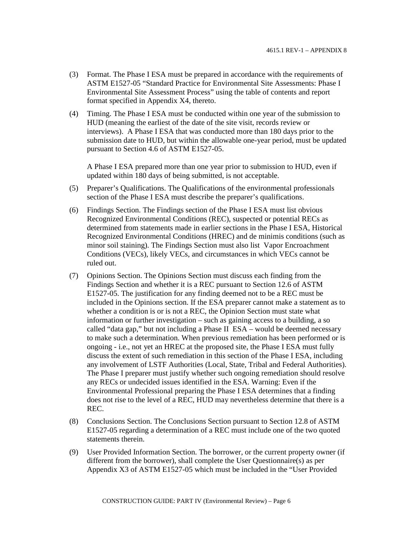- (3) Format. The Phase I ESA must be prepared in accordance with the requirements of ASTM E1527-05 "Standard Practice for Environmental Site Assessments: Phase I Environmental Site Assessment Process" using the table of contents and report format specified in Appendix X4, thereto.
- (4) Timing. The Phase I ESA must be conducted within one year of the submission to HUD (meaning the earliest of the date of the site visit, records review or interviews). A Phase I ESA that was conducted more than 180 days prior to the submission date to HUD, but within the allowable one-year period, must be updated pursuant to Section 4.6 of ASTM E1527-05.

A Phase I ESA prepared more than one year prior to submission to HUD, even if updated within 180 days of being submitted, is not acceptable.

- (5) Preparer's Qualifications. The Qualifications of the environmental professionals section of the Phase I ESA must describe the preparer's qualifications.
- (6) Findings Section. The Findings section of the Phase I ESA must list obvious Recognized Environmental Conditions (REC), suspected or potential RECs as determined from statements made in earlier sections in the Phase I ESA, Historical Recognized Environmental Conditions (HREC) and de minimis conditions (such as minor soil staining). The Findings Section must also list Vapor Encroachment Conditions (VECs), likely VECs, and circumstances in which VECs cannot be ruled out.
- (7) Opinions Section. The Opinions Section must discuss each finding from the Findings Section and whether it is a REC pursuant to Section 12.6 of ASTM E1527-05. The justification for any finding deemed not to be a REC must be included in the Opinions section. If the ESA preparer cannot make a statement as to whether a condition is or is not a REC, the Opinion Section must state what information or further investigation – such as gaining access to a building, a so called "data gap," but not including a Phase II ESA – would be deemed necessary to make such a determination. When previous remediation has been performed or is ongoing - i.e., not yet an HREC at the proposed site, the Phase I ESA must fully discuss the extent of such remediation in this section of the Phase I ESA, including any involvement of LSTF Authorities (Local, State, Tribal and Federal Authorities). The Phase I preparer must justify whether such ongoing remediation should resolve any RECs or undecided issues identified in the ESA. Warning: Even if the Environmental Professional preparing the Phase I ESA determines that a finding does not rise to the level of a REC, HUD may nevertheless determine that there is a REC.
- (8) Conclusions Section. The Conclusions Section pursuant to Section 12.8 of ASTM E1527-05 regarding a determination of a REC must include one of the two quoted statements therein.
- (9) User Provided Information Section. The borrower, or the current property owner (if different from the borrower), shall complete the User Questionnaire(s) as per Appendix X3 of ASTM E1527-05 which must be included in the "User Provided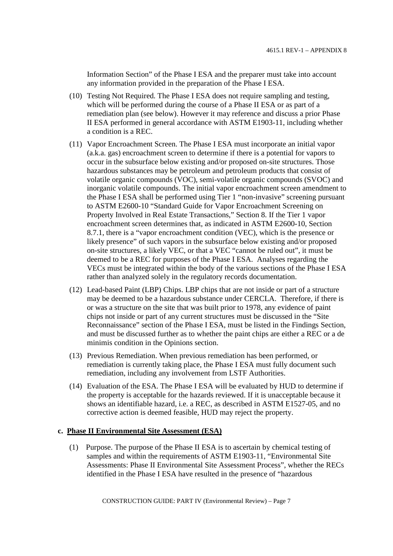Information Section" of the Phase I ESA and the preparer must take into account any information provided in the preparation of the Phase I ESA.

- (10) Testing Not Required. The Phase I ESA does not require sampling and testing, which will be performed during the course of a Phase II ESA or as part of a remediation plan (see below). However it may reference and discuss a prior Phase II ESA performed in general accordance with ASTM E1903-11, including whether a condition is a REC.
- (11) Vapor Encroachment Screen. The Phase I ESA must incorporate an initial vapor (a.k.a. gas) encroachment screen to determine if there is a potential for vapors to occur in the subsurface below existing and/or proposed on-site structures. Those hazardous substances may be petroleum and petroleum products that consist of volatile organic compounds (VOC), semi-volatile organic compounds (SVOC) and inorganic volatile compounds. The initial vapor encroachment screen amendment to the Phase I ESA shall be performed using Tier 1 "non-invasive" screening pursuant to ASTM E2600-10 "Standard Guide for Vapor Encroachment Screening on Property Involved in Real Estate Transactions," Section 8. If the Tier 1 vapor encroachment screen determines that, as indicated in ASTM E2600-10, Section 8.7.1, there is a "vapor encroachment condition (VEC), which is the presence or likely presence" of such vapors in the subsurface below existing and/or proposed on-site structures, a likely VEC, or that a VEC "cannot be ruled out", it must be deemed to be a REC for purposes of the Phase I ESA. Analyses regarding the VECs must be integrated within the body of the various sections of the Phase I ESA rather than analyzed solely in the regulatory records documentation.
- (12) Lead-based Paint (LBP) Chips. LBP chips that are not inside or part of a structure may be deemed to be a hazardous substance under CERCLA. Therefore, if there is or was a structure on the site that was built prior to 1978, any evidence of paint chips not inside or part of any current structures must be discussed in the "Site Reconnaissance" section of the Phase I ESA, must be listed in the Findings Section, and must be discussed further as to whether the paint chips are either a REC or a de minimis condition in the Opinions section.
- (13) Previous Remediation. When previous remediation has been performed, or remediation is currently taking place, the Phase I ESA must fully document such remediation, including any involvement from LSTF Authorities.
- (14) Evaluation of the ESA. The Phase I ESA will be evaluated by HUD to determine if the property is acceptable for the hazards reviewed. If it is unacceptable because it shows an identifiable hazard, i.e. a REC, as described in ASTM E1527-05, and no corrective action is deemed feasible, HUD may reject the property.

## **c. Phase II Environmental Site Assessment (ESA)**

(1) Purpose. The purpose of the Phase II ESA is to ascertain by chemical testing of samples and within the requirements of ASTM E1903-11, "Environmental Site Assessments: Phase II Environmental Site Assessment Process", whether the RECs identified in the Phase I ESA have resulted in the presence of "hazardous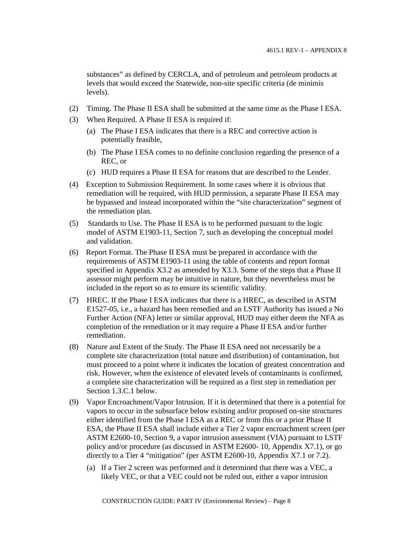substances" as defined by CERCLA, and of petroleum and petroleum products at levels that would exceed the Statewide, non-site specific criteria (de minimis levels).

- (2) Timing. The Phase II ESA shall be submitted at the same time as the Phase I ESA.
- (3) When Required. A Phase II ESA is required if:
	- (a) The Phase I ESA indicates that there is a REC and corrective action is potentially feasible,
	- (b) The Phase I ESA comes to no definite conclusion regarding the presence of a REC, or
	- (c) HUD requires a Phase II ESA for reasons that are described to the Lender.
- (4) Exception to Submission Requirement. In some cases where it is obvious that remediation will be required, with HUD permission, a separate Phase II ESA may be bypassed and instead incorporated within the "site characterization" segment of the remediation plan.
- (5) Standards to Use. The Phase II ESA is to be performed pursuant to the logic model of ASTM E1903-11, Section 7, such as developing the conceptual model and validation.
- (6) Report Format. The Phase II ESA must be prepared in accordance with the requirements of ASTM E1903-11 using the table of contents and report format specified in Appendix X3.2 as amended by X3.3. Some of the steps that a Phase II assessor might perform may be intuitive in nature, but they nevertheless must be included in the report so as to ensure its scientific validity.
- (7) HREC. If the Phase I ESA indicates that there is a HREC, as described in ASTM E1527-05, i.e., a hazard has been remedied and an LSTF Authority has issued a No Further Action (NFA) letter or similar approval, HUD may either deem the NFA as completion of the remediation or it may require a Phase II ESA and/or further remediation.
- (8) Nature and Extent of the Study. The Phase II ESA need not necessarily be a complete site characterization (total nature and distribution) of contamination, but must proceed to a point where it indicates the location of greatest concentration and risk. However, when the existence of elevated levels of contaminants is confirmed, a complete site characterization will be required as a first step in remediation per Section 1.3.C.1 below.
- (9) Vapor Encroachment/Vapor Intrusion. If it is determined that there is a potential for vapors to occur in the subsurface below existing and/or proposed on-site structures either identified from the Phase I ESA as a REC or from this or a prior Phase II ESA, the Phase II ESA shall include either a Tier 2 vapor encroachment screen (per ASTM E2600-10, Section 9, a vapor intrusion assessment (VIA) pursuant to LSTF policy and/or procedure (as discussed in ASTM E2600- 10, Appendix X7.1), or go directly to a Tier 4 "mitigation" (per ASTM E2600-10, Appendix X7.1 or 7.2).
	- (a) If a Tier 2 screen was performed and it determined that there was a VEC, a likely VEC, or that a VEC could not be ruled out, either a vapor intrusion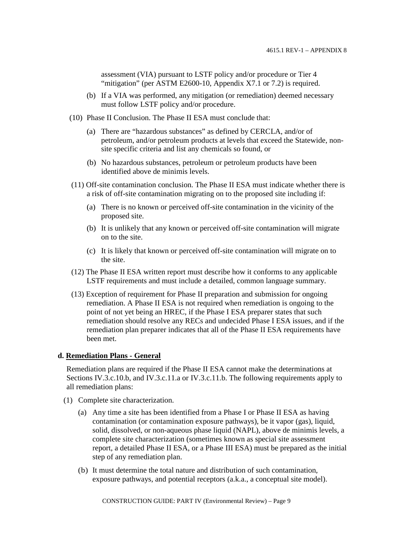assessment (VIA) pursuant to LSTF policy and/or procedure or Tier 4 "mitigation" (per ASTM E2600-10, Appendix X7.1 or 7.2) is required.

- (b) If a VIA was performed, any mitigation (or remediation) deemed necessary must follow LSTF policy and/or procedure.
- (10) Phase II Conclusion. The Phase II ESA must conclude that:
	- (a) There are "hazardous substances" as defined by CERCLA, and/or of petroleum, and/or petroleum products at levels that exceed the Statewide, nonsite specific criteria and list any chemicals so found, or
	- (b) No hazardous substances, petroleum or petroleum products have been identified above de minimis levels.
- (11) Off-site contamination conclusion. The Phase II ESA must indicate whether there is a risk of off-site contamination migrating on to the proposed site including if:
	- (a) There is no known or perceived off-site contamination in the vicinity of the proposed site.
	- (b) It is unlikely that any known or perceived off-site contamination will migrate on to the site.
	- (c) It is likely that known or perceived off-site contamination will migrate on to the site.
- (12) The Phase II ESA written report must describe how it conforms to any applicable LSTF requirements and must include a detailed, common language summary.
- (13) Exception of requirement for Phase II preparation and submission for ongoing remediation. A Phase II ESA is not required when remediation is ongoing to the point of not yet being an HREC, if the Phase I ESA preparer states that such remediation should resolve any RECs and undecided Phase I ESA issues, and if the remediation plan preparer indicates that all of the Phase II ESA requirements have been met.

#### **d. Remediation Plans - General**

Remediation plans are required if the Phase II ESA cannot make the determinations at Sections IV.3.c.10.b, and IV.3.c.11.a or IV.3.c.11.b. The following requirements apply to all remediation plans:

- (1) Complete site characterization.
	- (a) Any time a site has been identified from a Phase I or Phase II ESA as having contamination (or contamination exposure pathways), be it vapor (gas), liquid, solid, dissolved, or non-aqueous phase liquid (NAPL), above de minimis levels, a complete site characterization (sometimes known as special site assessment report, a detailed Phase II ESA, or a Phase III ESA) must be prepared as the initial step of any remediation plan.
	- (b) It must determine the total nature and distribution of such contamination, exposure pathways, and potential receptors (a.k.a., a conceptual site model).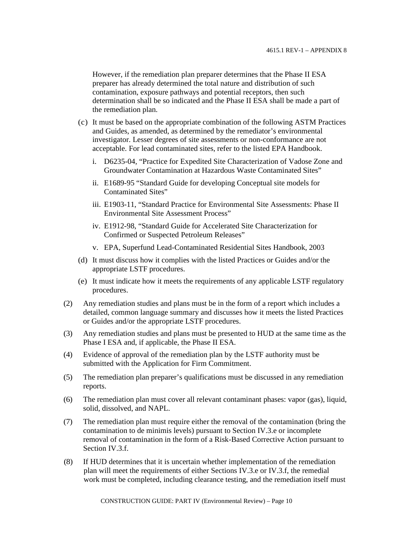However, if the remediation plan preparer determines that the Phase II ESA preparer has already determined the total nature and distribution of such contamination, exposure pathways and potential receptors, then such determination shall be so indicated and the Phase II ESA shall be made a part of the remediation plan.

- (c) It must be based on the appropriate combination of the following ASTM Practices and Guides, as amended, as determined by the remediator's environmental investigator. Lesser degrees of site assessments or non-conformance are not acceptable. For lead contaminated sites, refer to the listed EPA Handbook.
	- i. D6235-04, "Practice for Expedited Site Characterization of Vadose Zone and Groundwater Contamination at Hazardous Waste Contaminated Sites"
	- ii. E1689-95 "Standard Guide for developing Conceptual site models for Contaminated Sites"
	- iii. E1903-11, "Standard Practice for Environmental Site Assessments: Phase II Environmental Site Assessment Process"
	- iv. E1912-98, "Standard Guide for Accelerated Site Characterization for Confirmed or Suspected Petroleum Releases"
	- v. EPA, Superfund Lead-Contaminated Residential Sites Handbook, 2003
- (d) It must discuss how it complies with the listed Practices or Guides and/or the appropriate LSTF procedures.
- (e) It must indicate how it meets the requirements of any applicable LSTF regulatory procedures.
- (2) Any remediation studies and plans must be in the form of a report which includes a detailed, common language summary and discusses how it meets the listed Practices or Guides and/or the appropriate LSTF procedures.
- (3) Any remediation studies and plans must be presented to HUD at the same time as the Phase I ESA and, if applicable, the Phase II ESA.
- (4) Evidence of approval of the remediation plan by the LSTF authority must be submitted with the Application for Firm Commitment.
- (5) The remediation plan preparer's qualifications must be discussed in any remediation reports.
- (6) The remediation plan must cover all relevant contaminant phases: vapor (gas), liquid, solid, dissolved, and NAPL.
- (7) The remediation plan must require either the removal of the contamination (bring the contamination to de minimis levels) pursuant to Section IV.3.e or incomplete removal of contamination in the form of a Risk-Based Corrective Action pursuant to Section IV.3.f.
- (8) If HUD determines that it is uncertain whether implementation of the remediation plan will meet the requirements of either Sections IV.3.e or IV.3.f, the remedial work must be completed, including clearance testing, and the remediation itself must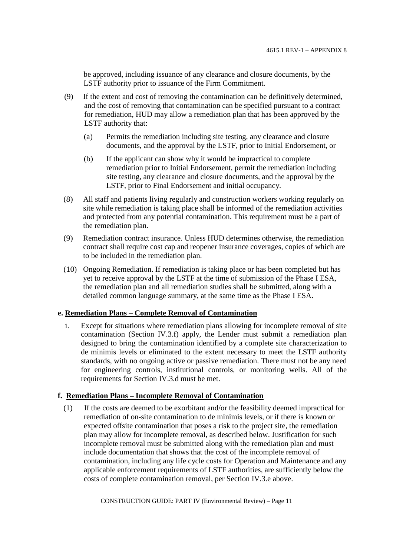be approved, including issuance of any clearance and closure documents, by the LSTF authority prior to issuance of the Firm Commitment.

- (9) If the extent and cost of removing the contamination can be definitively determined, and the cost of removing that contamination can be specified pursuant to a contract for remediation, HUD may allow a remediation plan that has been approved by the LSTF authority that:
	- (a) Permits the remediation including site testing, any clearance and closure documents, and the approval by the LSTF, prior to Initial Endorsement, or
	- (b) If the applicant can show why it would be impractical to complete remediation prior to Initial Endorsement, permit the remediation including site testing, any clearance and closure documents, and the approval by the LSTF, prior to Final Endorsement and initial occupancy.
- (8) All staff and patients living regularly and construction workers working regularly on site while remediation is taking place shall be informed of the remediation activities and protected from any potential contamination. This requirement must be a part of the remediation plan.
- (9) Remediation contract insurance. Unless HUD determines otherwise, the remediation contract shall require cost cap and reopener insurance coverages, copies of which are to be included in the remediation plan.
- (10) Ongoing Remediation. If remediation is taking place or has been completed but has yet to receive approval by the LSTF at the time of submission of the Phase I ESA, the remediation plan and all remediation studies shall be submitted, along with a detailed common language summary, at the same time as the Phase I ESA.

## **e. Remediation Plans – Complete Removal of Contamination**

1. Except for situations where remediation plans allowing for incomplete removal of site contamination (Section IV.3.f) apply, the Lender must submit a remediation plan designed to bring the contamination identified by a complete site characterization to de minimis levels or eliminated to the extent necessary to meet the LSTF authority standards, with no ongoing active or passive remediation. There must not be any need for engineering controls, institutional controls, or monitoring wells. All of the requirements for Section IV.3.d must be met.

## **f. Remediation Plans – Incomplete Removal of Contamination**

(1) If the costs are deemed to be exorbitant and/or the feasibility deemed impractical for remediation of on-site contamination to de minimis levels, or if there is known or expected offsite contamination that poses a risk to the project site, the remediation plan may allow for incomplete removal, as described below. Justification for such incomplete removal must be submitted along with the remediation plan and must include documentation that shows that the cost of the incomplete removal of contamination, including any life cycle costs for Operation and Maintenance and any applicable enforcement requirements of LSTF authorities, are sufficiently below the costs of complete contamination removal, per Section IV.3.e above.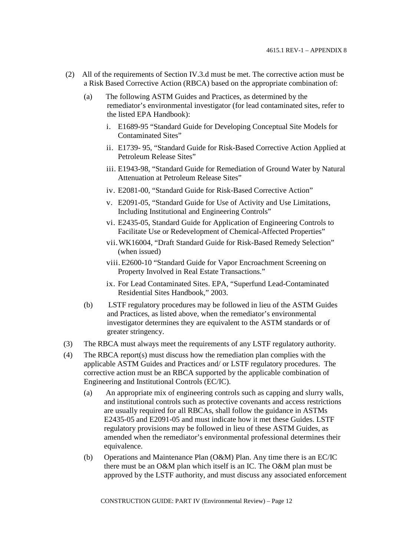- (2) All of the requirements of Section IV.3.d must be met. The corrective action must be a Risk Based Corrective Action (RBCA) based on the appropriate combination of:
	- (a) The following ASTM Guides and Practices, as determined by the remediator's environmental investigator (for lead contaminated sites, refer to the listed EPA Handbook):
		- i. E1689-95 "Standard Guide for Developing Conceptual Site Models for Contaminated Sites"
		- ii. E1739- 95, "Standard Guide for Risk-Based Corrective Action Applied at Petroleum Release Sites"
		- iii. E1943-98, "Standard Guide for Remediation of Ground Water by Natural Attenuation at Petroleum Release Sites"
		- iv. E2081-00, "Standard Guide for Risk-Based Corrective Action"
		- v. E2091-05, "Standard Guide for Use of Activity and Use Limitations, Including Institutional and Engineering Controls"
		- vi. E2435-05, Standard Guide for Application of Engineering Controls to Facilitate Use or Redevelopment of Chemical-Affected Properties"
		- vii.WK16004, "Draft Standard Guide for Risk-Based Remedy Selection" (when issued)
		- viii.E2600-10 "Standard Guide for Vapor Encroachment Screening on Property Involved in Real Estate Transactions."
		- ix. For Lead Contaminated Sites. EPA, "Superfund Lead-Contaminated Residential Sites Handbook," 2003.
	- (b) LSTF regulatory procedures may be followed in lieu of the ASTM Guides and Practices, as listed above, when the remediator's environmental investigator determines they are equivalent to the ASTM standards or of greater stringency.
- (3) The RBCA must always meet the requirements of any LSTF regulatory authority.
- (4) The RBCA report(s) must discuss how the remediation plan complies with the applicable ASTM Guides and Practices and/ or LSTF regulatory procedures. The corrective action must be an RBCA supported by the applicable combination of Engineering and Institutional Controls (EC/IC).
	- (a) An appropriate mix of engineering controls such as capping and slurry walls, and institutional controls such as protective covenants and access restrictions are usually required for all RBCAs, shall follow the guidance in ASTMs E2435-05 and E2091-05 and must indicate how it met these Guides. LSTF regulatory provisions may be followed in lieu of these ASTM Guides, as amended when the remediator's environmental professional determines their equivalence.
	- (b) Operations and Maintenance Plan (O&M) Plan. Any time there is an EC/IC there must be an O&M plan which itself is an IC. The O&M plan must be approved by the LSTF authority, and must discuss any associated enforcement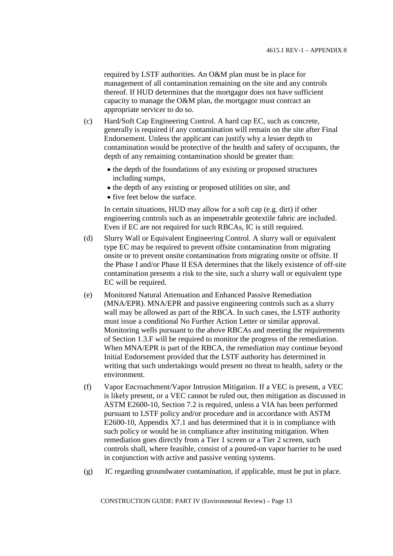required by LSTF authorities. An O&M plan must be in place for management of all contamination remaining on the site and any controls thereof. If HUD determines that the mortgagor does not have sufficient capacity to manage the O&M plan, the mortgagor must contract an appropriate servicer to do so.

- (c) Hard/Soft Cap Engineering Control. A hard cap EC, such as concrete, generally is required if any contamination will remain on the site after Final Endorsement. Unless the applicant can justify why a lesser depth to contamination would be protective of the health and safety of occupants, the depth of any remaining contamination should be greater than:
	- the depth of the foundations of any existing or proposed structures including sumps,
	- the depth of any existing or proposed utilities on site, and
	- five feet below the surface.

In certain situations, HUD may allow for a soft cap (e.g. dirt) if other engineering controls such as an impenetrable geotextile fabric are included. Even if EC are not required for such RBCAs, IC is still required.

- (d) Slurry Wall or Equivalent Engineering Control. A slurry wall or equivalent type EC may be required to prevent offsite contamination from migrating onsite or to prevent onsite contamination from migrating onsite or offsite. If the Phase I and/or Phase II ESA determines that the likely existence of off-site contamination presents a risk to the site, such a slurry wall or equivalent type EC will be required.
- (e) Monitored Natural Attenuation and Enhanced Passive Remediation (MNA/EPR). MNA/EPR and passive engineering controls such as a slurry wall may be allowed as part of the RBCA. In such cases, the LSTF authority must issue a conditional No Further Action Letter or similar approval. Monitoring wells pursuant to the above RBCAs and meeting the requirements of Section 1.3.F will be required to monitor the progress of the remediation. When MNA/EPR is part of the RBCA, the remediation may continue beyond Initial Endorsement provided that the LSTF authority has determined in writing that such undertakings would present no threat to health, safety or the environment.
- (f) Vapor Encroachment/Vapor Intrusion Mitigation. If a VEC is present, a VEC is likely present, or a VEC cannot be ruled out, then mitigation as discussed in ASTM E2600-10, Section 7.2 is required, unless a VIA has been performed pursuant to LSTF policy and/or procedure and in accordance with ASTM E2600-10, Appendix X7.1 and has determined that it is in compliance with such policy or would be in compliance after instituting mitigation. When remediation goes directly from a Tier 1 screen or a Tier 2 screen, such controls shall, where feasible, consist of a poured-on vapor barrier to be used in conjunction with active and passive venting systems.
- (g) IC regarding groundwater contamination, if applicable, must be put in place.

CONSTRUCTION GUIDE: PART IV (Environmental Review) – Page 13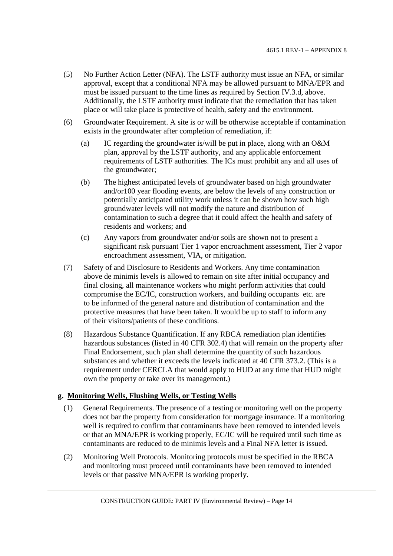- (5) No Further Action Letter (NFA). The LSTF authority must issue an NFA, or similar approval, except that a conditional NFA may be allowed pursuant to MNA/EPR and must be issued pursuant to the time lines as required by Section IV.3.d, above. Additionally, the LSTF authority must indicate that the remediation that has taken place or will take place is protective of health, safety and the environment.
- (6) Groundwater Requirement. A site is or will be otherwise acceptable if contamination exists in the groundwater after completion of remediation, if:
	- (a) IC regarding the groundwater is/will be put in place, along with an  $O\&M$ plan, approval by the LSTF authority, and any applicable enforcement requirements of LSTF authorities. The ICs must prohibit any and all uses of the groundwater;
	- (b) The highest anticipated levels of groundwater based on high groundwater and/or100 year flooding events, are below the levels of any construction or potentially anticipated utility work unless it can be shown how such high groundwater levels will not modify the nature and distribution of contamination to such a degree that it could affect the health and safety of residents and workers; and
	- (c) Any vapors from groundwater and/or soils are shown not to present a significant risk pursuant Tier 1 vapor encroachment assessment, Tier 2 vapor encroachment assessment, VIA, or mitigation.
- (7) Safety of and Disclosure to Residents and Workers. Any time contamination above de minimis levels is allowed to remain on site after initial occupancy and final closing, all maintenance workers who might perform activities that could compromise the EC/IC, construction workers, and building occupants etc. are to be informed of the general nature and distribution of contamination and the protective measures that have been taken. It would be up to staff to inform any of their visitors/patients of these conditions.
- (8) Hazardous Substance Quantification. If any RBCA remediation plan identifies hazardous substances (listed in 40 CFR 302.4) that will remain on the property after Final Endorsement, such plan shall determine the quantity of such hazardous substances and whether it exceeds the levels indicated at 40 CFR 373.2. (This is a requirement under CERCLA that would apply to HUD at any time that HUD might own the property or take over its management.)

## **g. Monitoring Wells, Flushing Wells, or Testing Wells**

- (1) General Requirements. The presence of a testing or monitoring well on the property does not bar the property from consideration for mortgage insurance. If a monitoring well is required to confirm that contaminants have been removed to intended levels or that an MNA/EPR is working properly, EC/IC will be required until such time as contaminants are reduced to de minimis levels and a Final NFA letter is issued.
- (2) Monitoring Well Protocols. Monitoring protocols must be specified in the RBCA and monitoring must proceed until contaminants have been removed to intended levels or that passive MNA/EPR is working properly.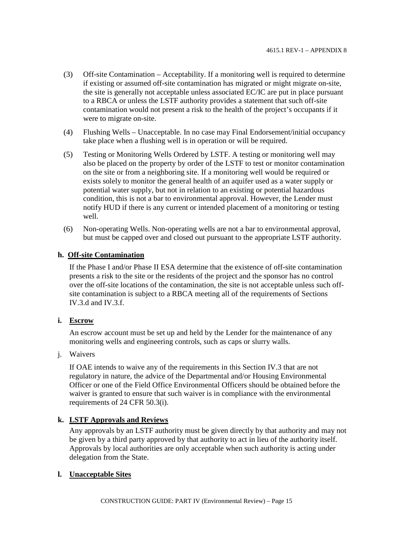- (3) Off-site Contamination Acceptability. If a monitoring well is required to determine if existing or assumed off-site contamination has migrated or might migrate on-site, the site is generally not acceptable unless associated EC/IC are put in place pursuant to a RBCA or unless the LSTF authority provides a statement that such off-site contamination would not present a risk to the health of the project's occupants if it were to migrate on-site.
- (4) Flushing Wells Unacceptable. In no case may Final Endorsement/initial occupancy take place when a flushing well is in operation or will be required.
- (5) Testing or Monitoring Wells Ordered by LSTF. A testing or monitoring well may also be placed on the property by order of the LSTF to test or monitor contamination on the site or from a neighboring site. If a monitoring well would be required or exists solely to monitor the general health of an aquifer used as a water supply or potential water supply, but not in relation to an existing or potential hazardous condition, this is not a bar to environmental approval. However, the Lender must notify HUD if there is any current or intended placement of a monitoring or testing well.
- (6) Non-operating Wells. Non-operating wells are not a bar to environmental approval, but must be capped over and closed out pursuant to the appropriate LSTF authority.

#### **h. Off-site Contamination**

If the Phase I and/or Phase II ESA determine that the existence of off-site contamination presents a risk to the site or the residents of the project and the sponsor has no control over the off-site locations of the contamination, the site is not acceptable unless such offsite contamination is subject to a RBCA meeting all of the requirements of Sections IV.3.d and IV.3.f.

#### **i. Escrow**

An escrow account must be set up and held by the Lender for the maintenance of any monitoring wells and engineering controls, such as caps or slurry walls.

j. Waivers

If OAE intends to waive any of the requirements in this Section IV.3 that are not regulatory in nature, the advice of the Departmental and/or Housing Environmental Officer or one of the Field Office Environmental Officers should be obtained before the waiver is granted to ensure that such waiver is in compliance with the environmental requirements of 24 CFR 50.3(i).

#### **k. LSTF Approvals and Reviews**

Any approvals by an LSTF authority must be given directly by that authority and may not be given by a third party approved by that authority to act in lieu of the authority itself. Approvals by local authorities are only acceptable when such authority is acting under delegation from the State.

#### **l. Unacceptable Sites**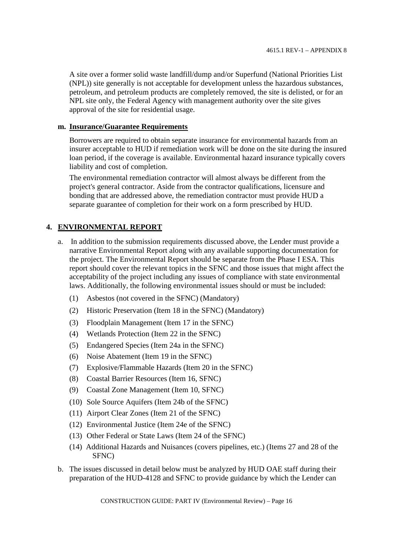A site over a former solid waste landfill/dump and/or Superfund (National Priorities List (NPL)) site generally is not acceptable for development unless the hazardous substances, petroleum, and petroleum products are completely removed, the site is delisted, or for an NPL site only, the Federal Agency with management authority over the site gives approval of the site for residential usage.

#### **m. Insurance/Guarantee Requirements**

Borrowers are required to obtain separate insurance for environmental hazards from an insurer acceptable to HUD if remediation work will be done on the site during the insured loan period, if the coverage is available. Environmental hazard insurance typically covers liability and cost of completion.

The environmental remediation contractor will almost always be different from the project's general contractor. Aside from the contractor qualifications, licensure and bonding that are addressed above, the remediation contractor must provide HUD a separate guarantee of completion for their work on a form prescribed by HUD.

## **4. ENVIRONMENTAL REPORT**

- a. In addition to the submission requirements discussed above, the Lender must provide a narrative Environmental Report along with any available supporting documentation for the project. The Environmental Report should be separate from the Phase I ESA. This report should cover the relevant topics in the SFNC and those issues that might affect the acceptability of the project including any issues of compliance with state environmental laws. Additionally, the following environmental issues should or must be included:
	- (1) Asbestos (not covered in the SFNC) (Mandatory)
	- (2) Historic Preservation (Item 18 in the SFNC) (Mandatory)
	- (3) Floodplain Management (Item 17 in the SFNC)
	- (4) Wetlands Protection (Item 22 in the SFNC)
	- (5) Endangered Species (Item 24a in the SFNC)
	- (6) Noise Abatement (Item 19 in the SFNC)
	- (7) Explosive/Flammable Hazards (Item 20 in the SFNC)
	- (8) Coastal Barrier Resources (Item 16, SFNC)
	- (9) Coastal Zone Management (Item 10, SFNC)
	- (10) Sole Source Aquifers (Item 24b of the SFNC)
	- (11) Airport Clear Zones (Item 21 of the SFNC)
	- (12) Environmental Justice (Item 24e of the SFNC)
	- (13) Other Federal or State Laws (Item 24 of the SFNC)
	- (14) Additional Hazards and Nuisances (covers pipelines, etc.) (Items 27 and 28 of the SFNC)
- b. The issues discussed in detail below must be analyzed by HUD OAE staff during their preparation of the HUD-4128 and SFNC to provide guidance by which the Lender can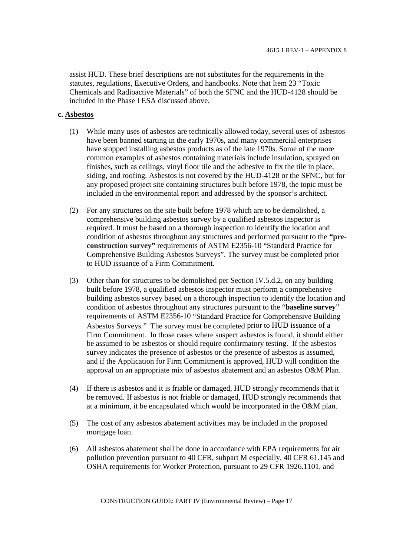assist HUD. These brief descriptions are not substitutes for the requirements in the statutes, regulations, Executive Orders, and handbooks. Note that Item 23 "Toxic Chemicals and Radioactive Materials" of both the SFNC and the HUD-4128 should be included in the Phase I ESA discussed above.

#### **c. Asbestos**

- (1) While many uses of asbestos are technically allowed today, several uses of asbestos have been banned starting in the early 1970s, and many commercial enterprises have stopped installing asbestos products as of the late 1970s. Some of the more common examples of asbestos containing materials include insulation, sprayed on finishes, such as ceilings, vinyl floor tile and the adhesive to fix the tile in place, siding, and roofing. Asbestos is not covered by the HUD-4128 or the SFNC, but for any proposed project site containing structures built before 1978, the topic must be included in the environmental report and addressed by the sponsor's architect.
- (2) For any structures on the site built before 1978 which are to be demolished, a comprehensive building asbestos survey by a qualified asbestos inspector is required. It must be based on a thorough inspection to identify the location and condition of asbestos throughout any structures and performed pursuant to the **"preconstruction survey"** requirements of ASTM E2356-10 "Standard Practice for Comprehensive Building Asbestos Surveys". The survey must be completed prior to HUD issuance of a Firm Commitment.
- (3) Other than for structures to be demolished per Section IV.5.d.2, on any building built before 1978, a qualified asbestos inspector must perform a comprehensive building asbestos survey based on a thorough inspection to identify the location and condition of asbestos throughout any structures pursuant to the "**baseline survey**" requirements of ASTM E2356-10 "Standard Practice for Comprehensive Building Asbestos Surveys." The survey must be completed prior to HUD issuance of a Firm Commitment. In those cases where suspect asbestos is found, it should either be assumed to be asbestos or should require confirmatory testing. If the asbestos survey indicates the presence of asbestos or the presence of asbestos is assumed, and if the Application for Firm Commitment is approved, HUD will condition the approval on an appropriate mix of asbestos abatement and an asbestos O&M Plan.
- (4) If there is asbestos and it is friable or damaged, HUD strongly recommends that it be removed. If asbestos is not friable or damaged, HUD strongly recommends that at a minimum, it be encapsulated which would be incorporated in the O&M plan.
- (5) The cost of any asbestos abatement activities may be included in the proposed mortgage loan.
- (6) All asbestos abatement shall be done in accordance with EPA requirements for air pollution prevention pursuant to 40 CFR, subpart M especially, 40 CFR 61.145 and OSHA requirements for Worker Protection, pursuant to 29 CFR 1926.1101, and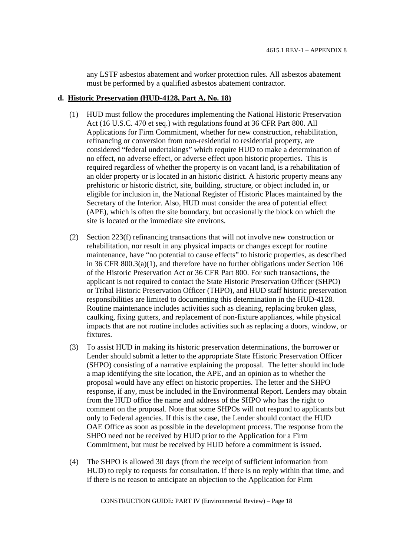any LSTF asbestos abatement and worker protection rules. All asbestos abatement must be performed by a qualified asbestos abatement contractor.

#### **d. Historic Preservation (HUD-4128, Part A, No. 18)**

- (1) HUD must follow the procedures implementing the National Historic Preservation Act (16 U.S.C. 470 et seq.) with regulations found at 36 CFR Part 800. All Applications for Firm Commitment, whether for new construction, rehabilitation, refinancing or conversion from non-residential to residential property, are considered "federal undertakings" which require HUD to make a determination of no effect, no adverse effect, or adverse effect upon historic properties**.** This is required regardless of whether the property is on vacant land, is a rehabilitation of an older property or is located in an historic district. A historic property means any prehistoric or historic district, site, building, structure, or object included in, or eligible for inclusion in, the National Register of Historic Places maintained by the Secretary of the Interior. Also, HUD must consider the area of potential effect (APE), which is often the site boundary, but occasionally the block on which the site is located or the immediate site environs.
- (2) Section 223(f) refinancing transactions that will not involve new construction or rehabilitation, nor result in any physical impacts or changes except for routine maintenance, have "no potential to cause effects" to historic properties, as described in 36 CFR 800.3(a)(1), and therefore have no further obligations under Section 106 of the Historic Preservation Act or 36 CFR Part 800. For such transactions, the applicant is not required to contact the State Historic Preservation Officer (SHPO) or Tribal Historic Preservation Officer (THPO), and HUD staff historic preservation responsibilities are limited to documenting this determination in the HUD-4128. Routine maintenance includes activities such as cleaning, replacing broken glass, caulking, fixing gutters, and replacement of non-fixture appliances, while physical impacts that are not routine includes activities such as replacing a doors, window, or fixtures.
- (3) To assist HUD in making its historic preservation determinations, the borrower or Lender should submit a letter to the appropriate State Historic Preservation Officer (SHPO) consisting of a narrative explaining the proposal. The letter should include a map identifying the site location, the APE, and an opinion as to whether the proposal would have any effect on historic properties. The letter and the SHPO response, if any, must be included in the Environmental Report. Lenders may obtain from the HUD office the name and address of the SHPO who has the right to comment on the proposal. Note that some SHPOs will not respond to applicants but only to Federal agencies. If this is the case, the Lender should contact the HUD OAE Office as soon as possible in the development process. The response from the SHPO need not be received by HUD prior to the Application for a Firm Commitment, but must be received by HUD before a commitment is issued.
- (4) The SHPO is allowed 30 days (from the receipt of sufficient information from HUD) to reply to requests for consultation. If there is no reply within that time, and if there is no reason to anticipate an objection to the Application for Firm

CONSTRUCTION GUIDE: PART IV (Environmental Review) – Page 18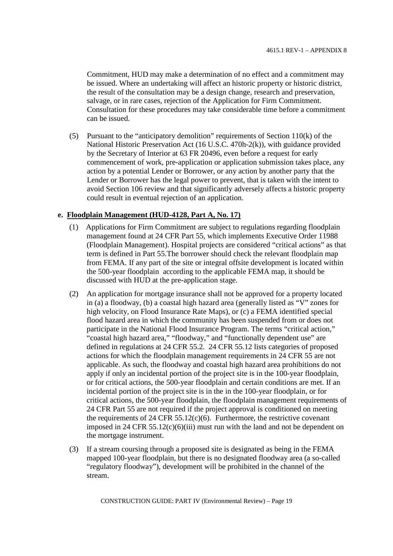Commitment, HUD may make a determination of no effect and a commitment may be issued. Where an undertaking will affect an historic property or historic district, the result of the consultation may be a design change, research and preservation, salvage, or in rare cases, rejection of the Application for Firm Commitment. Consultation for these procedures may take considerable time before a commitment can be issued.

(5) Pursuant to the "anticipatory demolition" requirements of Section 110(k) of the National Historic Preservation Act (16 U.S.C. 470h-2(k)), with guidance provided by the Secretary of Interior at 63 FR 20496, even before a request for early commencement of work, pre-application or application submission takes place, any action by a potential Lender or Borrower, or any action by another party that the Lender or Borrower has the legal power to prevent, that is taken with the intent to avoid Section 106 review and that significantly adversely affects a historic property could result in eventual rejection of an application.

## **e. Floodplain Management (HUD-4128, Part A, No. 17)**

- (1) Applications for Firm Commitment are subject to regulations regarding floodplain management found at 24 CFR Part 55, which implements Executive Order 11988 (Floodplain Management). Hospital projects are considered "critical actions" as that term is defined in Part 55.The borrower should check the relevant floodplain map from FEMA. If any part of the site or integral offsite development is located within the 500-year floodplain according to the applicable FEMA map, it should be discussed with HUD at the pre-application stage.
- (2) An application for mortgage insurance shall not be approved for a property located in (a) a floodway, (b) a coastal high hazard area (generally listed as "V" zones for high velocity, on Flood Insurance Rate Maps), or (c) a FEMA identified special flood hazard area in which the community has been suspended from or does not participate in the National Flood Insurance Program. The terms "critical action," "coastal high hazard area," "floodway," and "functionally dependent use" are defined in regulations at 24 CFR 55.2. 24 CFR 55.12 lists categories of proposed actions for which the floodplain management requirements in 24 CFR 55 are not applicable. As such, the floodway and coastal high hazard area prohibitions do not apply if only an incidental portion of the project site is in the 100-year floodplain, or for critical actions, the 500-year floodplain and certain conditions are met. If an incidental portion of the project site is in the in the 100-year floodplain, or for critical actions, the 500-year floodplain, the floodplain management requirements of 24 CFR Part 55 are not required if the project approval is conditioned on meeting the requirements of 24 CFR 55.12(c)(6). Furthermore, the restrictive covenant imposed in 24 CFR 55.12(c)(6)(iii) must run with the land and not be dependent on the mortgage instrument.
- (3) If a stream coursing through a proposed site is designated as being in the FEMA mapped 100-year floodplain, but there is no designated floodway area (a so-called "regulatory floodway"), development will be prohibited in the channel of the stream.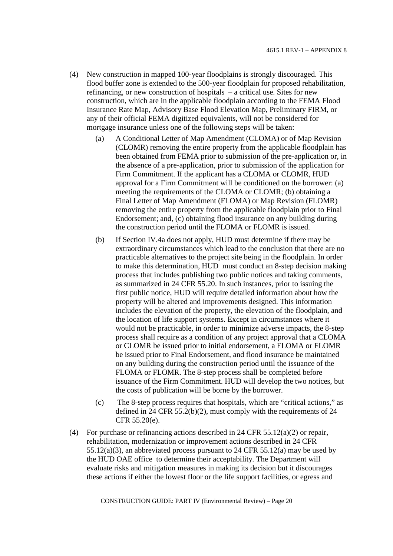- (4) New construction in mapped 100-year floodplains is strongly discouraged. This flood buffer zone is extended to the 500-year floodplain for proposed rehabilitation, refinancing, or new construction of hospitals – a critical use. Sites for new construction, which are in the applicable floodplain according to the FEMA Flood Insurance Rate Map, Advisory Base Flood Elevation Map, Preliminary FIRM, or any of their official FEMA digitized equivalents, will not be considered for mortgage insurance unless one of the following steps will be taken:
	- (a) A Conditional Letter of Map Amendment (CLOMA) or of Map Revision (CLOMR) removing the entire property from the applicable floodplain has been obtained from FEMA prior to submission of the pre-application or, in the absence of a pre-application, prior to submission of the application for Firm Commitment. If the applicant has a CLOMA or CLOMR, HUD approval for a Firm Commitment will be conditioned on the borrower: (a) meeting the requirements of the CLOMA or CLOMR; (b) obtaining a Final Letter of Map Amendment (FLOMA) or Map Revision (FLOMR) removing the entire property from the applicable floodplain prior to Final Endorsement; and, (c) obtaining flood insurance on any building during the construction period until the FLOMA or FLOMR is issued.
	- (b) If Section IV.4a does not apply, HUD must determine if there may be extraordinary circumstances which lead to the conclusion that there are no practicable alternatives to the project site being in the floodplain. In order to make this determination, HUD must conduct an 8-step decision making process that includes publishing two public notices and taking comments, as summarized in 24 CFR 55.20. In such instances, prior to issuing the first public notice, HUD will require detailed information about how the property will be altered and improvements designed. This information includes the elevation of the property, the elevation of the floodplain, and the location of life support systems. Except in circumstances where it would not be practicable, in order to minimize adverse impacts, the 8-step process shall require as a condition of any project approval that a CLOMA or CLOMR be issued prior to initial endorsement, a FLOMA or FLOMR be issued prior to Final Endorsement, and flood insurance be maintained on any building during the construction period until the issuance of the FLOMA or FLOMR. The 8-step process shall be completed before issuance of the Firm Commitment. HUD will develop the two notices, but the costs of publication will be borne by the borrower.
	- (c) The 8-step process requires that hospitals, which are "critical actions," as defined in 24 CFR 55.2(b)(2), must comply with the requirements of 24 CFR 55.20(e).
- (4) For purchase or refinancing actions described in 24 CFR 55.12(a)(2) or repair, rehabilitation, modernization or improvement actions described in 24 CFR 55.12(a)(3), an abbreviated process pursuant to 24 CFR 55.12(a) may be used by the HUD OAE office to determine their acceptability. The Department will evaluate risks and mitigation measures in making its decision but it discourages these actions if either the lowest floor or the life support facilities, or egress and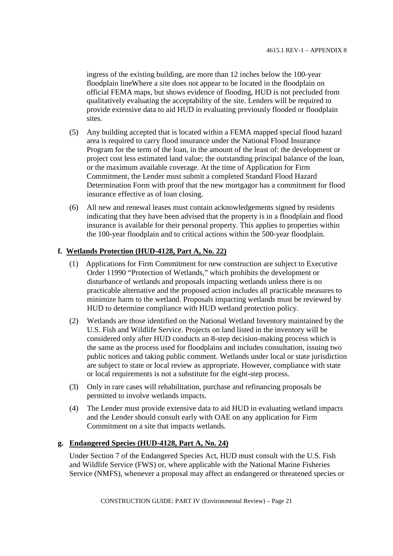ingress of the existing building, are more than 12 inches below the 100-year floodplain lineWhere a site does not appear to be located in the floodplain on official FEMA maps, but shows evidence of flooding, HUD is not precluded from qualitatively evaluating the acceptability of the site. Lenders will be required to provide extensive data to aid HUD in evaluating previously flooded or floodplain sites.

- (5) Any building accepted that is located within a FEMA mapped special flood hazard area is required to carry flood insurance under the National Flood Insurance Program for the term of the loan, in the amount of the least of: the development or project cost less estimated land value; the outstanding principal balance of the loan, or the maximum available coverage. At the time of Application for Firm Commitment, the Lender must submit a completed Standard Flood Hazard Determination Form with proof that the new mortgagor has a commitment for flood insurance effective as of loan closing.
- (6) All new and renewal leases must contain acknowledgements signed by residents indicating that they have been advised that the property is in a floodplain and flood insurance is available for their personal property. This applies to properties within the 100-year floodplain and to critical actions within the 500-year floodplain.

## **f. Wetlands Protection (HUD-4128, Part A, No. 22)**

- (1) Applications for Firm Commitment for new construction are subject to Executive Order 11990 "Protection of Wetlands," which prohibits the development or disturbance of wetlands and proposals impacting wetlands unless there is no practicable alternative and the proposed action includes all practicable measures to minimize harm to the wetland. Proposals impacting wetlands must be reviewed by HUD to determine compliance with HUD wetland protection policy.
- (2) Wetlands are those identified on the National Wetland Inventory maintained by the U.S. Fish and Wildlife Service. Projects on land listed in the inventory will be considered only after HUD conducts an 8-step decision-making process which is the same as the process used for floodplains and includes consultation, issuing two public notices and taking public comment. Wetlands under local or state jurisdiction are subject to state or local review as appropriate. However, compliance with state or local requirements is not a substitute for the eight-step process.
- (3) Only in rare cases will rehabilitation, purchase and refinancing proposals be permitted to involve wetlands impacts.
- (4) The Lender must provide extensive data to aid HUD in evaluating wetland impacts and the Lender should consult early with OAE on any application for Firm Commitment on a site that impacts wetlands.

## **g. Endangered Species (HUD-4128, Part A, No. 24)**

Under Section 7 of the Endangered Species Act, HUD must consult with the U.S. Fish and Wildlife Service (FWS) or, where applicable with the National Marine Fisheries Service (NMFS), whenever a proposal may affect an endangered or threatened species or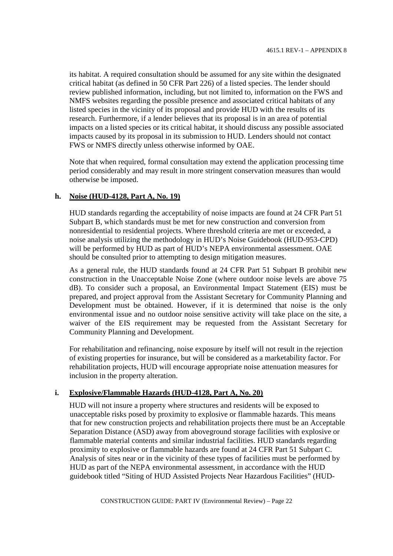its habitat. A required consultation should be assumed for any site within the designated critical habitat (as defined in 50 CFR Part 226) of a listed species. The lender should review published information, including, but not limited to, information on the FWS and NMFS websites regarding the possible presence and associated critical habitats of any listed species in the vicinity of its proposal and provide HUD with the results of its research. Furthermore, if a lender believes that its proposal is in an area of potential impacts on a listed species or its critical habitat, it should discuss any possible associated impacts caused by its proposal in its submission to HUD. Lenders should not contact FWS or NMFS directly unless otherwise informed by OAE.

Note that when required, formal consultation may extend the application processing time period considerably and may result in more stringent conservation measures than would otherwise be imposed.

## **h. Noise (HUD-4128, Part A, No. 19)**

HUD standards regarding the acceptability of noise impacts are found at 24 CFR Part 51 Subpart B, which standards must be met for new construction and conversion from nonresidential to residential projects. Where threshold criteria are met or exceeded, a noise analysis utilizing the methodology in HUD's Noise Guidebook (HUD-953-CPD) will be performed by HUD as part of HUD's NEPA environmental assessment. OAE should be consulted prior to attempting to design mitigation measures.

As a general rule, the HUD standards found at 24 CFR Part 51 Subpart B prohibit new construction in the Unacceptable Noise Zone (where outdoor noise levels are above 75 dB). To consider such a proposal, an Environmental Impact Statement (EIS) must be prepared, and project approval from the Assistant Secretary for Community Planning and Development must be obtained. However, if it is determined that noise is the only environmental issue and no outdoor noise sensitive activity will take place on the site, a waiver of the EIS requirement may be requested from the Assistant Secretary for Community Planning and Development.

For rehabilitation and refinancing, noise exposure by itself will not result in the rejection of existing properties for insurance, but will be considered as a marketability factor. For rehabilitation projects, HUD will encourage appropriate noise attenuation measures for inclusion in the property alteration.

## **i. Explosive/Flammable Hazards (HUD-4128, Part A, No. 20)**

HUD will not insure a property where structures and residents will be exposed to unacceptable risks posed by proximity to explosive or flammable hazards. This means that for new construction projects and rehabilitation projects there must be an Acceptable Separation Distance (ASD) away from aboveground storage facilities with explosive or flammable material contents and similar industrial facilities. HUD standards regarding proximity to explosive or flammable hazards are found at 24 CFR Part 51 Subpart C. Analysis of sites near or in the vicinity of these types of facilities must be performed by HUD as part of the NEPA environmental assessment, in accordance with the HUD guidebook titled "Siting of HUD Assisted Projects Near Hazardous Facilities" (HUD-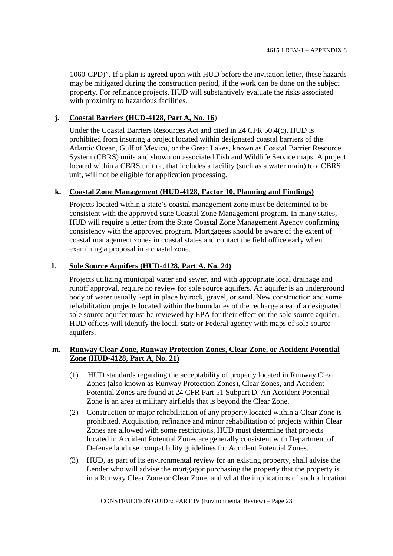1060-CPD)". If a plan is agreed upon with HUD before the invitation letter, these hazards may be mitigated during the construction period, if the work can be done on the subject property. For refinance projects, HUD will substantively evaluate the risks associated with proximity to hazardous facilities.

## **j. Coastal Barriers (HUD-4128, Part A, No. 16**)

Under the Coastal Barriers Resources Act and cited in 24 CFR 50.4(c), HUD is prohibited from insuring a project located within designated coastal barriers of the Atlantic Ocean, Gulf of Mexico, or the Great Lakes, known as Coastal Barrier Resource System (CBRS) units and shown on associated Fish and Wildlife Service maps. A project located within a CBRS unit or, that includes a facility (such as a water main) to a CBRS unit, will not be eligible for application processing.

## **k. Coastal Zone Management (HUD-4128, Factor 10, Planning and Findings)**

Projects located within a state's coastal management zone must be determined to be consistent with the approved state Coastal Zone Management program. In many states, HUD will require a letter from the State Coastal Zone Management Agency confirming consistency with the approved program. Mortgagees should be aware of the extent of coastal management zones in coastal states and contact the field office early when examining a proposal in a coastal zone.

## **l. Sole Source Aquifers (HUD-4128, Part A, No. 24)**

Projects utilizing municipal water and sewer, and with appropriate local drainage and runoff approval, require no review for sole source aquifers. An aquifer is an underground body of water usually kept in place by rock, gravel, or sand. New construction and some rehabilitation projects located within the boundaries of the recharge area of a designated sole source aquifer must be reviewed by EPA for their effect on the sole source aquifer. HUD offices will identify the local, state or Federal agency with maps of sole source aquifers.

## **m. Runway Clear Zone, Runway Protection Zones, Clear Zone, or Accident Potential Zone (HUD-4128, Part A, No. 21)**

- (1) HUD standards regarding the acceptability of property located in Runway Clear Zones (also known as Runway Protection Zones), Clear Zones, and Accident Potential Zones are found at 24 CFR Part 51 Subpart D. An Accident Potential Zone is an area at military airfields that is beyond the Clear Zone.
- (2) Construction or major rehabilitation of any property located within a Clear Zone is prohibited. Acquisition, refinance and minor rehabilitation of projects within Clear Zones are allowed with some restrictions. HUD must determine that projects located in Accident Potential Zones are generally consistent with Department of Defense land use compatibility guidelines for Accident Potential Zones.
- (3) HUD, as part of its environmental review for an existing property, shall advise the Lender who will advise the mortgagor purchasing the property that the property is in a Runway Clear Zone or Clear Zone, and what the implications of such a location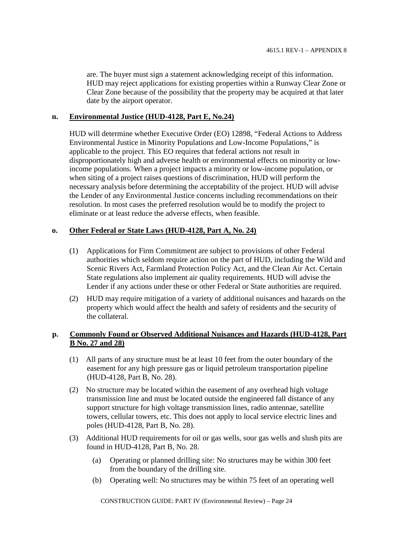are. The buyer must sign a statement acknowledging receipt of this information. HUD may reject applications for existing properties within a Runway Clear Zone or Clear Zone because of the possibility that the property may be acquired at that later date by the airport operator.

#### **n. Environmental Justice (HUD-4128, Part E, No.24)**

HUD will determine whether Executive Order (EO) 12898, "Federal Actions to Address Environmental Justice in Minority Populations and Low-Income Populations," is applicable to the project. This EO requires that federal actions not result in disproportionately high and adverse health or environmental effects on minority or lowincome populations. When a project impacts a minority or low-income population, or when siting of a project raises questions of discrimination, HUD will perform the necessary analysis before determining the acceptability of the project. HUD will advise the Lender of any Environmental Justice concerns including recommendations on their resolution. In most cases the preferred resolution would be to modify the project to eliminate or at least reduce the adverse effects, when feasible.

## **o. Other Federal or State Laws (HUD-4128, Part A, No. 24)**

- (1) Applications for Firm Commitment are subject to provisions of other Federal authorities which seldom require action on the part of HUD, including the Wild and Scenic Rivers Act, Farmland Protection Policy Act, and the Clean Air Act. Certain State regulations also implement air quality requirements. HUD will advise the Lender if any actions under these or other Federal or State authorities are required.
- (2) HUD may require mitigation of a variety of additional nuisances and hazards on the property which would affect the health and safety of residents and the security of the collateral.

## **p. Commonly Found or Observed Additional Nuisances and Hazards (HUD-4128, Part B No. 27 and 28)**

- (1) All parts of any structure must be at least 10 feet from the outer boundary of the easement for any high pressure gas or liquid petroleum transportation pipeline (HUD-4128, Part B, No. 28).
- (2) No structure may be located within the easement of any overhead high voltage transmission line and must be located outside the engineered fall distance of any support structure for high voltage transmission lines, radio antennae, satellite towers, cellular towers, etc. This does not apply to local service electric lines and poles (HUD-4128, Part B, No. 28).
- (3) Additional HUD requirements for oil or gas wells, sour gas wells and slush pits are found in HUD-4128, Part B, No. 28.
	- (a) Operating or planned drilling site: No structures may be within 300 feet from the boundary of the drilling site.
	- (b) Operating well: No structures may be within 75 feet of an operating well

CONSTRUCTION GUIDE: PART IV (Environmental Review) – Page 24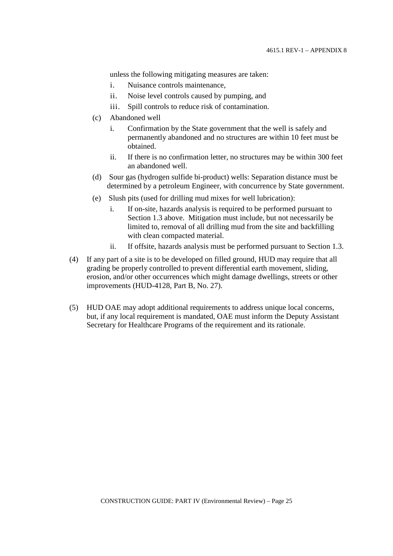unless the following mitigating measures are taken:

- i. Nuisance controls maintenance,
- ii. Noise level controls caused by pumping, and
- iii. Spill controls to reduce risk of contamination.
- (c) Abandoned well
	- i. Confirmation by the State government that the well is safely and permanently abandoned and no structures are within 10 feet must be obtained.
	- ii. If there is no confirmation letter, no structures may be within 300 feet an abandoned well.
- (d) Sour gas (hydrogen sulfide bi-product) wells: Separation distance must be determined by a petroleum Engineer, with concurrence by State government.
- (e) Slush pits (used for drilling mud mixes for well lubrication):
	- i. If on-site, hazards analysis is required to be performed pursuant to Section 1.3 above. Mitigation must include, but not necessarily be limited to, removal of all drilling mud from the site and backfilling with clean compacted material.
	- ii. If offsite, hazards analysis must be performed pursuant to Section 1.3.
- (4) If any part of a site is to be developed on filled ground, HUD may require that all grading be properly controlled to prevent differential earth movement, sliding, erosion, and/or other occurrences which might damage dwellings, streets or other improvements (HUD-4128, Part B, No. 27).
- (5) HUD OAE may adopt additional requirements to address unique local concerns, but, if any local requirement is mandated, OAE must inform the Deputy Assistant Secretary for Healthcare Programs of the requirement and its rationale.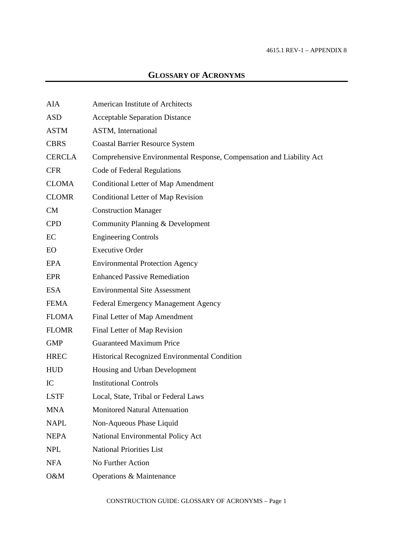# **GLOSSARY OF ACRONYMS**

| <b>AIA</b>    | American Institute of Architects                                     |
|---------------|----------------------------------------------------------------------|
| <b>ASD</b>    | <b>Acceptable Separation Distance</b>                                |
| <b>ASTM</b>   | ASTM, International                                                  |
| <b>CBRS</b>   | <b>Coastal Barrier Resource System</b>                               |
| <b>CERCLA</b> | Comprehensive Environmental Response, Compensation and Liability Act |
| <b>CFR</b>    | Code of Federal Regulations                                          |
| <b>CLOMA</b>  | <b>Conditional Letter of Map Amendment</b>                           |
| <b>CLOMR</b>  | <b>Conditional Letter of Map Revision</b>                            |
| CM            | <b>Construction Manager</b>                                          |
| <b>CPD</b>    | Community Planning & Development                                     |
| EC            | <b>Engineering Controls</b>                                          |
| <b>EO</b>     | <b>Executive Order</b>                                               |
| EPA           | <b>Environmental Protection Agency</b>                               |
| <b>EPR</b>    | <b>Enhanced Passive Remediation</b>                                  |
| <b>ESA</b>    | <b>Environmental Site Assessment</b>                                 |
| <b>FEMA</b>   | Federal Emergency Management Agency                                  |
| <b>FLOMA</b>  | Final Letter of Map Amendment                                        |
| <b>FLOMR</b>  | Final Letter of Map Revision                                         |
| <b>GMP</b>    | <b>Guaranteed Maximum Price</b>                                      |
| <b>HREC</b>   | Historical Recognized Environmental Condition                        |
| <b>HUD</b>    | Housing and Urban Development                                        |
| IC            | <b>Institutional Controls</b>                                        |
| <b>LSTF</b>   | Local, State, Tribal or Federal Laws                                 |
| <b>MNA</b>    | <b>Monitored Natural Attenuation</b>                                 |
| <b>NAPL</b>   | Non-Aqueous Phase Liquid                                             |
| <b>NEPA</b>   | National Environmental Policy Act                                    |
| <b>NPL</b>    | <b>National Priorities List</b>                                      |
| <b>NFA</b>    | No Further Action                                                    |
| O&M           | Operations & Maintenance                                             |

CONSTRUCTION GUIDE: GLOSSARY OF ACRONYMS – Page 1